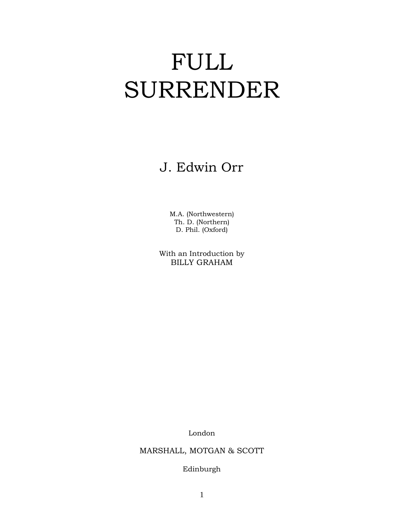# FULL SURRENDER

# J. Edwin Orr

M.A. (Northwestern) Th. D. (Northern) D. Phil. (Oxford)

With an Introduction by BILLY GRAHAM

London

MARSHALL, MOTGAN & SCOTT

Edinburgh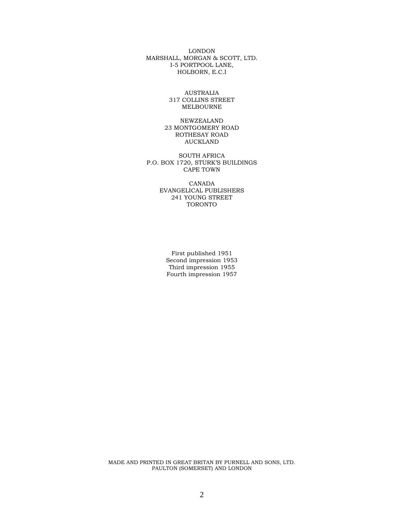LONDON MARSHALL, MORGAN & SCOTT, LTD. I-5 PORTPOOL LANE, HOLBORN, E.C.I

> AUSTRALIA 317 COLLINS STREET MELBOURNE

NEWZEALAND 23 MONTGOMERY ROAD ROTHESAY ROAD AUCKLAND

SOUTH AFRICA P.O. BOX 1720, STURK'S BUILDINGS CAPE TOWN

> CANADA EVANGELICAL PUBLISHERS 241 YOUNG STREET TORONTO

First published 1951 Second impression 1953 Third impression 1955 Fourth impression 1957

MADE AND PRINTED IN GREAT BRITAN BY PURNELL AND SONS, LTD. PAULTON (SOMERSET) AND LONDON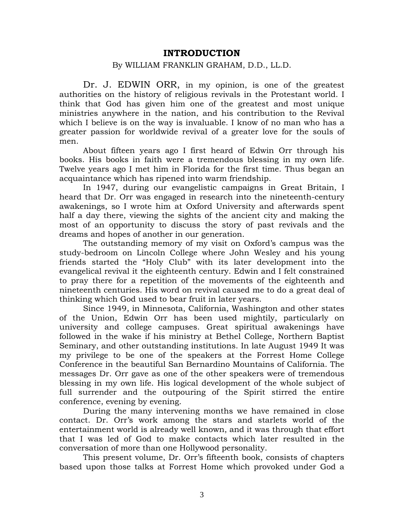# **INTRODUCTION**

#### By WILLIAM FRANKLIN GRAHAM, D.D., LL.D.

Dr. J. EDWIN ORR, in my opinion, is one of the greatest authorities on the history of religious revivals in the Protestant world. I think that God has given him one of the greatest and most unique ministries anywhere in the nation, and his contribution to the Revival which I believe is on the way is invaluable. I know of no man who has a greater passion for worldwide revival of a greater love for the souls of men.

About fifteen years ago I first heard of Edwin Orr through his books. His books in faith were a tremendous blessing in my own life. Twelve years ago I met him in Florida for the first time. Thus began an acquaintance which has ripened into warm friendship.

In 1947, during our evangelistic campaigns in Great Britain, I heard that Dr. Orr was engaged in research into the nineteenth-century awakenings, so I wrote him at Oxford University and afterwards spent half a day there, viewing the sights of the ancient city and making the most of an opportunity to discuss the story of past revivals and the dreams and hopes of another in our generation.

The outstanding memory of my visit on Oxford's campus was the study-bedroom on Lincoln College where John Wesley and his young friends started the "Holy Club" with its later development into the evangelical revival it the eighteenth century. Edwin and I felt constrained to pray there for a repetition of the movements of the eighteenth and nineteenth centuries. His word on revival caused me to do a great deal of thinking which God used to bear fruit in later years.

Since 1949, in Minnesota, California, Washington and other states of the Union, Edwin Orr has been used mightily, particularly on university and college campuses. Great spiritual awakenings have followed in the wake if his ministry at Bethel College, Northern Baptist Seminary, and other outstanding institutions. In late August 1949 It was my privilege to be one of the speakers at the Forrest Home College Conference in the beautiful San Bernardino Mountains of California. The messages Dr. Orr gave as one of the other speakers were of tremendous blessing in my own life. His logical development of the whole subject of full surrender and the outpouring of the Spirit stirred the entire conference, evening by evening.

During the many intervening months we have remained in close contact. Dr. Orr's work among the stars and starlets world of the entertainment world is already well known, and it was through that effort that I was led of God to make contacts which later resulted in the conversation of more than one Hollywood personality.

This present volume, Dr. Orr's fifteenth book, consists of chapters based upon those talks at Forrest Home which provoked under God a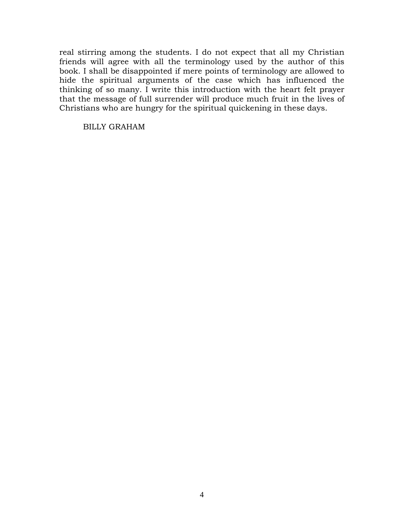real stirring among the students. I do not expect that all my Christian friends will agree with all the terminology used by the author of this book. I shall be disappointed if mere points of terminology are allowed to hide the spiritual arguments of the case which has influenced the thinking of so many. I write this introduction with the heart felt prayer that the message of full surrender will produce much fruit in the lives of Christians who are hungry for the spiritual quickening in these days.

BILLY GRAHAM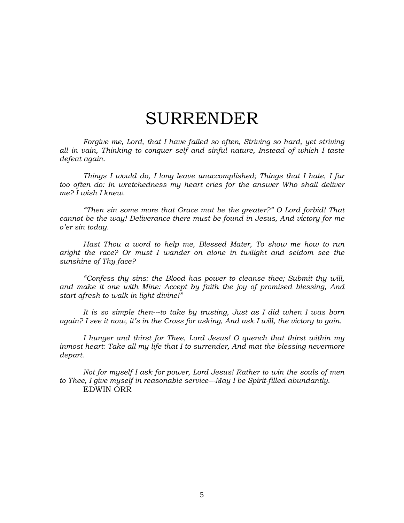# SURRENDER

*Forgive me, Lord, that I have failed so often, Striving so hard, yet striving all in vain, Thinking to conquer self and sinful nature, Instead of which I taste defeat again.*

*Things I would do, I long leave unaccomplished; Things that I hate, I far too often do: In wretchedness my heart cries for the answer Who shall deliver me? I wish I knew.* 

*"Then sin some more that Grace mat be the greater?" O Lord forbid! That cannot be the way! Deliverance there must be found in Jesus, And victory for me o'er sin today.*

*Hast Thou a word to help me, Blessed Mater, To show me how to run aright the race? Or must I wander on alone in twilight and seldom see the sunshine of Thy face?* 

*"Confess thy sins: the Blood has power to cleanse thee; Submit thy will, and make it one with Mine: Accept by faith the joy of promised blessing, And start afresh to walk in light divine!"*

*It is so simple then---to take by trusting, Just as I did when I was born again? I see it now, it's in the Cross for asking, And ask I will, the victory to gain.* 

*I hunger and thirst for Thee, Lord Jesus! O quench that thirst within my inmost heart: Take all my life that I to surrender, And mat the blessing nevermore depart.*

*Not for myself I ask for power, Lord Jesus! Rather to win the souls of men to Thee, I give myself in reasonable service---May I be Spirit-filled abundantly.*  EDWIN ORR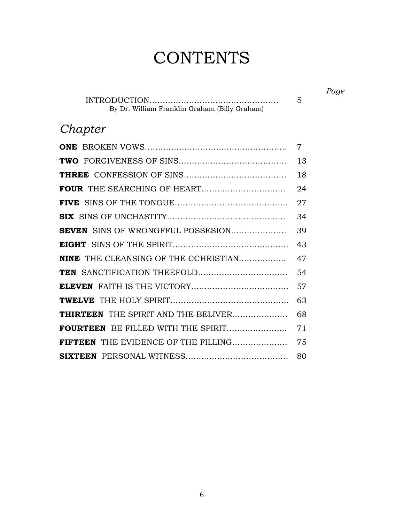# **CONTENTS**

*Page*

| INTRODUCTION<br>By Dr. William Franklin Graham (Billy Graham) | 5  |
|---------------------------------------------------------------|----|
| Chapter                                                       |    |
|                                                               | 7  |
|                                                               | 13 |
|                                                               | 18 |
|                                                               | 24 |
|                                                               | 27 |
|                                                               | 34 |
| <b>SEVEN</b> SINS OF WRONGFFUL POSSESION                      | 39 |
|                                                               | 43 |
| <b>NINE</b> THE CLEANSING OF THE CCHRISTIAN                   | 47 |
|                                                               | 54 |
|                                                               | 57 |
|                                                               | 63 |
| THIRTEEN THE SPIRIT AND THE BELIVER                           | 68 |
| <b>FOURTEEN</b> BE FILLED WITH THE SPIRIT                     | 71 |
| <b>FIFTEEN</b> THE EVIDENCE OF THE FILLING                    | 75 |
|                                                               | 80 |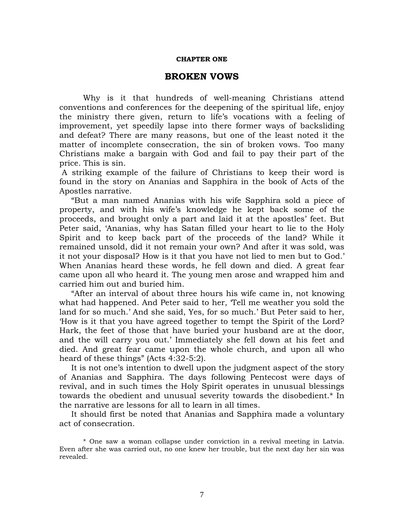#### **CHAPTER ONE**

### **BROKEN VOWS**

Why is it that hundreds of well-meaning Christians attend conventions and conferences for the deepening of the spiritual life, enjoy the ministry there given, return to life's vocations with a feeling of improvement, yet speedily lapse into there former ways of backsliding and defeat? There are many reasons, but one of the least noted it the matter of incomplete consecration, the sin of broken vows. Too many Christians make a bargain with God and fail to pay their part of the price. This is sin.

A striking example of the failure of Christians to keep their word is found in the story on Ananias and Sapphira in the book of Acts of the Apostles narrative.

"But a man named Ananias with his wife Sapphira sold a piece of property, and with his wife's knowledge he kept back some of the proceeds, and brought only a part and laid it at the apostles' feet. But Peter said, 'Ananias, why has Satan filled your heart to lie to the Holy Spirit and to keep back part of the proceeds of the land? While it remained unsold, did it not remain your own? And after it was sold, was it not your disposal? How is it that you have not lied to men but to God.' When Ananias heard these words, he fell down and died. A great fear came upon all who heard it. The young men arose and wrapped him and carried him out and buried him.

"After an interval of about three hours his wife came in, not knowing what had happened. And Peter said to her, 'Tell me weather you sold the land for so much.' And she said, Yes, for so much.' But Peter said to her, 'How is it that you have agreed together to tempt the Spirit of the Lord? Hark, the feet of those that have buried your husband are at the door, and the will carry you out.' Immediately she fell down at his feet and died. And great fear came upon the whole church, and upon all who heard of these things" (Acts 4:32-5:2).

It is not one's intention to dwell upon the judgment aspect of the story of Ananias and Sapphira. The days following Pentecost were days of revival, and in such times the Holy Spirit operates in unusual blessings towards the obedient and unusual severity towards the disobedient.\* In the narrative are lessons for all to learn in all times.

It should first be noted that Ananias and Sapphira made a voluntary act of consecration.

\* One saw a woman collapse under conviction in a revival meeting in Latvia. Even after she was carried out, no one knew her trouble, but the next day her sin was revealed.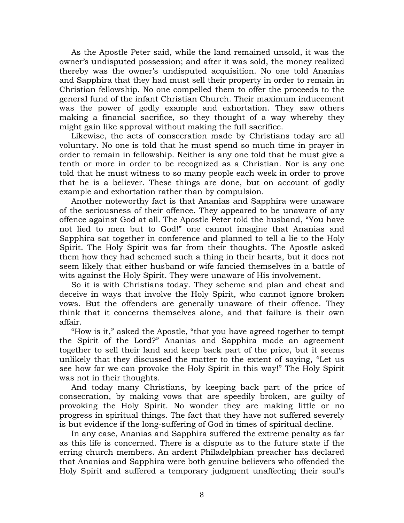As the Apostle Peter said, while the land remained unsold, it was the owner's undisputed possession; and after it was sold, the money realized thereby was the owner's undisputed acquisition. No one told Ananias and Sapphira that they had must sell their property in order to remain in Christian fellowship. No one compelled them to offer the proceeds to the general fund of the infant Christian Church. Their maximum inducement was the power of godly example and exhortation. They saw others making a financial sacrifice, so they thought of a way whereby they might gain like approval without making the full sacrifice.

Likewise, the acts of consecration made by Christians today are all voluntary. No one is told that he must spend so much time in prayer in order to remain in fellowship. Neither is any one told that he must give a tenth or more in order to be recognized as a Christian. Nor is any one told that he must witness to so many people each week in order to prove that he is a believer. These things are done, but on account of godly example and exhortation rather than by compulsion.

Another noteworthy fact is that Ananias and Sapphira were unaware of the seriousness of their offence. They appeared to be unaware of any offence against God at all. The Apostle Peter told the husband, "You have not lied to men but to God!" one cannot imagine that Ananias and Sapphira sat together in conference and planned to tell a lie to the Holy Spirit. The Holy Spirit was far from their thoughts. The Apostle asked them how they had schemed such a thing in their hearts, but it does not seem likely that either husband or wife fancied themselves in a battle of wits against the Holy Spirit. They were unaware of His involvement.

So it is with Christians today. They scheme and plan and cheat and deceive in ways that involve the Holy Spirit, who cannot ignore broken vows. But the offenders are generally unaware of their offence. They think that it concerns themselves alone, and that failure is their own affair.

"How is it," asked the Apostle, "that you have agreed together to tempt the Spirit of the Lord?" Ananias and Sapphira made an agreement together to sell their land and keep back part of the price, but it seems unlikely that they discussed the matter to the extent of saying, "Let us see how far we can provoke the Holy Spirit in this way!" The Holy Spirit was not in their thoughts.

And today many Christians, by keeping back part of the price of consecration, by making vows that are speedily broken, are guilty of provoking the Holy Spirit. No wonder they are making little or no progress in spiritual things. The fact that they have not suffered severely is but evidence if the long-suffering of God in times of spiritual decline.

In any case, Ananias and Sapphira suffered the extreme penalty as far as this life is concerned. There is a dispute as to the future state if the erring church members. An ardent Philadelphian preacher has declared that Ananias and Sapphira were both genuine believers who offended the Holy Spirit and suffered a temporary judgment unaffecting their soul's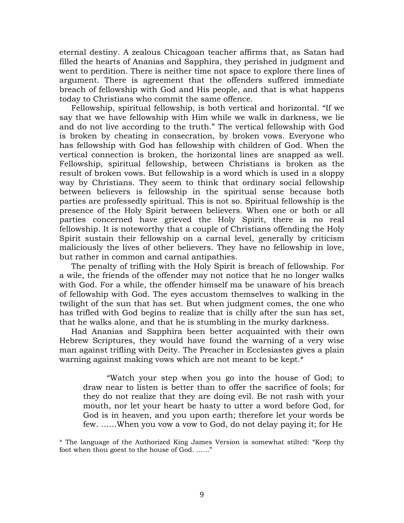eternal destiny. A zealous Chicagoan teacher affirms that, as Satan had filled the hearts of Ananias and Sapphira, they perished in judgment and went to perdition. There is neither time not space to explore there lines of argument. There is agreement that the offenders suffered immediate breach of fellowship with God and His people, and that is what happens today to Christians who commit the same offence.

Fellowship, spiritual fellowship, is both vertical and horizontal. "If we say that we have fellowship with Him while we walk in darkness, we lie and do not live according to the truth." The vertical fellowship with God is broken by cheating in consecration, by broken vows. Everyone who has fellowship with God has fellowship with children of God. When the vertical connection is broken, the horizontal lines are snapped as well. Fellowship, spiritual fellowship, between Christians is broken as the result of broken vows. But fellowship is a word which is used in a sloppy way by Christians. They seem to think that ordinary social fellowship between believers is fellowship in the spiritual sense because both parties are professedly spiritual. This is not so. Spiritual fellowship is the presence of the Holy Spirit between believers. When one or both or all parties concerned have grieved the Holy Spirit, there is no real fellowship. It is noteworthy that a couple of Christians offending the Holy Spirit sustain their fellowship on a carnal level, generally by criticism maliciously the lives of other believers. They have no fellowship in love, but rather in common and carnal antipathies.

The penalty of trifling with the Holy Spirit is breach of fellowship. For a wile, the friends of the offender may not notice that he no longer walks with God. For a while, the offender himself ma be unaware of his breach of fellowship with God. The eyes accustom themselves to walking in the twilight of the sun that has set. But when judgment comes, the one who has trifled with God begins to realize that is chilly after the sun has set, that he walks alone, and that he is stumbling in the murky darkness.

Had Ananias and Sapphira been better acquainted with their own Hebrew Scriptures, they would have found the warning of a very wise man against trifling with Deity. The Preacher in Ecclesiastes gives a plain warning against making vows which are not meant to be kept.\*

"Watch your step when you go into the house of God; to draw near to listen is better than to offer the sacrifice of fools; for they do not realize that they are doing evil. Be not rash with your mouth, nor let your heart be hasty to utter a word before God, for God is in heaven, and you upon earth; therefore let your words be few. ……When you vow a vow to God, do not delay paying it; for He

\* The language of the Authorized King James Version is somewhat stilted: "Keep thy foot when thou goest to the house of God. ……"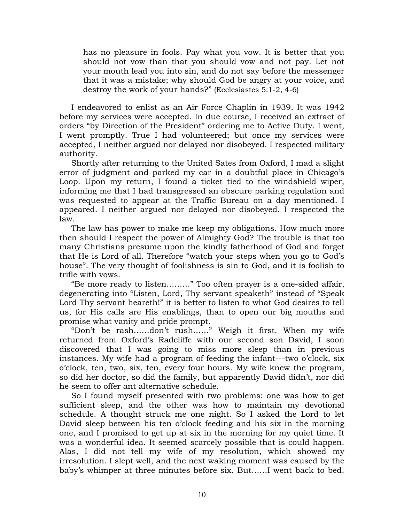has no pleasure in fools. Pay what you vow. It is better that you should not vow than that you should vow and not pay. Let not your mouth lead you into sin, and do not say before the messenger that it was a mistake; why should God be angry at your voice, and destroy the work of your hands?" (Ecclesiastes 5:1-2, 4-6)

I endeavored to enlist as an Air Force Chaplin in 1939. It was 1942 before my services were accepted. In due course, I received an extract of orders "by Direction of the President" ordering me to Active Duty. I went, I went promptly. True I had volunteered; but once my services were accepted, I neither argued nor delayed nor disobeyed. I respected military authority.

Shortly after returning to the United Sates from Oxford, I mad a slight error of judgment and parked my car in a doubtful place in Chicago's Loop. Upon my return, I found a ticket tied to the windshield wiper, informing me that I had transgressed an obscure parking regulation and was requested to appear at the Traffic Bureau on a day mentioned. I appeared. I neither argued nor delayed nor disobeyed. I respected the law.

The law has power to make me keep my obligations. How much more then should I respect the power of Almighty God? The trouble is that too many Christians presume upon the kindly fatherhood of God and forget that He is Lord of all. Therefore "watch your steps when you go to God's house". The very thought of foolishness is sin to God, and it is foolish to trifle with vows.

"Be more ready to listen………" Too often prayer is a one-sided affair, degenerating into "Listen, Lord, Thy servant speaketh" instead of "Speak Lord Thy servant heareth!" it is better to listen to what God desires to tell us, for His calls are His enablings, than to open our big mouths and promise what vanity and pride prompt.

"Don't be rash……don't rush……" Weigh it first. When my wife returned from Oxford's Radcliffe with our second son David, I soon discovered that I was going to miss more sleep than in previous instances. My wife had a program of feeding the infant---two o'clock, six o'clock, ten, two, six, ten, every four hours. My wife knew the program, so did her doctor, so did the family, but apparently David didn't, nor did he seem to offer ant alternative schedule.

So I found myself presented with two problems: one was how to get sufficient sleep, and the other was how to maintain my devotional schedule. A thought struck me one night. So I asked the Lord to let David sleep between his ten o'clock feeding and his six in the morning one, and I promised to get up at six in the morning for my quiet time. It was a wonderful idea. It seemed scarcely possible that is could happen. Alas, I did not tell my wife of my resolution, which showed my irresolution. I slept well, and the next waking moment was caused by the baby's whimper at three minutes before six. But……I went back to bed.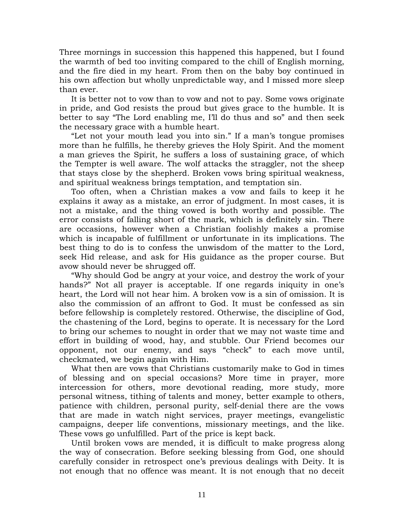Three mornings in succession this happened this happened, but I found the warmth of bed too inviting compared to the chill of English morning, and the fire died in my heart. From then on the baby boy continued in his own affection but wholly unpredictable way, and I missed more sleep than ever.

It is better not to vow than to vow and not to pay. Some vows originate in pride, and God resists the proud but gives grace to the humble. It is better to say "The Lord enabling me, I'll do thus and so" and then seek the necessary grace with a humble heart.

"Let not your mouth lead you into sin." If a man's tongue promises more than he fulfills, he thereby grieves the Holy Spirit. And the moment a man grieves the Spirit, he suffers a loss of sustaining grace, of which the Tempter is well aware. The wolf attacks the straggler, not the sheep that stays close by the shepherd. Broken vows bring spiritual weakness, and spiritual weakness brings temptation, and temptation sin.

Too often, when a Christian makes a vow and fails to keep it he explains it away as a mistake, an error of judgment. In most cases, it is not a mistake, and the thing vowed is both worthy and possible. The error consists of falling short of the mark, which is definitely sin. There are occasions, however when a Christian foolishly makes a promise which is incapable of fulfillment or unfortunate in its implications. The best thing to do is to confess the unwisdom of the matter to the Lord, seek Hid release, and ask for His guidance as the proper course. But avow should never be shrugged off.

"Why should God be angry at your voice, and destroy the work of your hands?" Not all prayer is acceptable. If one regards iniquity in one's heart, the Lord will not hear him. A broken vow is a sin of omission. It is also the commission of an affront to God. It must be confessed as sin before fellowship is completely restored. Otherwise, the discipline of God, the chastening of the Lord, begins to operate. It is necessary for the Lord to bring our schemes to nought in order that we may not waste time and effort in building of wood, hay, and stubble. Our Friend becomes our opponent, not our enemy, and says "check" to each move until, checkmated, we begin again with Him.

What then are vows that Christians customarily make to God in times of blessing and on special occasions? More time in prayer, more intercession for others, more devotional reading, more study, more personal witness, tithing of talents and money, better example to others, patience with children, personal purity, self-denial there are the vows that are made in watch night services, prayer meetings, evangelistic campaigns, deeper life conventions, missionary meetings, and the like. These vows go unfulfilled. Part of the price is kept back.

Until broken vows are mended, it is difficult to make progress along the way of consecration. Before seeking blessing from God, one should carefully consider in retrospect one's previous dealings with Deity. It is not enough that no offence was meant. It is not enough that no deceit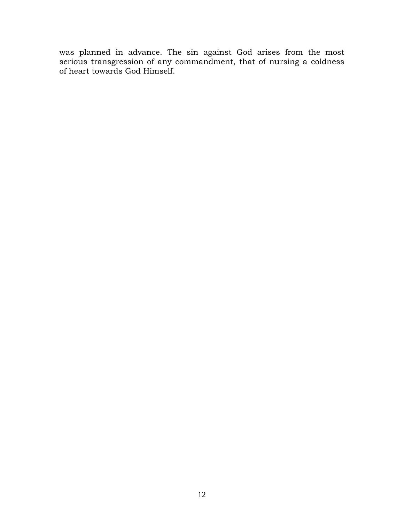was planned in advance. The sin against God arises from the most serious transgression of any commandment, that of nursing a coldness of heart towards God Himself.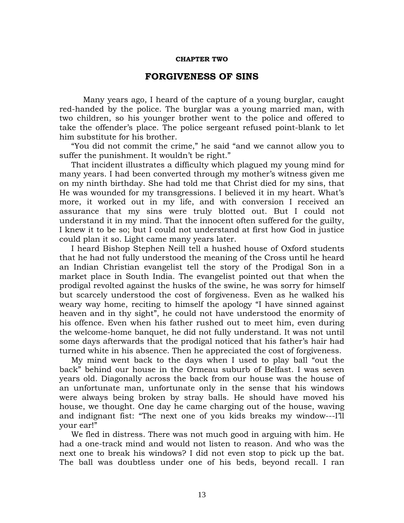#### **CHAPTER TWO**

# **FORGIVENESS OF SINS**

Many years ago, I heard of the capture of a young burglar, caught red-handed by the police. The burglar was a young married man, with two children, so his younger brother went to the police and offered to take the offender's place. The police sergeant refused point-blank to let him substitute for his brother.

"You did not commit the crime," he said "and we cannot allow you to suffer the punishment. It wouldn't be right."

That incident illustrates a difficulty which plagued my young mind for many years. I had been converted through my mother's witness given me on my ninth birthday. She had told me that Christ died for my sins, that He was wounded for my transgressions. I believed it in my heart. What's more, it worked out in my life, and with conversion I received an assurance that my sins were truly blotted out. But I could not understand it in my mind. That the innocent often suffered for the guilty, I knew it to be so; but I could not understand at first how God in justice could plan it so. Light came many years later.

I heard Bishop Stephen Neill tell a hushed house of Oxford students that he had not fully understood the meaning of the Cross until he heard an Indian Christian evangelist tell the story of the Prodigal Son in a market place in South India. The evangelist pointed out that when the prodigal revolted against the husks of the swine, he was sorry for himself but scarcely understood the cost of forgiveness. Even as he walked his weary way home, reciting to himself the apology "I have sinned against heaven and in thy sight", he could not have understood the enormity of his offence. Even when his father rushed out to meet him, even during the welcome-home banquet, he did not fully understand. It was not until some days afterwards that the prodigal noticed that his father's hair had turned white in his absence. Then he appreciated the cost of forgiveness.

My mind went back to the days when I used to play ball "out the back" behind our house in the Ormeau suburb of Belfast. I was seven years old. Diagonally across the back from our house was the house of an unfortunate man, unfortunate only in the sense that his windows were always being broken by stray balls. He should have moved his house, we thought. One day he came charging out of the house, waving and indignant fist: "The next one of you kids breaks my window---I'll your ear!"

We fled in distress. There was not much good in arguing with him. He had a one-track mind and would not listen to reason. And who was the next one to break his windows? I did not even stop to pick up the bat. The ball was doubtless under one of his beds, beyond recall. I ran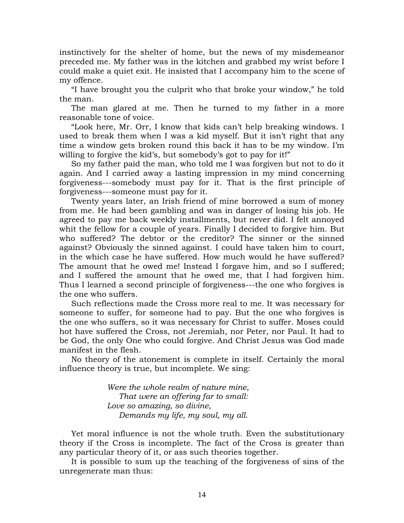instinctively for the shelter of home, but the news of my misdemeanor preceded me. My father was in the kitchen and grabbed my wrist before I could make a quiet exit. He insisted that I accompany him to the scene of my offence.

"I have brought you the culprit who that broke your window," he told the man.

The man glared at me. Then he turned to my father in a more reasonable tone of voice.

"Look here, Mr. Orr, I know that kids can't help breaking windows. I used to break them when I was a kid myself. But it isn't right that any time a window gets broken round this back it has to be my window. I'm willing to forgive the kid's, but somebody's got to pay for it!"

So my father paid the man, who told me I was forgiven but not to do it again. And I carried away a lasting impression in my mind concerning forgiveness---somebody must pay for it. That is the first principle of forgiveness---someone must pay for it.

Twenty years later, an Irish friend of mine borrowed a sum of money from me. He had been gambling and was in danger of losing his job. He agreed to pay me back weekly installments, but never did. I felt annoyed whit the fellow for a couple of years. Finally I decided to forgive him. But who suffered? The debtor or the creditor? The sinner or the sinned against? Obviously the sinned against. I could have taken him to court, in the which case he have suffered. How much would he have suffered? The amount that he owed me! Instead I forgave him, and so I suffered; and I suffered the amount that he owed me, that I had forgiven him. Thus I learned a second principle of forgiveness---the one who forgives is the one who suffers.

Such reflections made the Cross more real to me. It was necessary for someone to suffer, for someone had to pay. But the one who forgives is the one who suffers, so it was necessary for Christ to suffer. Moses could hot have suffered the Cross, not Jeremiah, nor Peter, nor Paul. It had to be God, the only One who could forgive. And Christ Jesus was God made manifest in the flesh.

No theory of the atonement is complete in itself. Certainly the moral influence theory is true, but incomplete. We sing:

> *Were the whole realm of nature mine, That were an offering far to small: Love so amazing, so divine, Demands my life, my soul, my all.*

Yet moral influence is not the whole truth. Even the substitutionary theory if the Cross is incomplete. The fact of the Cross is greater than any particular theory of it, or ass such theories together.

It is possible to sum up the teaching of the forgiveness of sins of the unregenerate man thus: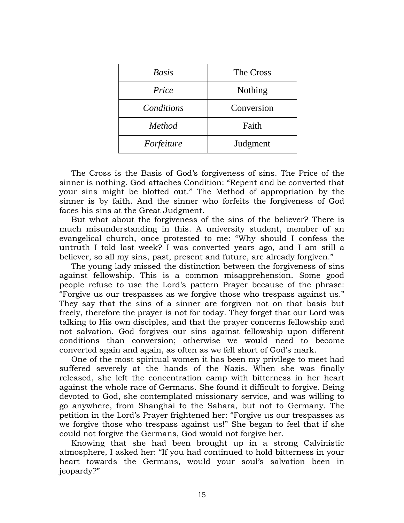| <b>Basis</b> | The Cross      |  |  |
|--------------|----------------|--|--|
| Price        | <b>Nothing</b> |  |  |
| Conditions   | Conversion     |  |  |
| Method       | Faith          |  |  |
| Forfeiture   | Judgment       |  |  |

The Cross is the Basis of God's forgiveness of sins. The Price of the sinner is nothing. God attaches Condition: "Repent and be converted that your sins might be blotted out." The Method of appropriation by the sinner is by faith. And the sinner who forfeits the forgiveness of God faces his sins at the Great Judgment.

But what about the forgiveness of the sins of the believer? There is much misunderstanding in this. A university student, member of an evangelical church, once protested to me: "Why should I confess the untruth I told last week? I was converted years ago, and I am still a believer, so all my sins, past, present and future, are already forgiven."

The young lady missed the distinction between the forgiveness of sins against fellowship. This is a common misapprehension. Some good people refuse to use the Lord's pattern Prayer because of the phrase: "Forgive us our trespasses as we forgive those who trespass against us." They say that the sins of a sinner are forgiven not on that basis but freely, therefore the prayer is not for today. They forget that our Lord was talking to His own disciples, and that the prayer concerns fellowship and not salvation. God forgives our sins against fellowship upon different conditions than conversion; otherwise we would need to become converted again and again, as often as we fell short of God's mark.

One of the most spiritual women it has been my privilege to meet had suffered severely at the hands of the Nazis. When she was finally released, she left the concentration camp with bitterness in her heart against the whole race of Germans. She found it difficult to forgive. Being devoted to God, she contemplated missionary service, and was willing to go anywhere, from Shanghai to the Sahara, but not to Germany. The petition in the Lord's Prayer frightened her: "Forgive us our trespasses as we forgive those who trespass against us!" She began to feel that if she could not forgive the Germans, God would not forgive her.

Knowing that she had been brought up in a strong Calvinistic atmosphere, I asked her: "If you had continued to hold bitterness in your heart towards the Germans, would your soul's salvation been in jeopardy?"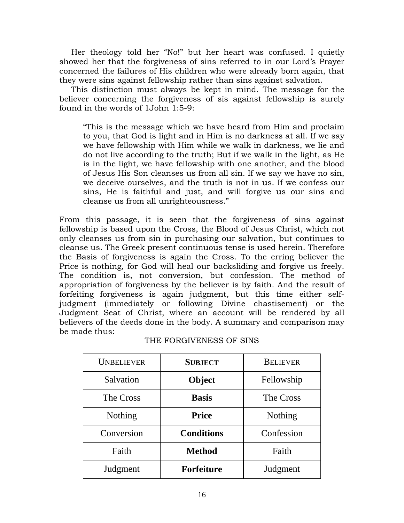Her theology told her "No!" but her heart was confused. I quietly showed her that the forgiveness of sins referred to in our Lord's Prayer concerned the failures of His children who were already born again, that they were sins against fellowship rather than sins against salvation.

This distinction must always be kept in mind. The message for the believer concerning the forgiveness of sis against fellowship is surely found in the words of 1John 1:5-9:

"This is the message which we have heard from Him and proclaim to you, that God is light and in Him is no darkness at all. If we say we have fellowship with Him while we walk in darkness, we lie and do not live according to the truth; But if we walk in the light, as He is in the light, we have fellowship with one another, and the blood of Jesus His Son cleanses us from all sin. If we say we have no sin, we deceive ourselves, and the truth is not in us. If we confess our sins, He is faithful and just, and will forgive us our sins and cleanse us from all unrighteousness."

From this passage, it is seen that the forgiveness of sins against fellowship is based upon the Cross, the Blood of Jesus Christ, which not only cleanses us from sin in purchasing our salvation, but continues to cleanse us. The Greek present continuous tense is used herein. Therefore the Basis of forgiveness is again the Cross. To the erring believer the Price is nothing, for God will heal our backsliding and forgive us freely. The condition is, not conversion, but confession. The method of appropriation of forgiveness by the believer is by faith. And the result of forfeiting forgiveness is again judgment, but this time either selfjudgment (immediately or following Divine chastisement) or the Judgment Seat of Christ, where an account will be rendered by all believers of the deeds done in the body. A summary and comparison may be made thus:

| <b>UNBELIEVER</b> | <b>SUBJECT</b>    | <b>BELIEVER</b> |
|-------------------|-------------------|-----------------|
| Salvation         | Object            | Fellowship      |
| The Cross         | <b>Basis</b>      | The Cross       |
| Nothing           | <b>Price</b>      | <b>Nothing</b>  |
| Conversion        | <b>Conditions</b> | Confession      |
| Faith             | <b>Method</b>     | Faith           |
| Judgment          | <b>Forfeiture</b> | Judgment        |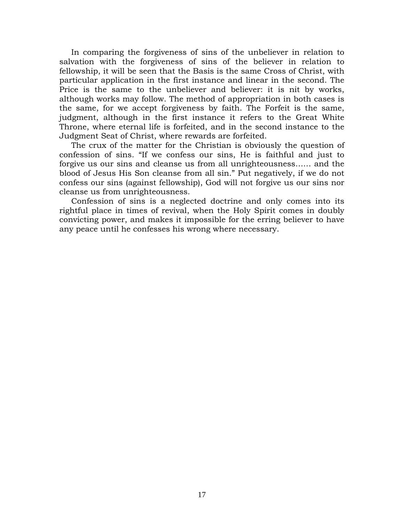In comparing the forgiveness of sins of the unbeliever in relation to salvation with the forgiveness of sins of the believer in relation to fellowship, it will be seen that the Basis is the same Cross of Christ, with particular application in the first instance and linear in the second. The Price is the same to the unbeliever and believer: it is nit by works, although works may follow. The method of appropriation in both cases is the same, for we accept forgiveness by faith. The Forfeit is the same, judgment, although in the first instance it refers to the Great White Throne, where eternal life is forfeited, and in the second instance to the Judgment Seat of Christ, where rewards are forfeited.

The crux of the matter for the Christian is obviously the question of confession of sins. "If we confess our sins, He is faithful and just to forgive us our sins and cleanse us from all unrighteousness…… and the blood of Jesus His Son cleanse from all sin." Put negatively, if we do not confess our sins (against fellowship), God will not forgive us our sins nor cleanse us from unrighteousness.

Confession of sins is a neglected doctrine and only comes into its rightful place in times of revival, when the Holy Spirit comes in doubly convicting power, and makes it impossible for the erring believer to have any peace until he confesses his wrong where necessary.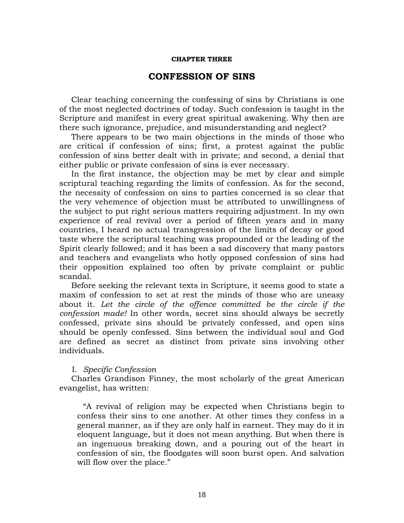#### **CHAPTER THREE**

# **CONFESSION OF SINS**

Clear teaching concerning the confessing of sins by Christians is one of the most neglected doctrines of today. Such confession is taught in the Scripture and manifest in every great spiritual awakening. Why then are there such ignorance, prejudice, and misunderstanding and neglect?

There appears to be two main objections in the minds of those who are critical if confession of sins; first, a protest against the public confession of sins better dealt with in private; and second, a denial that either public or private confession of sins is ever necessary.

In the first instance, the objection may be met by clear and simple scriptural teaching regarding the limits of confession. As for the second, the necessity of confession on sins to parties concerned is so clear that the very vehemence of objection must be attributed to unwillingness of the subject to put right serious matters requiring adjustment. In my own experience of real revival over a period of fifteen years and in many countries, I heard no actual transgression of the limits of decay or good taste where the scriptural teaching was propounded or the leading of the Spirit clearly followed; and it has been a sad discovery that many pastors and teachers and evangelists who hotly opposed confession of sins had their opposition explained too often by private complaint or public scandal.

Before seeking the relevant texts in Scripture, it seems good to state a maxim of confession to set at rest the minds of those who are uneasy about it. *Let the circle of the offence committed be the circle if the confession made!* In other words, secret sins should always be secretly confessed, private sins should be privately confessed, and open sins should be openly confessed. Sins between the individual soul and God are defined as secret as distinct from private sins involving other individuals.

#### I. *Specific Confession*

Charles Grandison Finney, the most scholarly of the great American evangelist, has written:

"A revival of religion may be expected when Christians begin to confess their sins to one another. At other times they confess in a general manner, as if they are only half in earnest. They may do it in eloquent language, but it does not mean anything. But when there is an ingenuous breaking down, and a pouring out of the heart in confession of sin, the floodgates will soon burst open. And salvation will flow over the place."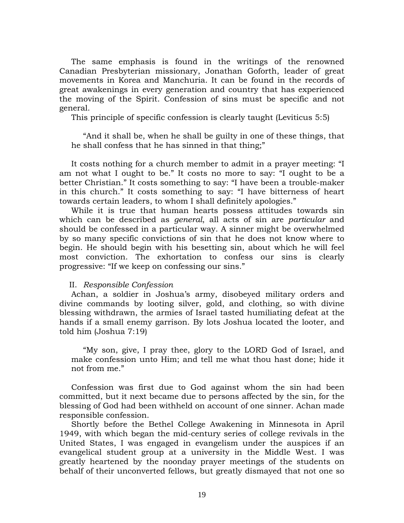The same emphasis is found in the writings of the renowned Canadian Presbyterian missionary, Jonathan Goforth, leader of great movements in Korea and Manchuria. It can be found in the records of great awakenings in every generation and country that has experienced the moving of the Spirit. Confession of sins must be specific and not general.

This principle of specific confession is clearly taught (Leviticus 5:5)

"And it shall be, when he shall be guilty in one of these things, that he shall confess that he has sinned in that thing;"

It costs nothing for a church member to admit in a prayer meeting: "I am not what I ought to be." It costs no more to say: "I ought to be a better Christian." It costs something to say: "I have been a trouble-maker in this church." It costs something to say: "I have bitterness of heart towards certain leaders, to whom I shall definitely apologies."

While it is true that human hearts possess attitudes towards sin which can be described as *general*, all acts of sin are *particular* and should be confessed in a particular way. A sinner might be overwhelmed by so many specific convictions of sin that he does not know where to begin. He should begin with his besetting sin, about which he will feel most conviction. The exhortation to confess our sins is clearly progressive: "If we keep on confessing our sins."

### II. *Responsible Confession*

Achan, a soldier in Joshua's army, disobeyed military orders and divine commands by looting silver, gold, and clothing, so with divine blessing withdrawn, the armies of Israel tasted humiliating defeat at the hands if a small enemy garrison. By lots Joshua located the looter, and told him (Joshua 7:19)

"My son, give, I pray thee, glory to the LORD God of Israel, and make confession unto Him; and tell me what thou hast done; hide it not from me."

Confession was first due to God against whom the sin had been committed, but it next became due to persons affected by the sin, for the blessing of God had been withheld on account of one sinner. Achan made responsible confession.

Shortly before the Bethel College Awakening in Minnesota in April 1949, with which began the mid-century series of college revivals in the United States, I was engaged in evangelism under the auspices if an evangelical student group at a university in the Middle West. I was greatly heartened by the noonday prayer meetings of the students on behalf of their unconverted fellows, but greatly dismayed that not one so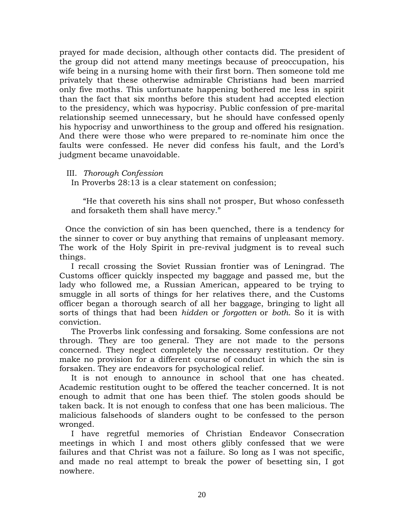prayed for made decision, although other contacts did. The president of the group did not attend many meetings because of preoccupation, his wife being in a nursing home with their first born. Then someone told me privately that these otherwise admirable Christians had been married only five moths. This unfortunate happening bothered me less in spirit than the fact that six months before this student had accepted election to the presidency, which was hypocrisy. Public confession of pre-marital relationship seemed unnecessary, but he should have confessed openly his hypocrisy and unworthiness to the group and offered his resignation. And there were those who were prepared to re-nominate him once the faults were confessed. He never did confess his fault, and the Lord's judgment became unavoidable.

### III. *Thorough Confession*

In Proverbs 28:13 is a clear statement on confession;

"He that covereth his sins shall not prosper, But whoso confesseth and forsaketh them shall have mercy."

Once the conviction of sin has been quenched, there is a tendency for the sinner to cover or buy anything that remains of unpleasant memory. The work of the Holy Spirit in pre-revival judgment is to reveal such things.

I recall crossing the Soviet Russian frontier was of Leningrad. The Customs officer quickly inspected my baggage and passed me, but the lady who followed me, a Russian American, appeared to be trying to smuggle in all sorts of things for her relatives there, and the Customs officer began a thorough search of all her baggage, bringing to light all sorts of things that had been *hidden* or *forgotten* or *both*. So it is with conviction.

The Proverbs link confessing and forsaking. Some confessions are not through. They are too general. They are not made to the persons concerned. They neglect completely the necessary restitution. Or they make no provision for a different course of conduct in which the sin is forsaken. They are endeavors for psychological relief.

It is not enough to announce in school that one has cheated. Academic restitution ought to be offered the teacher concerned. It is not enough to admit that one has been thief. The stolen goods should be taken back. It is not enough to confess that one has been malicious. The malicious falsehoods of slanders ought to be confessed to the person wronged.

I have regretful memories of Christian Endeavor Consecration meetings in which I and most others glibly confessed that we were failures and that Christ was not a failure. So long as I was not specific, and made no real attempt to break the power of besetting sin, I got nowhere.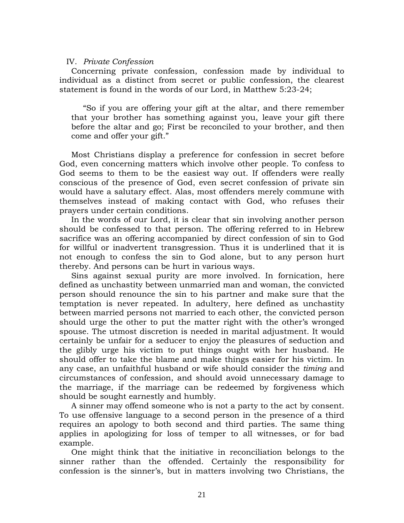#### IV. *Private Confession*

Concerning private confession, confession made by individual to individual as a distinct from secret or public confession, the clearest statement is found in the words of our Lord, in Matthew 5:23-24;

"So if you are offering your gift at the altar, and there remember that your brother has something against you, leave your gift there before the altar and go; First be reconciled to your brother, and then come and offer your gift."

Most Christians display a preference for confession in secret before God, even concerning matters which involve other people. To confess to God seems to them to be the easiest way out. If offenders were really conscious of the presence of God, even secret confession of private sin would have a salutary effect. Alas, most offenders merely commune with themselves instead of making contact with God, who refuses their prayers under certain conditions.

In the words of our Lord, it is clear that sin involving another person should be confessed to that person. The offering referred to in Hebrew sacrifice was an offering accompanied by direct confession of sin to God for willful or inadvertent transgression. Thus it is underlined that it is not enough to confess the sin to God alone, but to any person hurt thereby. And persons can be hurt in various ways.

Sins against sexual purity are more involved. In fornication, here defined as unchastity between unmarried man and woman, the convicted person should renounce the sin to his partner and make sure that the temptation is never repeated. In adultery, here defined as unchastity between married persons not married to each other, the convicted person should urge the other to put the matter right with the other's wronged spouse. The utmost discretion is needed in marital adjustment. It would certainly be unfair for a seducer to enjoy the pleasures of seduction and the glibly urge his victim to put things ought with her husband. He should offer to take the blame and make things easier for his victim. In any case, an unfaithful husband or wife should consider the *timing* and circumstances of confession, and should avoid unnecessary damage to the marriage, if the marriage can be redeemed by forgiveness which should be sought earnestly and humbly.

A sinner may offend someone who is not a party to the act by consent. To use offensive language to a second person in the presence of a third requires an apology to both second and third parties. The same thing applies in apologizing for loss of temper to all witnesses, or for bad example.

One might think that the initiative in reconciliation belongs to the sinner rather than the offended. Certainly the responsibility for confession is the sinner's, but in matters involving two Christians, the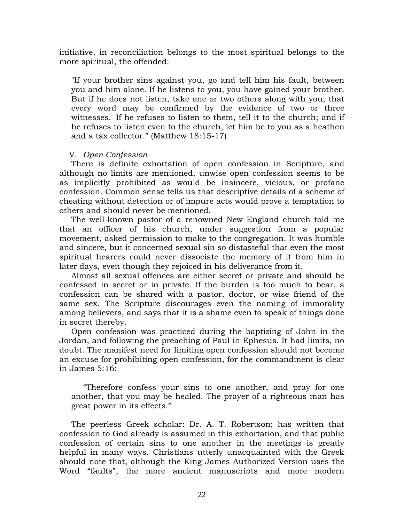initiative, in reconciliation belongs to the most spiritual belongs to the more spiritual, the offended:

"If your brother sins against you, go and tell him his fault, between you and him alone. If he listens to you, you have gained your brother. But if he does not listen, take one or two others along with you, that every word may be confirmed by the evidence of two or three witnesses.' If he refuses to listen to them, tell it to the church; and if he refuses to listen even to the church, let him be to you as a heathen and a tax collector." (Matthew 18:15-17)

### V. *Open Confession*

There is definite exhortation of open confession in Scripture, and although no limits are mentioned, unwise open confession seems to be as implicitly prohibited as would be insincere, vicious, or profane confession. Common sense tells us that descriptive details of a scheme of cheating without detection or of impure acts would prove a temptation to others and should never be mentioned.

The well-known pastor of a renowned New England church told me that an officer of his church, under suggestion from a popular movement, asked permission to make to the congregation. It was humble and sincere, but it concerned sexual sin so distasteful that even the most spiritual hearers could never dissociate the memory of it from him in later days, even though they rejoiced in his deliverance from it.

Almost all sexual offences are either secret or private and should be confessed in secret or in private. If the burden is too much to bear, a confession can be shared with a pastor, doctor, or wise friend of the same sex. The Scripture discourages even the naming of immorality among believers, and says that it is a shame even to speak of things done in secret thereby.

Open confession was practiced during the baptizing of John in the Jordan, and following the preaching of Paul in Ephesus. It had limits, no doubt. The manifest need for limiting open confession should not become an excuse for prohibiting open confession, for the commandment is clear in James 5:16:

"Therefore confess your sins to one another, and pray for one another, that you may be healed. The prayer of a righteous man has great power in its effects."

The peerless Greek scholar: Dr. A. T. Robertson; has written that confession to God already is assumed in this exhortation, and that public confession of certain sins to one another in the meetings is greatly helpful in many ways. Christians utterly unacquainted with the Greek should note that, although the King James Authorized Version uses the Word "faults", the more ancient manuscripts and more modern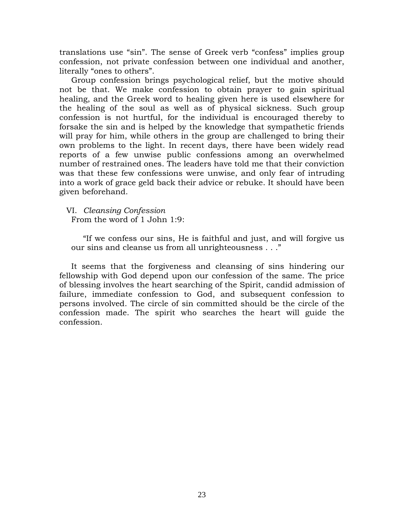translations use "sin". The sense of Greek verb "confess" implies group confession, not private confession between one individual and another, literally "ones to others".

Group confession brings psychological relief, but the motive should not be that. We make confession to obtain prayer to gain spiritual healing, and the Greek word to healing given here is used elsewhere for the healing of the soul as well as of physical sickness. Such group confession is not hurtful, for the individual is encouraged thereby to forsake the sin and is helped by the knowledge that sympathetic friends will pray for him, while others in the group are challenged to bring their own problems to the light. In recent days, there have been widely read reports of a few unwise public confessions among an overwhelmed number of restrained ones. The leaders have told me that their conviction was that these few confessions were unwise, and only fear of intruding into a work of grace geld back their advice or rebuke. It should have been given beforehand.

VI. *Cleansing Confession*

From the word of 1 John 1:9:

"If we confess our sins, He is faithful and just, and will forgive us our sins and cleanse us from all unrighteousness . . ."

It seems that the forgiveness and cleansing of sins hindering our fellowship with God depend upon our confession of the same. The price of blessing involves the heart searching of the Spirit, candid admission of failure, immediate confession to God, and subsequent confession to persons involved. The circle of sin committed should be the circle of the confession made. The spirit who searches the heart will guide the confession.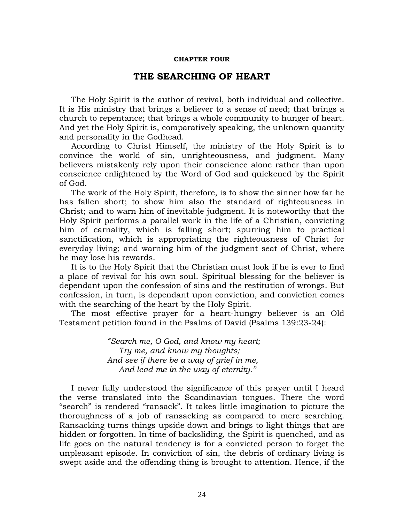#### **CHAPTER FOUR**

# **THE SEARCHING OF HEART**

The Holy Spirit is the author of revival, both individual and collective. It is His ministry that brings a believer to a sense of need; that brings a church to repentance; that brings a whole community to hunger of heart. And yet the Holy Spirit is, comparatively speaking, the unknown quantity and personality in the Godhead.

According to Christ Himself, the ministry of the Holy Spirit is to convince the world of sin, unrighteousness, and judgment. Many believers mistakenly rely upon their conscience alone rather than upon conscience enlightened by the Word of God and quickened by the Spirit of God.

The work of the Holy Spirit, therefore, is to show the sinner how far he has fallen short; to show him also the standard of righteousness in Christ; and to warn him of inevitable judgment. It is noteworthy that the Holy Spirit performs a parallel work in the life of a Christian, convicting him of carnality, which is falling short; spurring him to practical sanctification, which is appropriating the righteousness of Christ for everyday living; and warning him of the judgment seat of Christ, where he may lose his rewards.

It is to the Holy Spirit that the Christian must look if he is ever to find a place of revival for his own soul. Spiritual blessing for the believer is dependant upon the confession of sins and the restitution of wrongs. But confession, in turn, is dependant upon conviction, and conviction comes with the searching of the heart by the Holy Spirit.

The most effective prayer for a heart-hungry believer is an Old Testament petition found in the Psalms of David (Psalms 139:23-24):

> *"Search me, O God, and know my heart; Try me, and know my thoughts; And see if there be a way of grief in me, And lead me in the way of eternity."*

I never fully understood the significance of this prayer until I heard the verse translated into the Scandinavian tongues. There the word "search" is rendered "ransack". It takes little imagination to picture the thoroughness of a job of ransacking as compared to mere searching. Ransacking turns things upside down and brings to light things that are hidden or forgotten. In time of backsliding, the Spirit is quenched, and as life goes on the natural tendency is for a convicted person to forget the unpleasant episode. In conviction of sin, the debris of ordinary living is swept aside and the offending thing is brought to attention. Hence, if the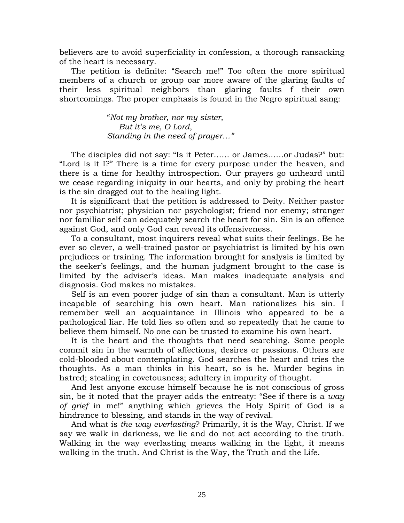believers are to avoid superficiality in confession, a thorough ransacking of the heart is necessary.

The petition is definite: "Search me!" Too often the more spiritual members of a church or group oar more aware of the glaring faults of their less spiritual neighbors than glaring faults f their own shortcomings. The proper emphasis is found in the Negro spiritual sang:

> "*Not my brother, nor my sister, But it's me, O Lord, Standing in the need of prayer…"*

The disciples did not say: "Is it Peter…… or James……or Judas?" but: "Lord is it I?" There is a time for every purpose under the heaven, and there is a time for healthy introspection. Our prayers go unheard until we cease regarding iniquity in our hearts, and only by probing the heart is the sin dragged out to the healing light.

It is significant that the petition is addressed to Deity. Neither pastor nor psychiatrist; physician nor psychologist; friend nor enemy; stranger nor familiar self can adequately search the heart for sin. Sin is an offence against God, and only God can reveal its offensiveness.

To a consultant, most inquirers reveal what suits their feelings. Be he ever so clever, a well-trained pastor or psychiatrist is limited by his own prejudices or training. The information brought for analysis is limited by the seeker's feelings, and the human judgment brought to the case is limited by the adviser's ideas. Man makes inadequate analysis and diagnosis. God makes no mistakes.

Self is an even poorer judge of sin than a consultant. Man is utterly incapable of searching his own heart. Man rationalizes his sin. I remember well an acquaintance in Illinois who appeared to be a pathological liar. He told lies so often and so repeatedly that he came to believe them himself. No one can be trusted to examine his own heart.

It is the heart and the thoughts that need searching. Some people commit sin in the warmth of affections, desires or passions. Others are cold-blooded about contemplating. God searches the heart and tries the thoughts. As a man thinks in his heart, so is he. Murder begins in hatred; stealing in covetousness; adultery in impurity of thought.

And lest anyone excuse himself because he is not conscious of gross sin, be it noted that the prayer adds the entreaty: "See if there is a *way of grief* in me!" anything which grieves the Holy Spirit of God is a hindrance to blessing, and stands in the way of revival.

And what is *the way everlasting*? Primarily, it is the Way, Christ. If we say we walk in darkness, we lie and do not act according to the truth. Walking in the way everlasting means walking in the light, it means walking in the truth. And Christ is the Way, the Truth and the Life.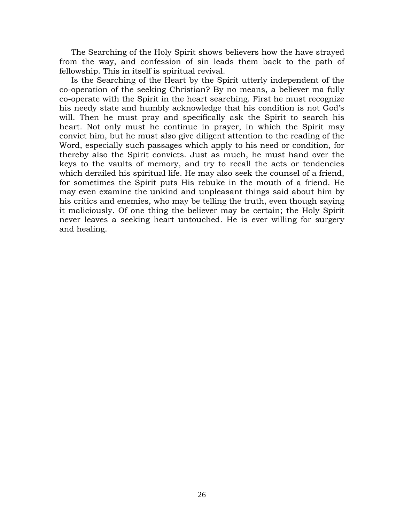The Searching of the Holy Spirit shows believers how the have strayed from the way, and confession of sin leads them back to the path of fellowship. This in itself is spiritual revival.

Is the Searching of the Heart by the Spirit utterly independent of the co-operation of the seeking Christian? By no means, a believer ma fully co-operate with the Spirit in the heart searching. First he must recognize his needy state and humbly acknowledge that his condition is not God's will. Then he must pray and specifically ask the Spirit to search his heart. Not only must he continue in prayer, in which the Spirit may convict him, but he must also give diligent attention to the reading of the Word, especially such passages which apply to his need or condition, for thereby also the Spirit convicts. Just as much, he must hand over the keys to the vaults of memory, and try to recall the acts or tendencies which derailed his spiritual life. He may also seek the counsel of a friend, for sometimes the Spirit puts His rebuke in the mouth of a friend. He may even examine the unkind and unpleasant things said about him by his critics and enemies, who may be telling the truth, even though saying it maliciously. Of one thing the believer may be certain; the Holy Spirit never leaves a seeking heart untouched. He is ever willing for surgery and healing.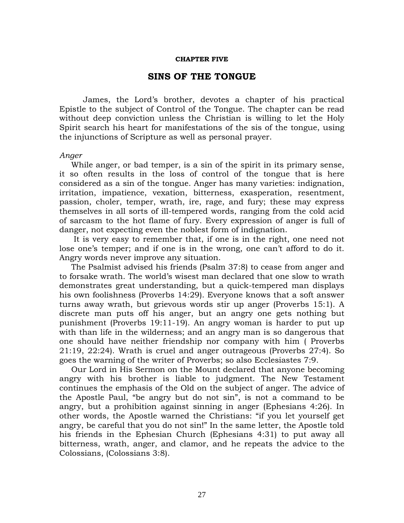#### **CHAPTER FIVE**

# **SINS OF THE TONGUE**

James, the Lord's brother, devotes a chapter of his practical Epistle to the subject of Control of the Tongue. The chapter can be read without deep conviction unless the Christian is willing to let the Holy Spirit search his heart for manifestations of the sis of the tongue, using the injunctions of Scripture as well as personal prayer.

#### *Anger*

While anger, or bad temper, is a sin of the spirit in its primary sense, it so often results in the loss of control of the tongue that is here considered as a sin of the tongue. Anger has many varieties: indignation, irritation, impatience, vexation, bitterness, exasperation, resentment, passion, choler, temper, wrath, ire, rage, and fury; these may express themselves in all sorts of ill-tempered words, ranging from the cold acid of sarcasm to the hot flame of fury. Every expression of anger is full of danger, not expecting even the noblest form of indignation.

It is very easy to remember that, if one is in the right, one need not lose one's temper; and if one is in the wrong, one can't afford to do it. Angry words never improve any situation.

The Psalmist advised his friends (Psalm 37:8) to cease from anger and to forsake wrath. The world's wisest man declared that one slow to wrath demonstrates great understanding, but a quick-tempered man displays his own foolishness (Proverbs 14:29). Everyone knows that a soft answer turns away wrath, but grievous words stir up anger (Proverbs 15:1). A discrete man puts off his anger, but an angry one gets nothing but punishment (Proverbs 19:11-19). An angry woman is harder to put up with than life in the wilderness; and an angry man is so dangerous that one should have neither friendship nor company with him ( Proverbs 21:19, 22:24). Wrath is cruel and anger outrageous (Proverbs 27:4). So goes the warning of the writer of Proverbs; so also Ecclesiastes 7:9.

Our Lord in His Sermon on the Mount declared that anyone becoming angry with his brother is liable to judgment. The New Testament continues the emphasis of the Old on the subject of anger. The advice of the Apostle Paul, "be angry but do not sin", is not a command to be angry, but a prohibition against sinning in anger (Ephesians 4:26). In other words, the Apostle warned the Christians: "if you let yourself get angry, be careful that you do not sin!" In the same letter, the Apostle told his friends in the Ephesian Church (Ephesians 4:31) to put away all bitterness, wrath, anger, and clamor, and he repeats the advice to the Colossians, (Colossians 3:8).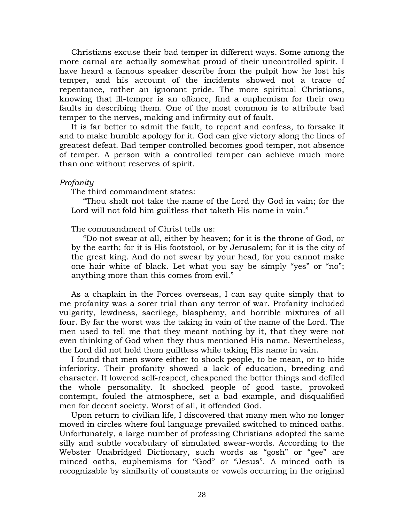Christians excuse their bad temper in different ways. Some among the more carnal are actually somewhat proud of their uncontrolled spirit. I have heard a famous speaker describe from the pulpit how he lost his temper, and his account of the incidents showed not a trace of repentance, rather an ignorant pride. The more spiritual Christians, knowing that ill-temper is an offence, find a euphemism for their own faults in describing them. One of the most common is to attribute bad temper to the nerves, making and infirmity out of fault.

It is far better to admit the fault, to repent and confess, to forsake it and to make humble apology for it. God can give victory along the lines of greatest defeat. Bad temper controlled becomes good temper, not absence of temper. A person with a controlled temper can achieve much more than one without reserves of spirit.

### *Profanity*

The third commandment states:

"Thou shalt not take the name of the Lord thy God in vain; for the Lord will not fold him guiltless that taketh His name in vain."

The commandment of Christ tells us:

"Do not swear at all, either by heaven; for it is the throne of God, or by the earth; for it is His footstool, or by Jerusalem; for it is the city of the great king. And do not swear by your head, for you cannot make one hair white of black. Let what you say be simply "yes" or "no"; anything more than this comes from evil."

As a chaplain in the Forces overseas, I can say quite simply that to me profanity was a sorer trial than any terror of war. Profanity included vulgarity, lewdness, sacrilege, blasphemy, and horrible mixtures of all four. By far the worst was the taking in vain of the name of the Lord. The men used to tell me that they meant nothing by it, that they were not even thinking of God when they thus mentioned His name. Nevertheless, the Lord did not hold them guiltless while taking His name in vain.

I found that men swore either to shock people, to be mean, or to hide inferiority. Their profanity showed a lack of education, breeding and character. It lowered self-respect, cheapened the better things and defiled the whole personality. It shocked people of good taste, provoked contempt, fouled the atmosphere, set a bad example, and disqualified men for decent society. Worst of all, it offended God.

Upon return to civilian life, I discovered that many men who no longer moved in circles where foul language prevailed switched to minced oaths. Unfortunately, a large number of professing Christians adopted the same silly and subtle vocabulary of simulated swear-words. According to the Webster Unabridged Dictionary, such words as "gosh" or "gee" are minced oaths, euphemisms for "God" or "Jesus". A minced oath is recognizable by similarity of constants or vowels occurring in the original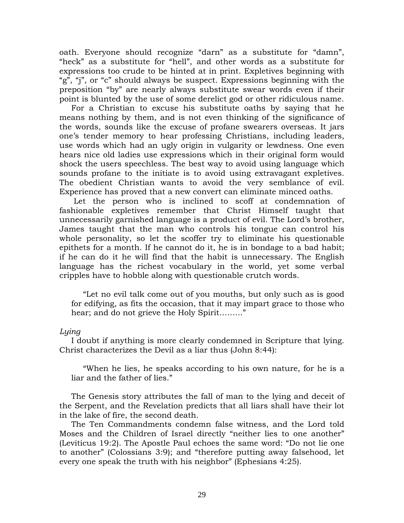oath. Everyone should recognize "darn" as a substitute for "damn", "heck" as a substitute for "hell", and other words as a substitute for expressions too crude to be hinted at in print. Expletives beginning with "g", "j", or "c" should always be suspect. Expressions beginning with the preposition "by" are nearly always substitute swear words even if their point is blunted by the use of some derelict god or other ridiculous name.

For a Christian to excuse his substitute oaths by saying that he means nothing by them, and is not even thinking of the significance of the words, sounds like the excuse of profane swearers overseas. It jars one's tender memory to hear professing Christians, including leaders, use words which had an ugly origin in vulgarity or lewdness. One even hears nice old ladies use expressions which in their original form would shock the users speechless. The best way to avoid using language which sounds profane to the initiate is to avoid using extravagant expletives. The obedient Christian wants to avoid the very semblance of evil. Experience has proved that a new convert can eliminate minced oaths.

Let the person who is inclined to scoff at condemnation of fashionable expletives remember that Christ Himself taught that unnecessarily garnished language is a product of evil. The Lord's brother, James taught that the man who controls his tongue can control his whole personality, so let the scoffer try to eliminate his questionable epithets for a month. If he cannot do it, he is in bondage to a bad habit; if he can do it he will find that the habit is unnecessary. The English language has the richest vocabulary in the world, yet some verbal cripples have to hobble along with questionable crutch words.

"Let no evil talk come out of you mouths, but only such as is good for edifying, as fits the occasion, that it may impart grace to those who hear; and do not grieve the Holy Spirit.........."

### *Lying*

I doubt if anything is more clearly condemned in Scripture that lying. Christ characterizes the Devil as a liar thus (John 8:44):

"When he lies, he speaks according to his own nature, for he is a liar and the father of lies."

The Genesis story attributes the fall of man to the lying and deceit of the Serpent, and the Revelation predicts that all liars shall have their lot in the lake of fire, the second death.

The Ten Commandments condemn false witness, and the Lord told Moses and the Children of Israel directly "neither lies to one another" (Leviticus 19:2). The Apostle Paul echoes the same word: "Do not lie one to another" (Colossians 3:9); and "therefore putting away falsehood, let every one speak the truth with his neighbor" (Ephesians 4:25).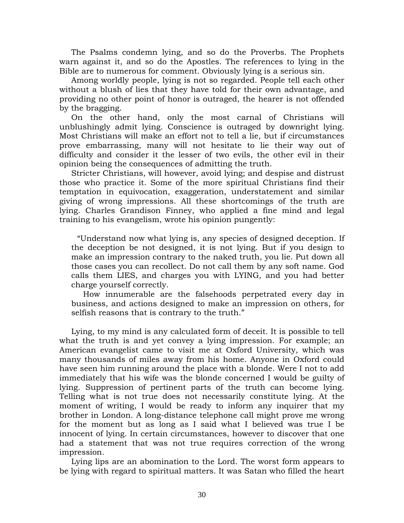The Psalms condemn lying, and so do the Proverbs. The Prophets warn against it, and so do the Apostles. The references to lying in the Bible are to numerous for comment. Obviously lying is a serious sin.

Among worldly people, lying is not so regarded. People tell each other without a blush of lies that they have told for their own advantage, and providing no other point of honor is outraged, the hearer is not offended by the bragging.

On the other hand, only the most carnal of Christians will unblushingly admit lying. Conscience is outraged by downright lying. Most Christians will make an effort not to tell a lie, but if circumstances prove embarrassing, many will not hesitate to lie their way out of difficulty and consider it the lesser of two evils, the other evil in their opinion being the consequences of admitting the truth.

Stricter Christians, will however, avoid lying; and despise and distrust those who practice it. Some of the more spiritual Christians find their temptation in equivocation, exaggeration, understatement and similar giving of wrong impressions. All these shortcomings of the truth are lying. Charles Grandison Finney, who applied a fine mind and legal training to his evangelism, wrote his opinion pungently:

"Understand now what lying is, any species of designed deception. If the deception be not designed, it is not lying. But if you design to make an impression contrary to the naked truth, you lie. Put down all those cases you can recollect. Do not call them by any soft name. God calls them LIES, and charges you with LYING, and you had better charge yourself correctly.

How innumerable are the falsehoods perpetrated every day in business, and actions designed to make an impression on others, for selfish reasons that is contrary to the truth."

Lying, to my mind is any calculated form of deceit. It is possible to tell what the truth is and yet convey a lying impression. For example; an American evangelist came to visit me at Oxford University, which was many thousands of miles away from his home. Anyone in Oxford could have seen him running around the place with a blonde. Were I not to add immediately that his wife was the blonde concerned I would be guilty of lying. Suppression of pertinent parts of the truth can become lying. Telling what is not true does not necessarily constitute lying. At the moment of writing, I would be ready to inform any inquirer that my brother in London. A long-distance telephone call might prove me wrong for the moment but as long as I said what I believed was true I be innocent of lying. In certain circumstances, however to discover that one had a statement that was not true requires correction of the wrong impression.

Lying lips are an abomination to the Lord. The worst form appears to be lying with regard to spiritual matters. It was Satan who filled the heart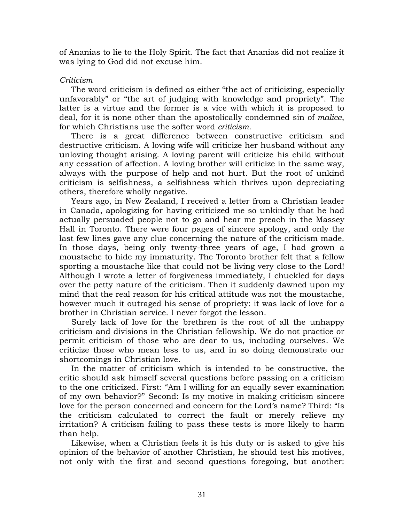of Ananias to lie to the Holy Spirit. The fact that Ananias did not realize it was lying to God did not excuse him.

# *Criticism*

The word criticism is defined as either "the act of criticizing, especially unfavorably" or "the art of judging with knowledge and propriety". The latter is a virtue and the former is a vice with which it is proposed to deal, for it is none other than the apostolically condemned sin of *malice*, for which Christians use the softer word *criticism*.

There is a great difference between constructive criticism and destructive criticism. A loving wife will criticize her husband without any unloving thought arising. A loving parent will criticize his child without any cessation of affection. A loving brother will criticize in the same way, always with the purpose of help and not hurt. But the root of unkind criticism is selfishness, a selfishness which thrives upon depreciating others, therefore wholly negative.

Years ago, in New Zealand, I received a letter from a Christian leader in Canada, apologizing for having criticized me so unkindly that he had actually persuaded people not to go and hear me preach in the Massey Hall in Toronto. There were four pages of sincere apology, and only the last few lines gave any clue concerning the nature of the criticism made. In those days, being only twenty-three years of age, I had grown a moustache to hide my immaturity. The Toronto brother felt that a fellow sporting a moustache like that could not be living very close to the Lord! Although I wrote a letter of forgiveness immediately, I chuckled for days over the petty nature of the criticism. Then it suddenly dawned upon my mind that the real reason for his critical attitude was not the moustache, however much it outraged his sense of propriety: it was lack of love for a brother in Christian service. I never forgot the lesson.

Surely lack of love for the brethren is the root of all the unhappy criticism and divisions in the Christian fellowship. We do not practice or permit criticism of those who are dear to us, including ourselves. We criticize those who mean less to us, and in so doing demonstrate our shortcomings in Christian love.

In the matter of criticism which is intended to be constructive, the critic should ask himself several questions before passing on a criticism to the one criticized. First: "Am I willing for an equally sever examination of my own behavior?" Second: Is my motive in making criticism sincere love for the person concerned and concern for the Lord's name? Third: "Is the criticism calculated to correct the fault or merely relieve my irritation? A criticism failing to pass these tests is more likely to harm than help.

Likewise, when a Christian feels it is his duty or is asked to give his opinion of the behavior of another Christian, he should test his motives, not only with the first and second questions foregoing, but another: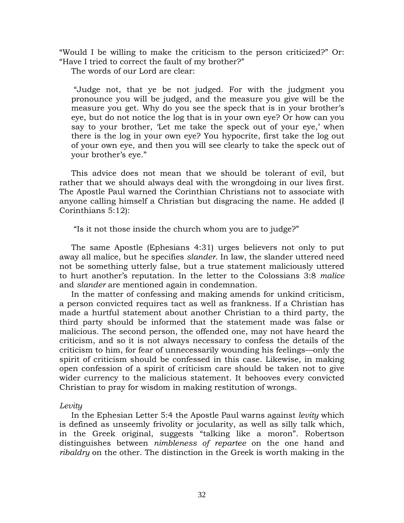"Would I be willing to make the criticism to the person criticized?" Or: "Have I tried to correct the fault of my brother?"

The words of our Lord are clear:

"Judge not, that ye be not judged. For with the judgment you pronounce you will be judged, and the measure you give will be the measure you get. Why do you see the speck that is in your brother's eye, but do not notice the log that is in your own eye? Or how can you say to your brother, 'Let me take the speck out of your eye,' when there is the log in your own eye? You hypocrite, first take the log out of your own eye, and then you will see clearly to take the speck out of your brother's eye."

This advice does not mean that we should be tolerant of evil, but rather that we should always deal with the wrongdoing in our lives first. The Apostle Paul warned the Corinthian Christians not to associate with anyone calling himself a Christian but disgracing the name. He added (I Corinthians 5:12):

"Is it not those inside the church whom you are to judge?"

The same Apostle (Ephesians 4:31) urges believers not only to put away all malice, but he specifies *slander*. In law, the slander uttered need not be something utterly false, but a true statement maliciously uttered to hurt another's reputation. In the letter to the Colossians 3:8 *malice* and *slander* are mentioned again in condemnation.

In the matter of confessing and making amends for unkind criticism, a person convicted requires tact as well as frankness. If a Christian has made a hurtful statement about another Christian to a third party, the third party should be informed that the statement made was false or malicious. The second person, the offended one, may not have heard the criticism, and so it is not always necessary to confess the details of the criticism to him, for fear of unnecessarily wounding his feelings—only the spirit of criticism should be confessed in this case. Likewise, in making open confession of a spirit of criticism care should be taken not to give wider currency to the malicious statement. It behooves every convicted Christian to pray for wisdom in making restitution of wrongs.

### *Levity*

In the Ephesian Letter 5:4 the Apostle Paul warns against *levity* which is defined as unseemly frivolity or jocularity, as well as silly talk which, in the Greek original, suggests "talking like a moron". Robertson distinguishes between *nimbleness of repartee* on the one hand and *ribaldry* on the other. The distinction in the Greek is worth making in the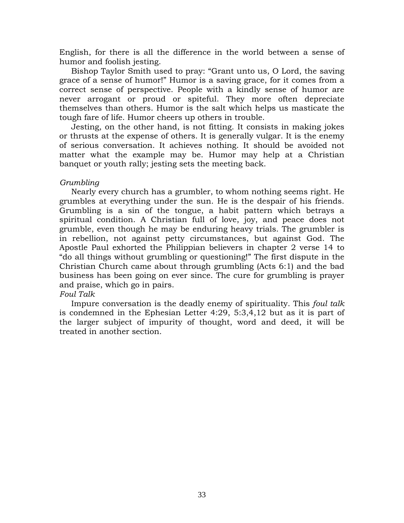English, for there is all the difference in the world between a sense of humor and foolish jesting.

Bishop Taylor Smith used to pray: "Grant unto us, O Lord, the saving grace of a sense of humor!" Humor is a saving grace, for it comes from a correct sense of perspective. People with a kindly sense of humor are never arrogant or proud or spiteful. They more often depreciate themselves than others. Humor is the salt which helps us masticate the tough fare of life. Humor cheers up others in trouble.

Jesting, on the other hand, is not fitting. It consists in making jokes or thrusts at the expense of others. It is generally vulgar. It is the enemy of serious conversation. It achieves nothing. It should be avoided not matter what the example may be. Humor may help at a Christian banquet or youth rally; jesting sets the meeting back.

## *Grumbling*

Nearly every church has a grumbler, to whom nothing seems right. He grumbles at everything under the sun. He is the despair of his friends. Grumbling is a sin of the tongue, a habit pattern which betrays a spiritual condition. A Christian full of love, joy, and peace does not grumble, even though he may be enduring heavy trials. The grumbler is in rebellion, not against petty circumstances, but against God. The Apostle Paul exhorted the Philippian believers in chapter 2 verse 14 to "do all things without grumbling or questioning!" The first dispute in the Christian Church came about through grumbling (Acts 6:1) and the bad business has been going on ever since. The cure for grumbling is prayer and praise, which go in pairs.

### *Foul Talk*

Impure conversation is the deadly enemy of spirituality. This *foul talk* is condemned in the Ephesian Letter 4:29, 5:3,4,12 but as it is part of the larger subject of impurity of thought, word and deed, it will be treated in another section.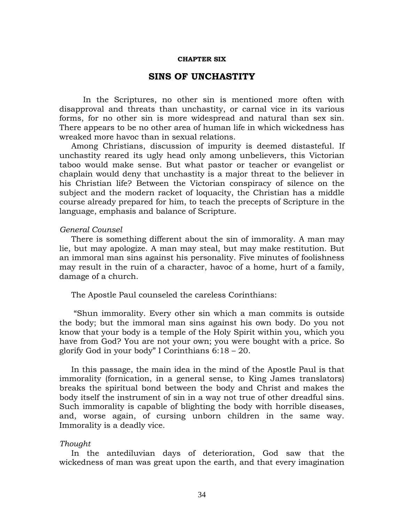#### **CHAPTER SIX**

# **SINS OF UNCHASTITY**

In the Scriptures, no other sin is mentioned more often with disapproval and threats than unchastity, or carnal vice in its various forms, for no other sin is more widespread and natural than sex sin. There appears to be no other area of human life in which wickedness has wreaked more havoc than in sexual relations.

Among Christians, discussion of impurity is deemed distasteful. If unchastity reared its ugly head only among unbelievers, this Victorian taboo would make sense. But what pastor or teacher or evangelist or chaplain would deny that unchastity is a major threat to the believer in his Christian life? Between the Victorian conspiracy of silence on the subject and the modern racket of loquacity, the Christian has a middle course already prepared for him, to teach the precepts of Scripture in the language, emphasis and balance of Scripture.

#### *General Counsel*

There is something different about the sin of immorality. A man may lie, but may apologize. A man may steal, but may make restitution. But an immoral man sins against his personality. Five minutes of foolishness may result in the ruin of a character, havoc of a home, hurt of a family, damage of a church.

The Apostle Paul counseled the careless Corinthians:

"Shun immorality. Every other sin which a man commits is outside the body; but the immoral man sins against his own body. Do you not know that your body is a temple of the Holy Spirit within you, which you have from God? You are not your own; you were bought with a price. So glorify God in your body" I Corinthians 6:18 – 20.

In this passage, the main idea in the mind of the Apostle Paul is that immorality (fornication, in a general sense, to King James translators) breaks the spiritual bond between the body and Christ and makes the body itself the instrument of sin in a way not true of other dreadful sins. Such immorality is capable of blighting the body with horrible diseases, and, worse again, of cursing unborn children in the same way. Immorality is a deadly vice.

#### *Thought*

In the antediluvian days of deterioration, God saw that the wickedness of man was great upon the earth, and that every imagination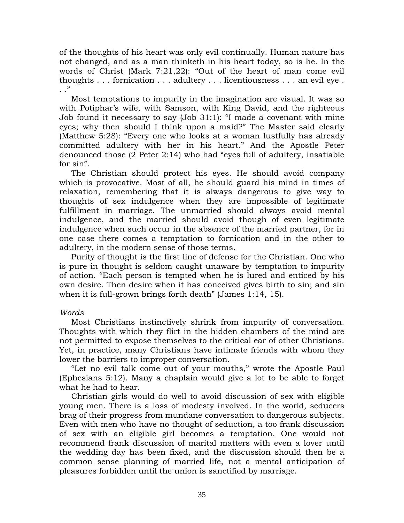of the thoughts of his heart was only evil continually. Human nature has not changed, and as a man thinketh in his heart today, so is he. In the words of Christ (Mark 7:21,22): "Out of the heart of man come evil thoughts . . . fornication . . . adultery . . . licentiousness . . . an evil eye .  $\cdot$  .  $\cdot$ 

Most temptations to impurity in the imagination are visual. It was so with Potiphar's wife, with Samson, with King David, and the righteous Job found it necessary to say (Job 31:1): "I made a covenant with mine eyes; why then should I think upon a maid?" The Master said clearly (Matthew 5:28): "Every one who looks at a woman lustfully has already committed adultery with her in his heart." And the Apostle Peter denounced those (2 Peter 2:14) who had "eyes full of adultery, insatiable for sin".

The Christian should protect his eyes. He should avoid company which is provocative. Most of all, he should guard his mind in times of relaxation, remembering that it is always dangerous to give way to thoughts of sex indulgence when they are impossible of legitimate fulfillment in marriage. The unmarried should always avoid mental indulgence, and the married should avoid though of even legitimate indulgence when such occur in the absence of the married partner, for in one case there comes a temptation to fornication and in the other to adultery, in the modern sense of those terms.

Purity of thought is the first line of defense for the Christian. One who is pure in thought is seldom caught unaware by temptation to impurity of action. "Each person is tempted when he is lured and enticed by his own desire. Then desire when it has conceived gives birth to sin; and sin when it is full-grown brings forth death" (James 1:14, 15).

### *Words*

Most Christians instinctively shrink from impurity of conversation. Thoughts with which they flirt in the hidden chambers of the mind are not permitted to expose themselves to the critical ear of other Christians. Yet, in practice, many Christians have intimate friends with whom they lower the barriers to improper conversation.

"Let no evil talk come out of your mouths," wrote the Apostle Paul (Ephesians 5:12). Many a chaplain would give a lot to be able to forget what he had to hear.

Christian girls would do well to avoid discussion of sex with eligible young men. There is a loss of modesty involved. In the world, seducers brag of their progress from mundane conversation to dangerous subjects. Even with men who have no thought of seduction, a too frank discussion of sex with an eligible girl becomes a temptation. One would not recommend frank discussion of marital matters with even a lover until the wedding day has been fixed, and the discussion should then be a common sense planning of married life, not a mental anticipation of pleasures forbidden until the union is sanctified by marriage.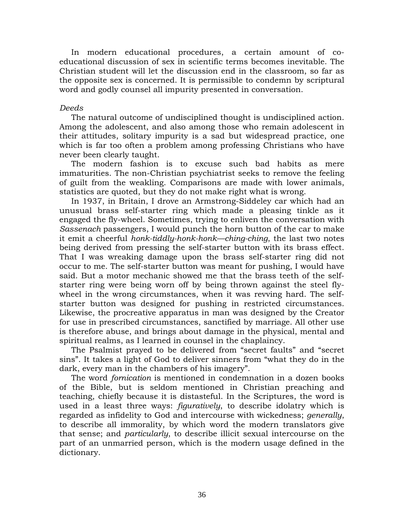In modern educational procedures, a certain amount of coeducational discussion of sex in scientific terms becomes inevitable. The Christian student will let the discussion end in the classroom, so far as the opposite sex is concerned. It is permissible to condemn by scriptural word and godly counsel all impurity presented in conversation.

#### *Deeds*

The natural outcome of undisciplined thought is undisciplined action. Among the adolescent, and also among those who remain adolescent in their attitudes, solitary impurity is a sad but widespread practice, one which is far too often a problem among professing Christians who have never been clearly taught.

The modern fashion is to excuse such bad habits as mere immaturities. The non-Christian psychiatrist seeks to remove the feeling of guilt from the weakling. Comparisons are made with lower animals, statistics are quoted, but they do not make right what is wrong.

In 1937, in Britain, I drove an Armstrong-Siddeley car which had an unusual brass self-starter ring which made a pleasing tinkle as it engaged the fly-wheel. Sometimes, trying to enliven the conversation with *Sassenach* passengers, I would punch the horn button of the car to make it emit a cheerful *honk-tiddly-honk-honk—ching-ching*, the last two notes being derived from pressing the self-starter button with its brass effect. That I was wreaking damage upon the brass self-starter ring did not occur to me. The self-starter button was meant for pushing, I would have said. But a motor mechanic showed me that the brass teeth of the selfstarter ring were being worn off by being thrown against the steel flywheel in the wrong circumstances, when it was revving hard. The selfstarter button was designed for pushing in restricted circumstances. Likewise, the procreative apparatus in man was designed by the Creator for use in prescribed circumstances, sanctified by marriage. All other use is therefore abuse, and brings about damage in the physical, mental and spiritual realms, as I learned in counsel in the chaplaincy.

The Psalmist prayed to be delivered from "secret faults" and "secret sins". It takes a light of God to deliver sinners from "what they do in the dark, every man in the chambers of his imagery".

The word *fornication* is mentioned in condemnation in a dozen books of the Bible, but is seldom mentioned in Christian preaching and teaching, chiefly because it is distasteful. In the Scriptures, the word is used in a least three ways: *figuratively*, to describe idolatry which is regarded as infidelity to God and intercourse with wickedness; *generally*, to describe all immorality, by which word the modern translators give that sense; and *particularly*, to describe illicit sexual intercourse on the part of an unmarried person, which is the modern usage defined in the dictionary.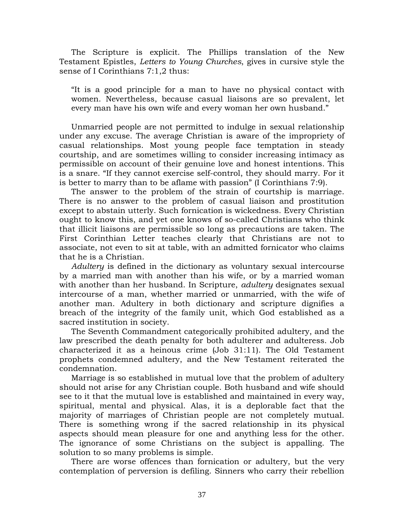The Scripture is explicit. The Phillips translation of the New Testament Epistles, *Letters to Young Churches*, gives in cursive style the sense of I Corinthians 7:1,2 thus:

"It is a good principle for a man to have no physical contact with women. Nevertheless, because casual liaisons are so prevalent, let every man have his own wife and every woman her own husband."

Unmarried people are not permitted to indulge in sexual relationship under any excuse. The average Christian is aware of the impropriety of casual relationships. Most young people face temptation in steady courtship, and are sometimes willing to consider increasing intimacy as permissible on account of their genuine love and honest intentions. This is a snare. "If they cannot exercise self-control, they should marry. For it is better to marry than to be aflame with passion" (I Corinthians 7:9).

The answer to the problem of the strain of courtship is marriage. There is no answer to the problem of casual liaison and prostitution except to abstain utterly. Such fornication is wickedness. Every Christian ought to know this, and yet one knows of so-called Christians who think that illicit liaisons are permissible so long as precautions are taken. The First Corinthian Letter teaches clearly that Christians are not to associate, not even to sit at table, with an admitted fornicator who claims that he is a Christian.

*Adultery* is defined in the dictionary as voluntary sexual intercourse by a married man with another than his wife, or by a married woman with another than her husband. In Scripture, *adultery* designates sexual intercourse of a man, whether married or unmarried, with the wife of another man. Adultery in both dictionary and scripture dignifies a breach of the integrity of the family unit, which God established as a sacred institution in society.

The Seventh Commandment categorically prohibited adultery, and the law prescribed the death penalty for both adulterer and adulteress. Job characterized it as a heinous crime (Job 31:11). The Old Testament prophets condemned adultery, and the New Testament reiterated the condemnation.

Marriage is so established in mutual love that the problem of adultery should not arise for any Christian couple. Both husband and wife should see to it that the mutual love is established and maintained in every way, spiritual, mental and physical. Alas, it is a deplorable fact that the majority of marriages of Christian people are not completely mutual. There is something wrong if the sacred relationship in its physical aspects should mean pleasure for one and anything less for the other. The ignorance of some Christians on the subject is appalling. The solution to so many problems is simple.

There are worse offences than fornication or adultery, but the very contemplation of perversion is defiling. Sinners who carry their rebellion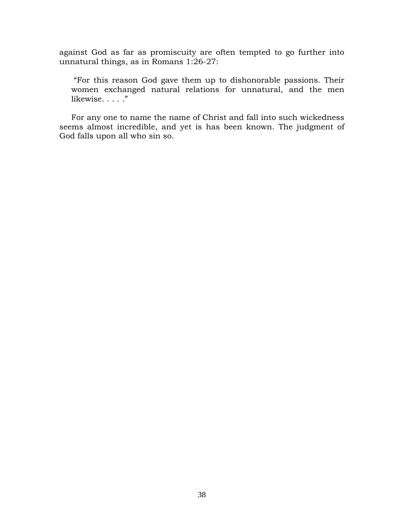against God as far as promiscuity are often tempted to go further into unnatural things, as in Romans 1:26-27:

"For this reason God gave them up to dishonorable passions. Their women exchanged natural relations for unnatural, and the men likewise. . . . . "

For any one to name the name of Christ and fall into such wickedness seems almost incredible, and yet is has been known. The judgment of God falls upon all who sin so.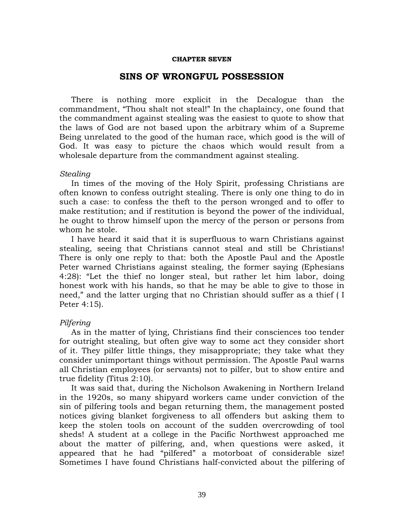#### **CHAPTER SEVEN**

# **SINS OF WRONGFUL POSSESSION**

There is nothing more explicit in the Decalogue than the commandment, "Thou shalt not steal!" In the chaplaincy, one found that the commandment against stealing was the easiest to quote to show that the laws of God are not based upon the arbitrary whim of a Supreme Being unrelated to the good of the human race, which good is the will of God. It was easy to picture the chaos which would result from a wholesale departure from the commandment against stealing.

### *Stealing*

In times of the moving of the Holy Spirit, professing Christians are often known to confess outright stealing. There is only one thing to do in such a case: to confess the theft to the person wronged and to offer to make restitution; and if restitution is beyond the power of the individual, he ought to throw himself upon the mercy of the person or persons from whom he stole.

I have heard it said that it is superfluous to warn Christians against stealing, seeing that Christians cannot steal and still be Christians! There is only one reply to that: both the Apostle Paul and the Apostle Peter warned Christians against stealing, the former saying (Ephesians 4:28): "Let the thief no longer steal, but rather let him labor, doing honest work with his hands, so that he may be able to give to those in need," and the latter urging that no Christian should suffer as a thief ( I Peter 4:15).

### *Pilfering*

As in the matter of lying, Christians find their consciences too tender for outright stealing, but often give way to some act they consider short of it. They pilfer little things, they misappropriate; they take what they consider unimportant things without permission. The Apostle Paul warns all Christian employees (or servants) not to pilfer, but to show entire and true fidelity (Titus 2:10).

It was said that, during the Nicholson Awakening in Northern Ireland in the 1920s, so many shipyard workers came under conviction of the sin of pilfering tools and began returning them, the management posted notices giving blanket forgiveness to all offenders but asking them to keep the stolen tools on account of the sudden overcrowding of tool sheds! A student at a college in the Pacific Northwest approached me about the matter of pilfering, and, when questions were asked, it appeared that he had "pilfered" a motorboat of considerable size! Sometimes I have found Christians half-convicted about the pilfering of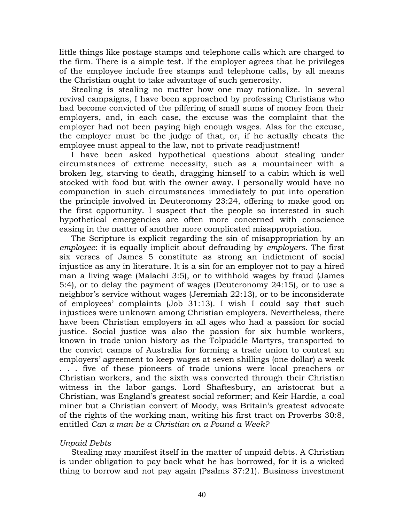little things like postage stamps and telephone calls which are charged to the firm. There is a simple test. If the employer agrees that he privileges of the employee include free stamps and telephone calls, by all means the Christian ought to take advantage of such generosity.

Stealing is stealing no matter how one may rationalize. In several revival campaigns, I have been approached by professing Christians who had become convicted of the pilfering of small sums of money from their employers, and, in each case, the excuse was the complaint that the employer had not been paying high enough wages. Alas for the excuse, the employer must be the judge of that, or, if he actually cheats the employee must appeal to the law, not to private readjustment!

I have been asked hypothetical questions about stealing under circumstances of extreme necessity, such as a mountaineer with a broken leg, starving to death, dragging himself to a cabin which is well stocked with food but with the owner away. I personally would have no compunction in such circumstances immediately to put into operation the principle involved in Deuteronomy 23:24, offering to make good on the first opportunity. I suspect that the people so interested in such hypothetical emergencies are often more concerned with conscience easing in the matter of another more complicated misappropriation.

The Scripture is explicit regarding the sin of misappropriation by an *employee*: it is equally implicit about defrauding by *employers*. The first six verses of James 5 constitute as strong an indictment of social injustice as any in literature. It is a sin for an employer not to pay a hired man a living wage (Malachi 3:5), or to withhold wages by fraud (James 5:4), or to delay the payment of wages (Deuteronomy 24:15), or to use a neighbor's service without wages (Jeremiah 22:13), or to be inconsiderate of employees' complaints (Job 31:13). I wish I could say that such injustices were unknown among Christian employers. Nevertheless, there have been Christian employers in all ages who had a passion for social justice. Social justice was also the passion for six humble workers, known in trade union history as the Tolpuddle Martyrs, transported to the convict camps of Australia for forming a trade union to contest an employers' agreement to keep wages at seven shillings (one dollar) a week

. . . five of these pioneers of trade unions were local preachers or Christian workers, and the sixth was converted through their Christian witness in the labor gangs. Lord Shaftesbury, an aristocrat but a Christian, was England's greatest social reformer; and Keir Hardie, a coal miner but a Christian convert of Moody, was Britain's greatest advocate of the rights of the working man, writing his first tract on Proverbs 30:8, entitled *Can a man be a Christian on a Pound a Week?*

# *Unpaid Debts*

Stealing may manifest itself in the matter of unpaid debts. A Christian is under obligation to pay back what he has borrowed, for it is a wicked thing to borrow and not pay again (Psalms 37:21). Business investment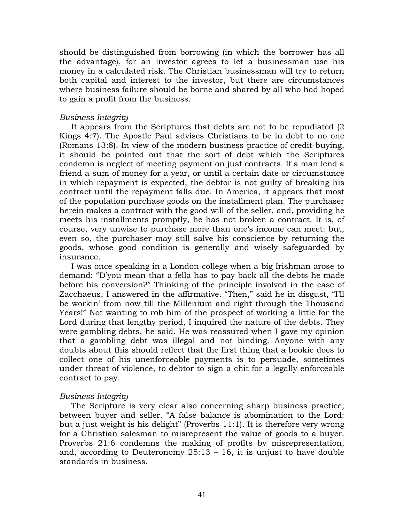should be distinguished from borrowing (in which the borrower has all the advantage), for an investor agrees to let a businessman use his money in a calculated risk. The Christian businessman will try to return both capital and interest to the investor, but there are circumstances where business failure should be borne and shared by all who had hoped to gain a profit from the business.

## *Business Integrity*

It appears from the Scriptures that debts are not to be repudiated (2 Kings 4:7). The Apostle Paul advises Christians to be in debt to no one (Romans 13:8). In view of the modern business practice of credit-buying, it should be pointed out that the sort of debt which the Scriptures condemn is neglect of meeting payment on just contracts. If a man lend a friend a sum of money for a year, or until a certain date or circumstance in which repayment is expected, the debtor is not guilty of breaking his contract until the repayment falls due. In America, it appears that most of the population purchase goods on the installment plan. The purchaser herein makes a contract with the good will of the seller, and, providing he meets his installments promptly, he has not broken a contract. It is, of course, very unwise to purchase more than one's income can meet: but, even so, the purchaser may still salve his conscience by returning the goods, whose good condition is generally and wisely safeguarded by insurance.

I was once speaking in a London college when a big Irishman arose to demand: "D'you mean that a fella has to pay back all the debts he made before his conversion?" Thinking of the principle involved in the case of Zacchaeus, I answered in the affirmative. "Then," said he in disgust, "I'll be workin' from now till the Millenium and right through the Thousand Years!" Not wanting to rob him of the prospect of working a little for the Lord during that lengthy period, I inquired the nature of the debts. They were gambling debts, he said. He was reassured when I gave my opinion that a gambling debt was illegal and not binding. Anyone with any doubts about this should reflect that the first thing that a bookie does to collect one of his unenforceable payments is to persuade, sometimes under threat of violence, to debtor to sign a chit for a legally enforceable contract to pay.

# *Business Integrity*

The Scripture is very clear also concerning sharp business practice, between buyer and seller. "A false balance is abomination to the Lord: but a just weight is his delight" (Proverbs 11:1). It is therefore very wrong for a Christian salesman to misrepresent the value of goods to a buyer. Proverbs 21:6 condemns the making of profits by misrepresentation, and, according to Deuteronomy 25:13 – 16, it is unjust to have double standards in business.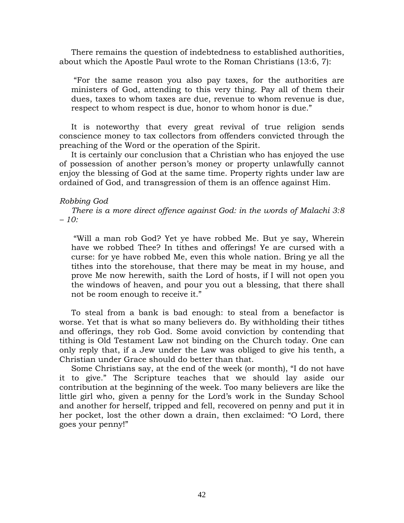There remains the question of indebtedness to established authorities, about which the Apostle Paul wrote to the Roman Christians (13:6, 7):

"For the same reason you also pay taxes, for the authorities are ministers of God, attending to this very thing. Pay all of them their dues, taxes to whom taxes are due, revenue to whom revenue is due, respect to whom respect is due, honor to whom honor is due."

It is noteworthy that every great revival of true religion sends conscience money to tax collectors from offenders convicted through the preaching of the Word or the operation of the Spirit.

It is certainly our conclusion that a Christian who has enjoyed the use of possession of another person's money or property unlawfully cannot enjoy the blessing of God at the same time. Property rights under law are ordained of God, and transgression of them is an offence against Him.

## *Robbing God*

*There is a more direct offence against God: in the words of Malachi 3:8 – 10:* 

"Will a man rob God? Yet ye have robbed Me. But ye say, Wherein have we robbed Thee? In tithes and offerings! Ye are cursed with a curse: for ye have robbed Me, even this whole nation. Bring ye all the tithes into the storehouse, that there may be meat in my house, and prove Me now herewith, saith the Lord of hosts, if I will not open you the windows of heaven, and pour you out a blessing, that there shall not be room enough to receive it."

To steal from a bank is bad enough: to steal from a benefactor is worse. Yet that is what so many believers do. By withholding their tithes and offerings, they rob God. Some avoid conviction by contending that tithing is Old Testament Law not binding on the Church today. One can only reply that, if a Jew under the Law was obliged to give his tenth, a Christian under Grace should do better than that.

Some Christians say, at the end of the week (or month), "I do not have it to give." The Scripture teaches that we should lay aside our contribution at the beginning of the week. Too many believers are like the little girl who, given a penny for the Lord's work in the Sunday School and another for herself, tripped and fell, recovered on penny and put it in her pocket, lost the other down a drain, then exclaimed: "O Lord, there goes your penny!"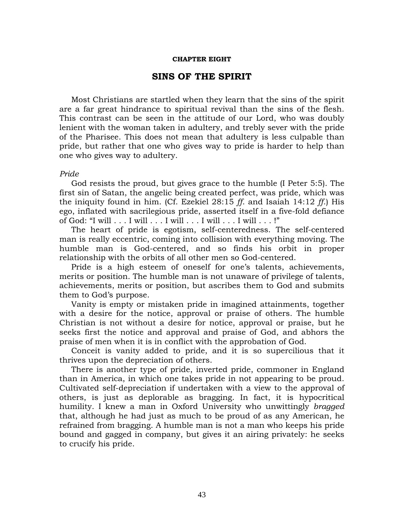#### **CHAPTER EIGHT**

# **SINS OF THE SPIRIT**

Most Christians are startled when they learn that the sins of the spirit are a far great hindrance to spiritual revival than the sins of the flesh. This contrast can be seen in the attitude of our Lord, who was doubly lenient with the woman taken in adultery, and trebly sever with the pride of the Pharisee. This does not mean that adultery is less culpable than pride, but rather that one who gives way to pride is harder to help than one who gives way to adultery.

### *Pride*

God resists the proud, but gives grace to the humble (I Peter 5:5). The first sin of Satan, the angelic being created perfect, was pride, which was the iniquity found in him. (Cf. Ezekiel 28:15 *ff*. and Isaiah 14:12 *ff*.) His ego, inflated with sacrilegious pride, asserted itself in a five-fold defiance of God: "I will . . . I will . . . I will . . . I will . . . I will . . . !"

The heart of pride is egotism, self-centeredness. The self-centered man is really eccentric, coming into collision with everything moving. The humble man is God-centered, and so finds his orbit in proper relationship with the orbits of all other men so God-centered.

Pride is a high esteem of oneself for one's talents, achievements, merits or position. The humble man is not unaware of privilege of talents, achievements, merits or position, but ascribes them to God and submits them to God's purpose.

Vanity is empty or mistaken pride in imagined attainments, together with a desire for the notice, approval or praise of others. The humble Christian is not without a desire for notice, approval or praise, but he seeks first the notice and approval and praise of God, and abhors the praise of men when it is in conflict with the approbation of God.

Conceit is vanity added to pride, and it is so supercilious that it thrives upon the depreciation of others.

There is another type of pride, inverted pride, commoner in England than in America, in which one takes pride in not appearing to be proud. Cultivated self-depreciation if undertaken with a view to the approval of others, is just as deplorable as bragging. In fact, it is hypocritical humility. I knew a man in Oxford University who unwittingly *bragged* that, although he had just as much to be proud of as any American, he refrained from bragging. A humble man is not a man who keeps his pride bound and gagged in company, but gives it an airing privately: he seeks to crucify his pride.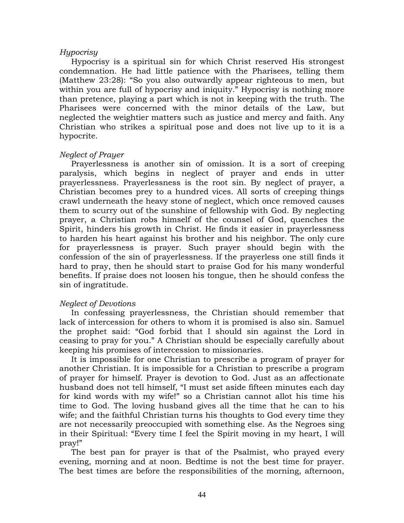## *Hypocrisy*

Hypocrisy is a spiritual sin for which Christ reserved His strongest condemnation. He had little patience with the Pharisees, telling them (Matthew 23:28): "So you also outwardly appear righteous to men, but within you are full of hypocrisy and iniquity." Hypocrisy is nothing more than pretence, playing a part which is not in keeping with the truth. The Pharisees were concerned with the minor details of the Law, but neglected the weightier matters such as justice and mercy and faith. Any Christian who strikes a spiritual pose and does not live up to it is a hypocrite.

# *Neglect of Prayer*

Prayerlessness is another sin of omission. It is a sort of creeping paralysis, which begins in neglect of prayer and ends in utter prayerlessness. Prayerlessness is the root sin. By neglect of prayer, a Christian becomes prey to a hundred vices. All sorts of creeping things crawl underneath the heavy stone of neglect, which once removed causes them to scurry out of the sunshine of fellowship with God. By neglecting prayer, a Christian robs himself of the counsel of God, quenches the Spirit, hinders his growth in Christ. He finds it easier in prayerlessness to harden his heart against his brother and his neighbor. The only cure for prayerlessness is prayer. Such prayer should begin with the confession of the sin of prayerlessness. If the prayerless one still finds it hard to pray, then he should start to praise God for his many wonderful benefits. If praise does not loosen his tongue, then he should confess the sin of ingratitude.

# *Neglect of Devotions*

In confessing prayerlessness, the Christian should remember that lack of intercession for others to whom it is promised is also sin. Samuel the prophet said: "God forbid that I should sin against the Lord in ceasing to pray for you." A Christian should be especially carefully about keeping his promises of intercession to missionaries.

It is impossible for one Christian to prescribe a program of prayer for another Christian. It is impossible for a Christian to prescribe a program of prayer for himself. Prayer is devotion to God. Just as an affectionate husband does not tell himself, "I must set aside fifteen minutes each day for kind words with my wife!" so a Christian cannot allot his time his time to God. The loving husband gives all the time that he can to his wife; and the faithful Christian turns his thoughts to God every time they are not necessarily preoccupied with something else. As the Negroes sing in their Spiritual: "Every time I feel the Spirit moving in my heart, I will pray!"

The best pan for prayer is that of the Psalmist, who prayed every evening, morning and at noon. Bedtime is not the best time for prayer. The best times are before the responsibilities of the morning, afternoon,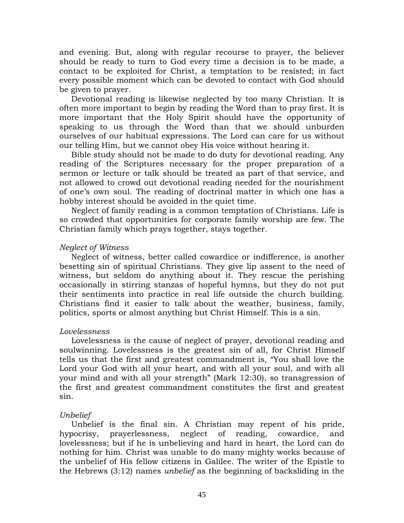and evening. But, along with regular recourse to prayer, the believer should be ready to turn to God every time a decision is to be made, a contact to be exploited for Christ, a temptation to be resisted; in fact every possible moment which can be devoted to contact with God should be given to prayer.

Devotional reading is likewise neglected by too many Christian. It is often more important to begin by reading the Word than to pray first. It is more important that the Holy Spirit should have the opportunity of speaking to us through the Word than that we should unburden ourselves of our habitual expressions. The Lord can care for us without our telling Him, but we cannot obey His voice without hearing it.

Bible study should not be made to do duty for devotional reading. Any reading of the Scriptures necessary for the proper preparation of a sermon or lecture or talk should be treated as part of that service, and not allowed to crowd out devotional reading needed for the nourishment of one's own soul. The reading of doctrinal matter in which one has a hobby interest should be avoided in the quiet time.

Neglect of family reading is a common temptation of Christians. Life is so crowded that opportunities for corporate family worship are few. The Christian family which prays together, stays together.

## *Neglect of Witness*

Neglect of witness, better called cowardice or indifference, is another besetting sin of spiritual Christians. They give lip assent to the need of witness, but seldom do anything about it. They rescue the perishing occasionally in stirring stanzas of hopeful hymns, but they do not put their sentiments into practice in real life outside the church building. Christians find it easier to talk about the weather, business, family, politics, sports or almost anything but Christ Himself. This is a sin.

## *Lovelessness*

Lovelessness is the cause of neglect of prayer, devotional reading and soulwinning. Lovelessness is the greatest sin of all, for Christ Himself tells us that the first and greatest commandment is, "You shall love the Lord your God with all your heart, and with all your soul, and with all your mind and with all your strength" (Mark 12:30), so transgression of the first and greatest commandment constitutes the first and greatest sin.

# *Unbelief*

Unbelief is the final sin. A Christian may repent of his pride, hypocrisy, prayerlessness, neglect of reading, cowardice, and lovelessness; but if he is unbelieving and hard in heart, the Lord can do nothing for him. Christ was unable to do many mighty works because of the unbelief of His fellow citizens in Galilee. The writer of the Epistle to the Hebrews (3:12) names *unbelief* as the beginning of backsliding in the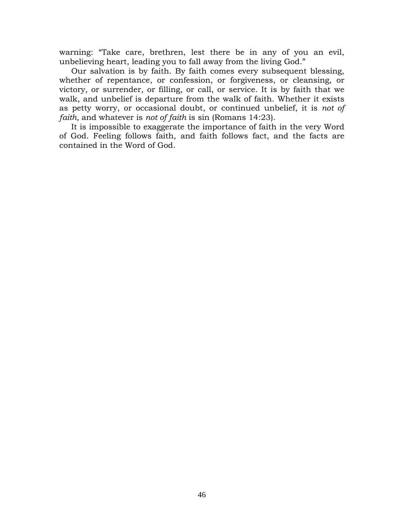warning: "Take care, brethren, lest there be in any of you an evil, unbelieving heart, leading you to fall away from the living God."

Our salvation is by faith. By faith comes every subsequent blessing, whether of repentance, or confession, or forgiveness, or cleansing, or victory, or surrender, or filling, or call, or service. It is by faith that we walk, and unbelief is departure from the walk of faith. Whether it exists as petty worry, or occasional doubt, or continued unbelief, it is *not of faith,* and whatever is *not of faith* is sin (Romans 14:23).

It is impossible to exaggerate the importance of faith in the very Word of God. Feeling follows faith, and faith follows fact, and the facts are contained in the Word of God.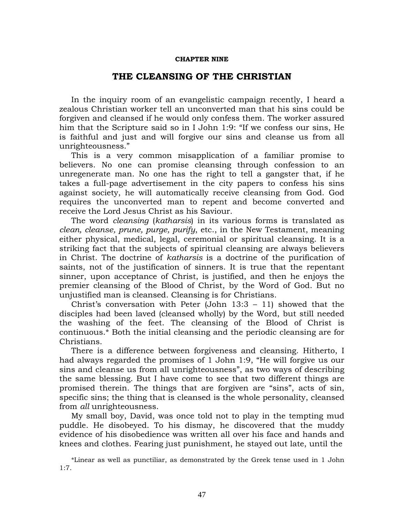#### **CHAPTER NINE**

# **THE CLEANSING OF THE CHRISTIAN**

In the inquiry room of an evangelistic campaign recently, I heard a zealous Christian worker tell an unconverted man that his sins could be forgiven and cleansed if he would only confess them. The worker assured him that the Scripture said so in I John 1:9: "If we confess our sins, He is faithful and just and will forgive our sins and cleanse us from all unrighteousness."

This is a very common misapplication of a familiar promise to believers. No one can promise cleansing through confession to an unregenerate man. No one has the right to tell a gangster that, if he takes a full-page advertisement in the city papers to confess his sins against society, he will automatically receive cleansing from God. God requires the unconverted man to repent and become converted and receive the Lord Jesus Christ as his Saviour.

The word *cleansing* (*katharsis*) in its various forms is translated as *clean, cleanse, prune, purge, purify*, etc., in the New Testament, meaning either physical, medical, legal, ceremonial or spiritual cleansing. It is a striking fact that the subjects of spiritual cleansing are always believers in Christ. The doctrine of *katharsis* is a doctrine of the purification of saints, not of the justification of sinners. It is true that the repentant sinner, upon acceptance of Christ, is justified, and then he enjoys the premier cleansing of the Blood of Christ, by the Word of God. But no unjustified man is cleansed. Cleansing is for Christians.

Christ's conversation with Peter (John  $13:3 - 11$ ) showed that the disciples had been laved (cleansed wholly) by the Word, but still needed the washing of the feet. The cleansing of the Blood of Christ is continuous.\* Both the initial cleansing and the periodic cleansing are for Christians.

There is a difference between forgiveness and cleansing. Hitherto, I had always regarded the promises of 1 John 1:9, "He will forgive us our sins and cleanse us from all unrighteousness", as two ways of describing the same blessing. But I have come to see that two different things are promised therein. The things that are forgiven are "sins", acts of sin, specific sins; the thing that is cleansed is the whole personality, cleansed from *all* unrighteousness.

My small boy, David, was once told not to play in the tempting mud puddle. He disobeyed. To his dismay, he discovered that the muddy evidence of his disobedience was written all over his face and hands and knees and clothes. Fearing just punishment, he stayed out late, until the

\*Linear as well as punctiliar, as demonstrated by the Greek tense used in 1 John 1:7.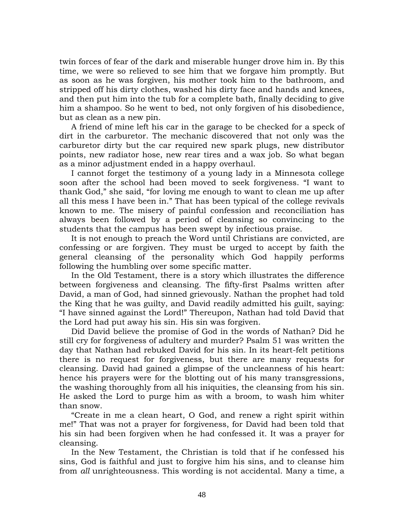twin forces of fear of the dark and miserable hunger drove him in. By this time, we were so relieved to see him that we forgave him promptly. But as soon as he was forgiven, his mother took him to the bathroom, and stripped off his dirty clothes, washed his dirty face and hands and knees, and then put him into the tub for a complete bath, finally deciding to give him a shampoo. So he went to bed, not only forgiven of his disobedience, but as clean as a new pin.

A friend of mine left his car in the garage to be checked for a speck of dirt in the carburetor. The mechanic discovered that not only was the carburetor dirty but the car required new spark plugs, new distributor points, new radiator hose, new rear tires and a wax job. So what began as a minor adjustment ended in a happy overhaul.

I cannot forget the testimony of a young lady in a Minnesota college soon after the school had been moved to seek forgiveness. "I want to thank God," she said, "for loving me enough to want to clean me up after all this mess I have been in." That has been typical of the college revivals known to me. The misery of painful confession and reconciliation has always been followed by a period of cleansing so convincing to the students that the campus has been swept by infectious praise.

It is not enough to preach the Word until Christians are convicted, are confessing or are forgiven. They must be urged to accept by faith the general cleansing of the personality which God happily performs following the humbling over some specific matter.

In the Old Testament, there is a story which illustrates the difference between forgiveness and cleansing. The fifty-first Psalms written after David, a man of God, had sinned grievously. Nathan the prophet had told the King that he was guilty, and David readily admitted his guilt, saying: "I have sinned against the Lord!" Thereupon, Nathan had told David that the Lord had put away his sin. His sin was forgiven.

Did David believe the promise of God in the words of Nathan? Did he still cry for forgiveness of adultery and murder? Psalm 51 was written the day that Nathan had rebuked David for his sin. In its heart-felt petitions there is no request for forgiveness, but there are many requests for cleansing. David had gained a glimpse of the uncleanness of his heart: hence his prayers were for the blotting out of his many transgressions, the washing thoroughly from all his iniquities, the cleansing from his sin. He asked the Lord to purge him as with a broom, to wash him whiter than snow.

"Create in me a clean heart, O God, and renew a right spirit within me!" That was not a prayer for forgiveness, for David had been told that his sin had been forgiven when he had confessed it. It was a prayer for cleansing.

In the New Testament, the Christian is told that if he confessed his sins, God is faithful and just to forgive him his sins, and to cleanse him from *all* unrighteousness. This wording is not accidental. Many a time, a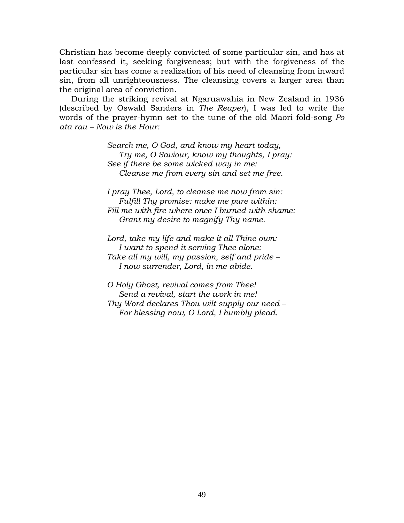Christian has become deeply convicted of some particular sin, and has at last confessed it, seeking forgiveness; but with the forgiveness of the particular sin has come a realization of his need of cleansing from inward sin, from all unrighteousness. The cleansing covers a larger area than the original area of conviction.

During the striking revival at Ngaruawahia in New Zealand in 1936 (described by Oswald Sanders in *The Reaper*), I was led to write the words of the prayer-hymn set to the tune of the old Maori fold-song *Po ata rau – Now is the Hour:* 

> *Search me, O God, and know my heart today, Try me, O Saviour, know my thoughts, I pray: See if there be some wicked way in me: Cleanse me from every sin and set me free.*

*I pray Thee, Lord, to cleanse me now from sin: Fulfill Thy promise: make me pure within: Fill me with fire where once I burned with shame: Grant my desire to magnify Thy name.* 

*Lord, take my life and make it all Thine own: I want to spend it serving Thee alone: Take all my will, my passion, self and pride – I now surrender, Lord, in me abide.* 

*O Holy Ghost, revival comes from Thee! Send a revival, start the work in me! Thy Word declares Thou wilt supply our need – For blessing now, O Lord, I humbly plead.*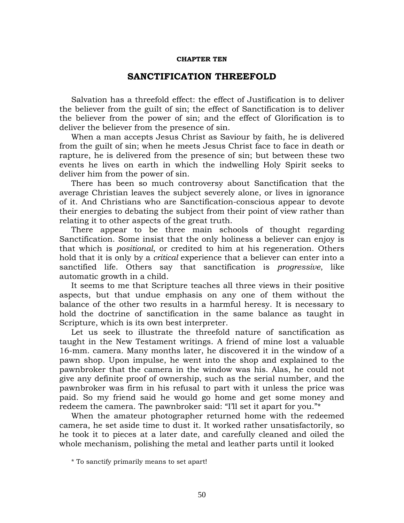#### **CHAPTER TEN**

# **SANCTIFICATION THREEFOLD**

Salvation has a threefold effect: the effect of Justification is to deliver the believer from the guilt of sin; the effect of Sanctification is to deliver the believer from the power of sin; and the effect of Glorification is to deliver the believer from the presence of sin.

When a man accepts Jesus Christ as Saviour by faith, he is delivered from the guilt of sin; when he meets Jesus Christ face to face in death or rapture, he is delivered from the presence of sin; but between these two events he lives on earth in which the indwelling Holy Spirit seeks to deliver him from the power of sin.

There has been so much controversy about Sanctification that the average Christian leaves the subject severely alone, or lives in ignorance of it. And Christians who are Sanctification-conscious appear to devote their energies to debating the subject from their point of view rather than relating it to other aspects of the great truth.

There appear to be three main schools of thought regarding Sanctification. Some insist that the only holiness a believer can enjoy is that which is *positional*, or credited to him at his regeneration. Others hold that it is only by a *critical* experience that a believer can enter into a sanctified life. Others say that sanctification is *progressive*, like automatic growth in a child.

It seems to me that Scripture teaches all three views in their positive aspects, but that undue emphasis on any one of them without the balance of the other two results in a harmful heresy. It is necessary to hold the doctrine of sanctification in the same balance as taught in Scripture, which is its own best interpreter.

Let us seek to illustrate the threefold nature of sanctification as taught in the New Testament writings. A friend of mine lost a valuable 16-mm. camera. Many months later, he discovered it in the window of a pawn shop. Upon impulse, he went into the shop and explained to the pawnbroker that the camera in the window was his. Alas, he could not give any definite proof of ownership, such as the serial number, and the pawnbroker was firm in his refusal to part with it unless the price was paid. So my friend said he would go home and get some money and redeem the camera. The pawnbroker said: "I'll set it apart for you."\*

When the amateur photographer returned home with the redeemed camera, he set aside time to dust it. It worked rather unsatisfactorily, so he took it to pieces at a later date, and carefully cleaned and oiled the whole mechanism, polishing the metal and leather parts until it looked

<sup>\*</sup> To sanctify primarily means to set apart!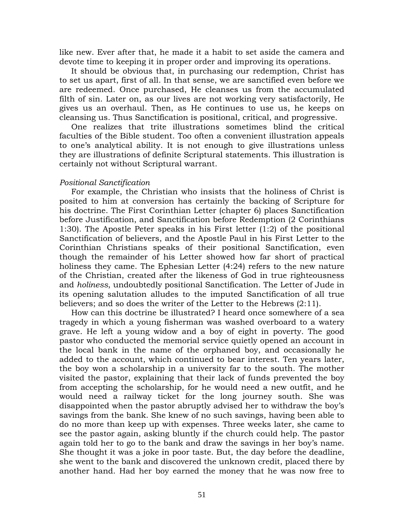like new. Ever after that, he made it a habit to set aside the camera and devote time to keeping it in proper order and improving its operations.

It should be obvious that, in purchasing our redemption, Christ has to set us apart, first of all. In that sense, we are sanctified even before we are redeemed. Once purchased, He cleanses us from the accumulated filth of sin. Later on, as our lives are not working very satisfactorily, He gives us an overhaul. Then, as He continues to use us, he keeps on cleansing us. Thus Sanctification is positional, critical, and progressive.

One realizes that trite illustrations sometimes blind the critical faculties of the Bible student. Too often a convenient illustration appeals to one's analytical ability. It is not enough to give illustrations unless they are illustrations of definite Scriptural statements. This illustration is certainly not without Scriptural warrant.

## *Positional Sanctification*

For example, the Christian who insists that the holiness of Christ is posited to him at conversion has certainly the backing of Scripture for his doctrine. The First Corinthian Letter (chapter 6) places Sanctification before Justification, and Sanctification before Redemption (2 Corinthians 1:30). The Apostle Peter speaks in his First letter (1:2) of the positional Sanctification of believers, and the Apostle Paul in his First Letter to the Corinthian Christians speaks of their positional Sanctification, even though the remainder of his Letter showed how far short of practical holiness they came. The Ephesian Letter (4:24) refers to the new nature of the Christian, created after the likeness of God in true righteousness and *holiness*, undoubtedly positional Sanctification. The Letter of Jude in its opening salutation alludes to the imputed Sanctification of all true believers; and so does the writer of the Letter to the Hebrews (2:11).

How can this doctrine be illustrated? I heard once somewhere of a sea tragedy in which a young fisherman was washed overboard to a watery grave. He left a young widow and a boy of eight in poverty. The good pastor who conducted the memorial service quietly opened an account in the local bank in the name of the orphaned boy, and occasionally he added to the account, which continued to bear interest. Ten years later, the boy won a scholarship in a university far to the south. The mother visited the pastor, explaining that their lack of funds prevented the boy from accepting the scholarship, for he would need a new outfit, and he would need a railway ticket for the long journey south. She was disappointed when the pastor abruptly advised her to withdraw the boy's savings from the bank. She knew of no such savings, having been able to do no more than keep up with expenses. Three weeks later, she came to see the pastor again, asking bluntly if the church could help. The pastor again told her to go to the bank and draw the savings in her boy's name. She thought it was a joke in poor taste. But, the day before the deadline, she went to the bank and discovered the unknown credit, placed there by another hand. Had her boy earned the money that he was now free to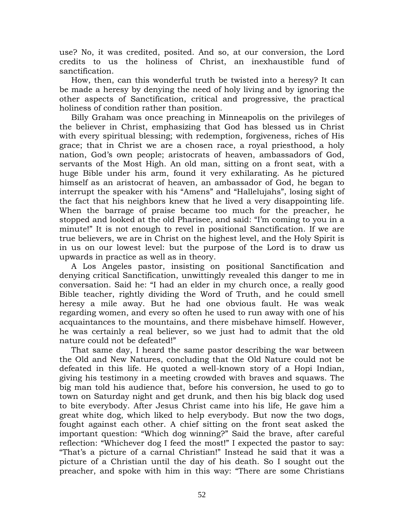use? No, it was credited, posited. And so, at our conversion, the Lord credits to us the holiness of Christ, an inexhaustible fund of sanctification.

How, then, can this wonderful truth be twisted into a heresy? It can be made a heresy by denying the need of holy living and by ignoring the other aspects of Sanctification, critical and progressive, the practical holiness of condition rather than position.

Billy Graham was once preaching in Minneapolis on the privileges of the believer in Christ, emphasizing that God has blessed us in Christ with every spiritual blessing; with redemption, forgiveness, riches of His grace; that in Christ we are a chosen race, a royal priesthood, a holy nation, God's own people; aristocrats of heaven, ambassadors of God, servants of the Most High. An old man, sitting on a front seat, with a huge Bible under his arm, found it very exhilarating. As he pictured himself as an aristocrat of heaven, an ambassador of God, he began to interrupt the speaker with his "Amens" and "Hallelujahs", losing sight of the fact that his neighbors knew that he lived a very disappointing life. When the barrage of praise became too much for the preacher, he stopped and looked at the old Pharisee, and said: "I'm coming to you in a minute!" It is not enough to revel in positional Sanctification. If we are true believers, we are in Christ on the highest level, and the Holy Spirit is in us on our lowest level: but the purpose of the Lord is to draw us upwards in practice as well as in theory.

A Los Angeles pastor, insisting on positional Sanctification and denying critical Sanctification, unwittingly revealed this danger to me in conversation. Said he: "I had an elder in my church once, a really good Bible teacher, rightly dividing the Word of Truth, and he could smell heresy a mile away. But he had one obvious fault. He was weak regarding women, and every so often he used to run away with one of his acquaintances to the mountains, and there misbehave himself. However, he was certainly a real believer, so we just had to admit that the old nature could not be defeated!"

That same day, I heard the same pastor describing the war between the Old and New Natures, concluding that the Old Nature could not be defeated in this life. He quoted a well-known story of a Hopi Indian, giving his testimony in a meeting crowded with braves and squaws. The big man told his audience that, before his conversion, he used to go to town on Saturday night and get drunk, and then his big black dog used to bite everybody. After Jesus Christ came into his life, He gave him a great white dog, which liked to help everybody. But now the two dogs, fought against each other. A chief sitting on the front seat asked the important question: "Which dog winning?" Said the brave, after careful reflection: "Whichever dog I feed the most!" I expected the pastor to say: "That's a picture of a carnal Christian!" Instead he said that it was a picture of a Christian until the day of his death. So I sought out the preacher, and spoke with him in this way: "There are some Christians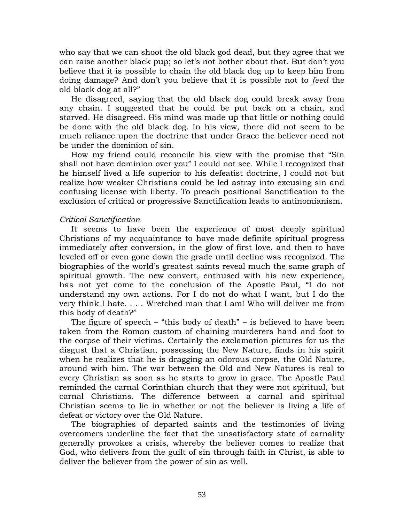who say that we can shoot the old black god dead, but they agree that we can raise another black pup; so let's not bother about that. But don't you believe that it is possible to chain the old black dog up to keep him from doing damage? And don't you believe that it is possible not to *feed* the old black dog at all?"

He disagreed, saying that the old black dog could break away from any chain. I suggested that he could be put back on a chain, and starved. He disagreed. His mind was made up that little or nothing could be done with the old black dog. In his view, there did not seem to be much reliance upon the doctrine that under Grace the believer need not be under the dominion of sin.

How my friend could reconcile his view with the promise that "Sin shall not have dominion over you" I could not see. While I recognized that he himself lived a life superior to his defeatist doctrine, I could not but realize how weaker Christians could be led astray into excusing sin and confusing license with liberty. To preach positional Sanctification to the exclusion of critical or progressive Sanctification leads to antinomianism.

# *Critical Sanctification*

It seems to have been the experience of most deeply spiritual Christians of my acquaintance to have made definite spiritual progress immediately after conversion, in the glow of first love, and then to have leveled off or even gone down the grade until decline was recognized. The biographies of the world's greatest saints reveal much the same graph of spiritual growth. The new convert, enthused with his new experience, has not yet come to the conclusion of the Apostle Paul, "I do not understand my own actions. For I do not do what I want, but I do the very think I hate. . . . Wretched man that I am! Who will deliver me from this body of death?"

The figure of speech  $-$  "this body of death"  $-$  is believed to have been taken from the Roman custom of chaining murderers hand and foot to the corpse of their victims. Certainly the exclamation pictures for us the disgust that a Christian, possessing the New Nature, finds in his spirit when he realizes that he is dragging an odorous corpse, the Old Nature, around with him. The war between the Old and New Natures is real to every Christian as soon as he starts to grow in grace. The Apostle Paul reminded the carnal Corinthian church that they were not spiritual, but carnal Christians. The difference between a carnal and spiritual Christian seems to lie in whether or not the believer is living a life of defeat or victory over the Old Nature.

The biographies of departed saints and the testimonies of living overcomers underline the fact that the unsatisfactory state of carnality generally provokes a crisis, whereby the believer comes to realize that God, who delivers from the guilt of sin through faith in Christ, is able to deliver the believer from the power of sin as well.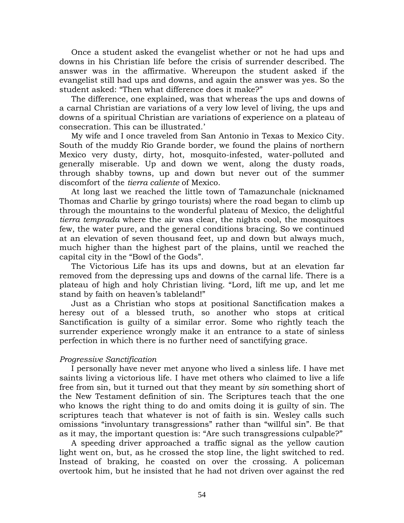Once a student asked the evangelist whether or not he had ups and downs in his Christian life before the crisis of surrender described. The answer was in the affirmative. Whereupon the student asked if the evangelist still had ups and downs, and again the answer was yes. So the student asked: "Then what difference does it make?"

The difference, one explained, was that whereas the ups and downs of a carnal Christian are variations of a very low level of living, the ups and downs of a spiritual Christian are variations of experience on a plateau of consecration. This can be illustrated.'

My wife and I once traveled from San Antonio in Texas to Mexico City. South of the muddy Rio Grande border, we found the plains of northern Mexico very dusty, dirty, hot, mosquito-infested, water-polluted and generally miserable. Up and down we went, along the dusty roads, through shabby towns, up and down but never out of the summer discomfort of the *tierra caliente* of Mexico.

At long last we reached the little town of Tamazunchale (nicknamed Thomas and Charlie by gringo tourists) where the road began to climb up through the mountains to the wonderful plateau of Mexico, the delightful *tierra temprada* where the air was clear, the nights cool, the mosquitoes few, the water pure, and the general conditions bracing. So we continued at an elevation of seven thousand feet, up and down but always much, much higher than the highest part of the plains, until we reached the capital city in the "Bowl of the Gods".

The Victorious Life has its ups and downs, but at an elevation far removed from the depressing ups and downs of the carnal life. There is a plateau of high and holy Christian living. "Lord, lift me up, and let me stand by faith on heaven's tableland!"

Just as a Christian who stops at positional Sanctification makes a heresy out of a blessed truth, so another who stops at critical Sanctification is guilty of a similar error. Some who rightly teach the surrender experience wrongly make it an entrance to a state of sinless perfection in which there is no further need of sanctifying grace.

### *Progressive Sanctification*

I personally have never met anyone who lived a sinless life. I have met saints living a victorious life. I have met others who claimed to live a life free from sin, but it turned out that they meant by *sin* something short of the New Testament definition of sin. The Scriptures teach that the one who knows the right thing to do and omits doing it is guilty of sin. The scriptures teach that whatever is not of faith is sin. Wesley calls such omissions "involuntary transgressions" rather than "willful sin". Be that as it may, the important question is: "Are such transgressions culpable?"

A speeding driver approached a traffic signal as the yellow caution light went on, but, as he crossed the stop line, the light switched to red. Instead of braking, he coasted on over the crossing. A policeman overtook him, but he insisted that he had not driven over against the red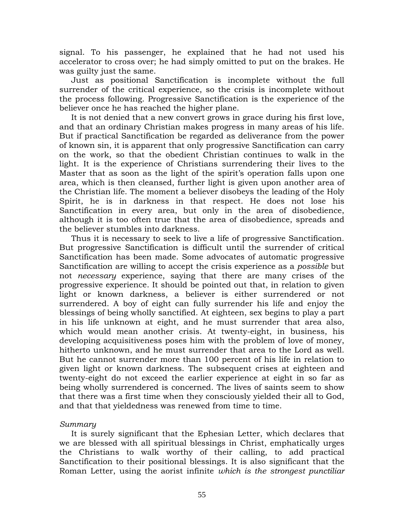signal. To his passenger, he explained that he had not used his accelerator to cross over; he had simply omitted to put on the brakes. He was guilty just the same.

Just as positional Sanctification is incomplete without the full surrender of the critical experience, so the crisis is incomplete without the process following. Progressive Sanctification is the experience of the believer once he has reached the higher plane.

It is not denied that a new convert grows in grace during his first love, and that an ordinary Christian makes progress in many areas of his life. But if practical Sanctification be regarded as deliverance from the power of known sin, it is apparent that only progressive Sanctification can carry on the work, so that the obedient Christian continues to walk in the light. It is the experience of Christians surrendering their lives to the Master that as soon as the light of the spirit's operation falls upon one area, which is then cleansed, further light is given upon another area of the Christian life. The moment a believer disobeys the leading of the Holy Spirit, he is in darkness in that respect. He does not lose his Sanctification in every area, but only in the area of disobedience, although it is too often true that the area of disobedience, spreads and the believer stumbles into darkness.

Thus it is necessary to seek to live a life of progressive Sanctification. But progressive Sanctification is difficult until the surrender of critical Sanctification has been made. Some advocates of automatic progressive Sanctification are willing to accept the crisis experience as a *possible* but not *necessary* experience, saying that there are many crises of the progressive experience. It should be pointed out that, in relation to given light or known darkness, a believer is either surrendered or not surrendered. A boy of eight can fully surrender his life and enjoy the blessings of being wholly sanctified. At eighteen, sex begins to play a part in his life unknown at eight, and he must surrender that area also, which would mean another crisis. At twenty-eight, in business, his developing acquisitiveness poses him with the problem of love of money, hitherto unknown, and he must surrender that area to the Lord as well. But he cannot surrender more than 100 percent of his life in relation to given light or known darkness. The subsequent crises at eighteen and twenty-eight do not exceed the earlier experience at eight in so far as being wholly surrendered is concerned. The lives of saints seem to show that there was a first time when they consciously yielded their all to God, and that that yieldedness was renewed from time to time.

## *Summary*

It is surely significant that the Ephesian Letter, which declares that we are blessed with all spiritual blessings in Christ, emphatically urges the Christians to walk worthy of their calling, to add practical Sanctification to their positional blessings. It is also significant that the Roman Letter, using the aorist infinite *which is the strongest punctiliar*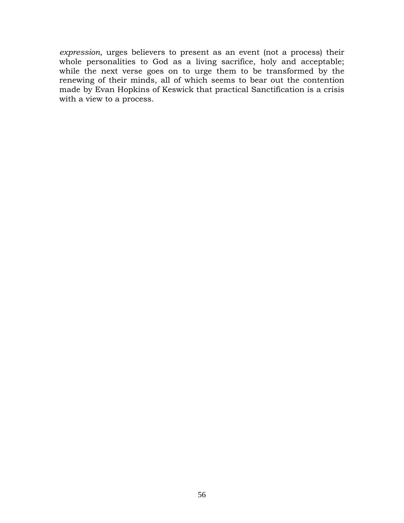*expression,* urges believers to present as an event (not a process) their whole personalities to God as a living sacrifice, holy and acceptable; while the next verse goes on to urge them to be transformed by the renewing of their minds, all of which seems to bear out the contention made by Evan Hopkins of Keswick that practical Sanctification is a crisis with a view to a process.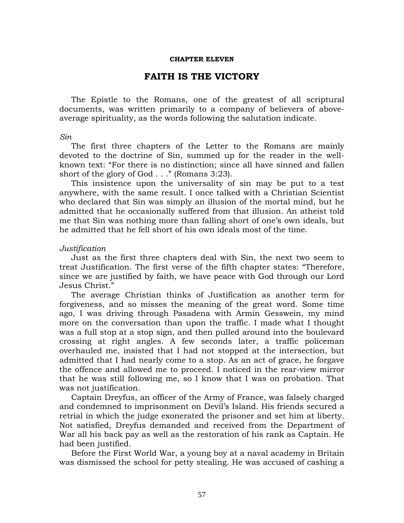#### **CHAPTER ELEVEN**

# **FAITH IS THE VICTORY**

The Epistle to the Romans, one of the greatest of all scriptural documents, was written primarily to a company of believers of aboveaverage spirituality, as the words following the salutation indicate.

#### *Sin*

The first three chapters of the Letter to the Romans are mainly devoted to the doctrine of Sin, summed up for the reader in the wellknown text: "For there is no distinction; since all have sinned and fallen short of the glory of God . . ." (Romans 3:23).

This insistence upon the universality of sin may be put to a test anywhere, with the same result. I once talked with a Christian Scientist who declared that Sin was simply an illusion of the mortal mind, but he admitted that he occasionally suffered from that illusion. An atheist told me that Sin was nothing more than falling short of one's own ideals, but he admitted that he fell short of his own ideals most of the time.

#### *Justification*

Just as the first three chapters deal with Sin, the next two seem to treat Justification. The first verse of the fifth chapter states: "Therefore, since we are justified by faith, we have peace with God through our Lord Jesus Christ."

The average Christian thinks of Justification as another term for forgiveness, and so misses the meaning of the great word. Some time ago, I was driving through Pasadena with Armin Gesswein, my mind more on the conversation than upon the traffic. I made what I thought was a full stop at a stop sign, and then pulled around into the boulevard crossing at right angles. A few seconds later, a traffic policeman overhauled me, insisted that I had not stopped at the intersection, but admitted that I had nearly come to a stop. As an act of grace, he forgave the offence and allowed me to proceed. I noticed in the rear-view mirror that he was still following me, so I know that I was on probation. That was not justification.

Captain Dreyfus, an officer of the Army of France, was falsely charged and condemned to imprisonment on Devil's Island. His friends secured a retrial in which the judge exonerated the prisoner and set him at liberty. Not satisfied, Dreyfus demanded and received from the Department of War all his back pay as well as the restoration of his rank as Captain. He had been justified.

Before the First World War, a young boy at a naval academy in Britain was dismissed the school for petty stealing. He was accused of cashing a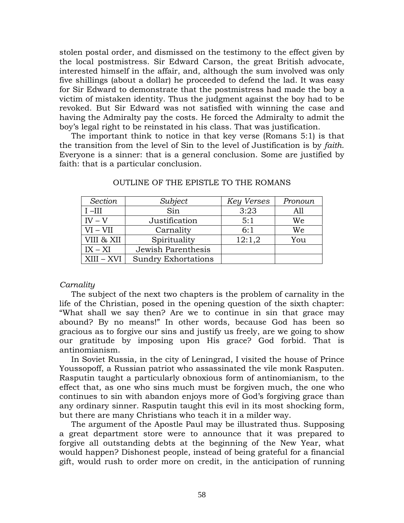stolen postal order, and dismissed on the testimony to the effect given by the local postmistress. Sir Edward Carson, the great British advocate, interested himself in the affair, and, although the sum involved was only five shillings (about a dollar) he proceeded to defend the lad. It was easy for Sir Edward to demonstrate that the postmistress had made the boy a victim of mistaken identity. Thus the judgment against the boy had to be revoked. But Sir Edward was not satisfied with winning the case and having the Admiralty pay the costs. He forced the Admiralty to admit the boy's legal right to be reinstated in his class. That was justification.

The important think to notice in that key verse (Romans 5:1) is that the transition from the level of Sin to the level of Justification is by *faith*. Everyone is a sinner: that is a general conclusion. Some are justified by faith: that is a particular conclusion.

| Section      | Subject                    | <b>Key Verses</b> | Pronoun |
|--------------|----------------------------|-------------------|---------|
| $I$ -III     | Sin                        | 3:23              | All     |
| $IV - V$     | Justification              | 5:1               | We      |
| $VI - VII$   | Carnality                  | 6:1               | We      |
| VIII & XII   | Spirituality               | 12:1,2            | You     |
| $IX - XI$    | Jewish Parenthesis         |                   |         |
| $XIII - XVI$ | <b>Sundry Exhortations</b> |                   |         |

### OUTLINE OF THE EPISTLE TO THE ROMANS

## *Carnality*

The subject of the next two chapters is the problem of carnality in the life of the Christian, posed in the opening question of the sixth chapter: "What shall we say then? Are we to continue in sin that grace may abound? By no means!" In other words, because God has been so gracious as to forgive our sins and justify us freely, are we going to show our gratitude by imposing upon His grace? God forbid. That is antinomianism.

In Soviet Russia, in the city of Leningrad, I visited the house of Prince Youssopoff, a Russian patriot who assassinated the vile monk Rasputen. Rasputin taught a particularly obnoxious form of antinomianism, to the effect that, as one who sins much must be forgiven much, the one who continues to sin with abandon enjoys more of God's forgiving grace than any ordinary sinner. Rasputin taught this evil in its most shocking form, but there are many Christians who teach it in a milder way.

The argument of the Apostle Paul may be illustrated thus. Supposing a great department store were to announce that it was prepared to forgive all outstanding debts at the beginning of the New Year, what would happen? Dishonest people, instead of being grateful for a financial gift, would rush to order more on credit, in the anticipation of running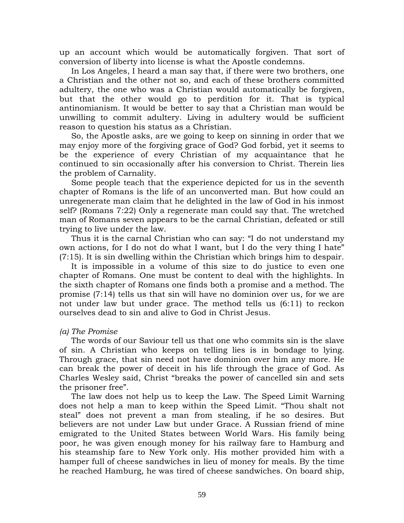up an account which would be automatically forgiven. That sort of conversion of liberty into license is what the Apostle condemns.

In Los Angeles, I heard a man say that, if there were two brothers, one a Christian and the other not so, and each of these brothers committed adultery, the one who was a Christian would automatically be forgiven, but that the other would go to perdition for it. That is typical antinomianism. It would be better to say that a Christian man would be unwilling to commit adultery. Living in adultery would be sufficient reason to question his status as a Christian.

So, the Apostle asks, are we going to keep on sinning in order that we may enjoy more of the forgiving grace of God? God forbid, yet it seems to be the experience of every Christian of my acquaintance that he continued to sin occasionally after his conversion to Christ. Therein lies the problem of Carnality.

Some people teach that the experience depicted for us in the seventh chapter of Romans is the life of an unconverted man. But how could an unregenerate man claim that he delighted in the law of God in his inmost self? (Romans 7:22) Only a regenerate man could say that. The wretched man of Romans seven appears to be the carnal Christian, defeated or still trying to live under the law.

Thus it is the carnal Christian who can say: "I do not understand my own actions, for I do not do what I want, but I do the very thing I hate" (7:15). It is sin dwelling within the Christian which brings him to despair.

It is impossible in a volume of this size to do justice to even one chapter of Romans. One must be content to deal with the highlights. In the sixth chapter of Romans one finds both a promise and a method. The promise (7:14) tells us that sin will have no dominion over us, for we are not under law but under grace. The method tells us (6:11) to reckon ourselves dead to sin and alive to God in Christ Jesus.

## *(a) The Promise*

The words of our Saviour tell us that one who commits sin is the slave of sin. A Christian who keeps on telling lies is in bondage to lying. Through grace, that sin need not have dominion over him any more. He can break the power of deceit in his life through the grace of God. As Charles Wesley said, Christ "breaks the power of cancelled sin and sets the prisoner free".

The law does not help us to keep the Law. The Speed Limit Warning does not help a man to keep within the Speed Limit. "Thou shalt not steal" does not prevent a man from stealing, if he so desires. But believers are not under Law but under Grace. A Russian friend of mine emigrated to the United States between World Wars. His family being poor, he was given enough money for his railway fare to Hamburg and his steamship fare to New York only. His mother provided him with a hamper full of cheese sandwiches in lieu of money for meals. By the time he reached Hamburg, he was tired of cheese sandwiches. On board ship,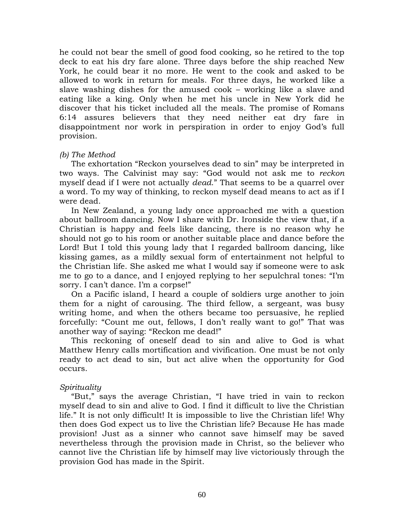he could not bear the smell of good food cooking, so he retired to the top deck to eat his dry fare alone. Three days before the ship reached New York, he could bear it no more. He went to the cook and asked to be allowed to work in return for meals. For three days, he worked like a slave washing dishes for the amused cook – working like a slave and eating like a king. Only when he met his uncle in New York did he discover that his ticket included all the meals. The promise of Romans 6:14 assures believers that they need neither eat dry fare in disappointment nor work in perspiration in order to enjoy God's full provision.

## *(b) The Method*

The exhortation "Reckon yourselves dead to sin" may be interpreted in two ways. The Calvinist may say: "God would not ask me to *reckon* myself dead if I were not actually *dead*." That seems to be a quarrel over a word. To my way of thinking, to reckon myself dead means to act as if I were dead.

In New Zealand, a young lady once approached me with a question about ballroom dancing. Now I share with Dr. Ironside the view that, if a Christian is happy and feels like dancing, there is no reason why he should not go to his room or another suitable place and dance before the Lord! But I told this young lady that I regarded ballroom dancing, like kissing games, as a mildly sexual form of entertainment not helpful to the Christian life. She asked me what I would say if someone were to ask me to go to a dance, and I enjoyed replying to her sepulchral tones: "I'm sorry. I can't dance. I'm a corpse!"

On a Pacific island, I heard a couple of soldiers urge another to join them for a night of carousing. The third fellow, a sergeant, was busy writing home, and when the others became too persuasive, he replied forcefully: "Count me out, fellows, I don't really want to go!" That was another way of saying: "Reckon me dead!"

This reckoning of oneself dead to sin and alive to God is what Matthew Henry calls mortification and vivification. One must be not only ready to act dead to sin, but act alive when the opportunity for God occurs.

# *Spirituality*

"But," says the average Christian, "I have tried in vain to reckon myself dead to sin and alive to God. I find it difficult to live the Christian life." It is not only difficult! It is impossible to live the Christian life! Why then does God expect us to live the Christian life? Because He has made provision! Just as a sinner who cannot save himself may be saved nevertheless through the provision made in Christ, so the believer who cannot live the Christian life by himself may live victoriously through the provision God has made in the Spirit.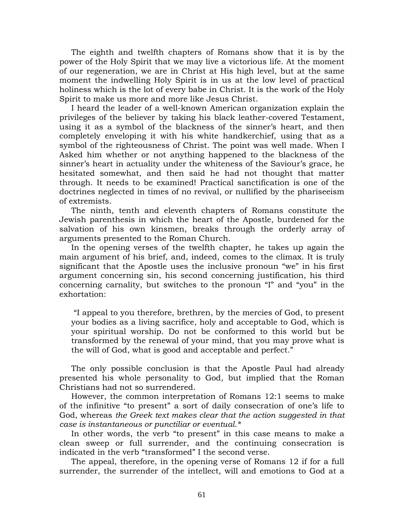The eighth and twelfth chapters of Romans show that it is by the power of the Holy Spirit that we may live a victorious life. At the moment of our regeneration, we are in Christ at His high level, but at the same moment the indwelling Holy Spirit is in us at the low level of practical holiness which is the lot of every babe in Christ. It is the work of the Holy Spirit to make us more and more like Jesus Christ.

I heard the leader of a well-known American organization explain the privileges of the believer by taking his black leather-covered Testament, using it as a symbol of the blackness of the sinner's heart, and then completely enveloping it with his white handkerchief, using that as a symbol of the righteousness of Christ. The point was well made. When I Asked him whether or not anything happened to the blackness of the sinner's heart in actuality under the whiteness of the Saviour's grace, he hesitated somewhat, and then said he had not thought that matter through. It needs to be examined! Practical sanctification is one of the doctrines neglected in times of no revival, or nullified by the phariseeism of extremists.

The ninth, tenth and eleventh chapters of Romans constitute the Jewish parenthesis in which the heart of the Apostle, burdened for the salvation of his own kinsmen, breaks through the orderly array of arguments presented to the Roman Church.

In the opening verses of the twelfth chapter, he takes up again the main argument of his brief, and, indeed, comes to the climax. It is truly significant that the Apostle uses the inclusive pronoun "we" in his first argument concerning sin, his second concerning justification, his third concerning carnality, but switches to the pronoun "I" and "you" in the exhortation:

"I appeal to you therefore, brethren, by the mercies of God, to present your bodies as a living sacrifice, holy and acceptable to God, which is your spiritual worship. Do not be conformed to this world but be transformed by the renewal of your mind, that you may prove what is the will of God, what is good and acceptable and perfect."

The only possible conclusion is that the Apostle Paul had already presented his whole personality to God, but implied that the Roman Christians had not so surrendered.

However, the common interpretation of Romans 12:1 seems to make of the infinitive "to present" a sort of daily consecration of one's life to God, whereas *the Greek text makes clear that the action suggested in that case is instantaneous or punctiliar or eventual.\**

In other words, the verb "to present" in this case means to make a clean sweep or full surrender, and the continuing consecration is indicated in the verb "transformed" I the second verse.

The appeal, therefore, in the opening verse of Romans 12 if for a full surrender, the surrender of the intellect, will and emotions to God at a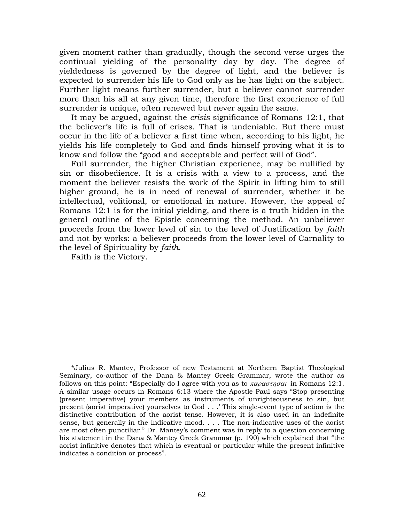given moment rather than gradually, though the second verse urges the continual yielding of the personality day by day. The degree of yieldedness is governed by the degree of light, and the believer is expected to surrender his life to God only as he has light on the subject. Further light means further surrender, but a believer cannot surrender more than his all at any given time, therefore the first experience of full surrender is unique, often renewed but never again the same.

It may be argued, against the *crisis* significance of Romans 12:1, that the believer's life is full of crises. That is undeniable. But there must occur in the life of a believer a first time when, according to his light, he yields his life completely to God and finds himself proving what it is to know and follow the "good and acceptable and perfect will of God".

Full surrender, the higher Christian experience, may be nullified by sin or disobedience. It is a crisis with a view to a process, and the moment the believer resists the work of the Spirit in lifting him to still higher ground, he is in need of renewal of surrender, whether it be intellectual, volitional, or emotional in nature. However, the appeal of Romans 12:1 is for the initial yielding, and there is a truth hidden in the general outline of the Epistle concerning the method. An unbeliever proceeds from the lower level of sin to the level of Justification by *faith* and not by works: a believer proceeds from the lower level of Carnality to the level of Spirituality by *faith*.

Faith is the Victory.

\*Julius R. Mantey, Professor of new Testament at Northern Baptist Theological Seminary, co-author of the Dana & Mantey Greek Grammar, wrote the author as follows on this point: "Especially do I agree with you as to  $\pi \alpha \rho \alpha \sigma \tau \eta \sigma \alpha \iota$  in Romans 12:1. A similar usage occurs in Romans 6:13 where the Apostle Paul says "Stop presenting (present imperative) your members as instruments of unrighteousness to sin, but present (aorist imperative) yourselves to God . . .' This single-event type of action is the distinctive contribution of the aorist tense. However, it is also used in an indefinite sense, but generally in the indicative mood. . . . The non-indicative uses of the aorist are most often punctiliar." Dr. Mantey's comment was in reply to a question concerning his statement in the Dana & Mantey Greek Grammar (p. 190) which explained that "the aorist infinitive denotes that which is eventual or particular while the present infinitive indicates a condition or process".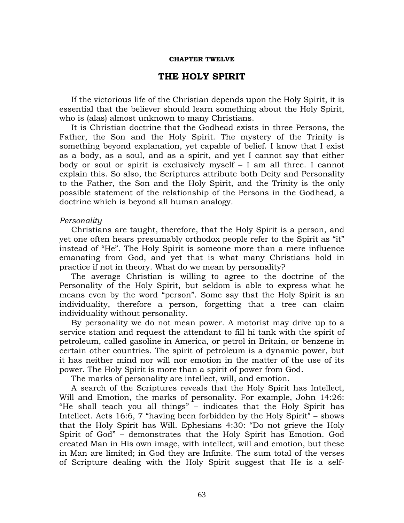#### **CHAPTER TWELVE**

# **THE HOLY SPIRIT**

If the victorious life of the Christian depends upon the Holy Spirit, it is essential that the believer should learn something about the Holy Spirit, who is (alas) almost unknown to many Christians.

It is Christian doctrine that the Godhead exists in three Persons, the Father, the Son and the Holy Spirit. The mystery of the Trinity is something beyond explanation, yet capable of belief. I know that I exist as a body, as a soul, and as a spirit, and yet I cannot say that either body or soul or spirit is exclusively myself – I am all three. I cannot explain this. So also, the Scriptures attribute both Deity and Personality to the Father, the Son and the Holy Spirit, and the Trinity is the only possible statement of the relationship of the Persons in the Godhead, a doctrine which is beyond all human analogy.

### *Personality*

Christians are taught, therefore, that the Holy Spirit is a person, and yet one often hears presumably orthodox people refer to the Spirit as "it" instead of "He". The Holy Spirit is someone more than a mere influence emanating from God, and yet that is what many Christians hold in practice if not in theory. What do we mean by personality?

The average Christian is willing to agree to the doctrine of the Personality of the Holy Spirit, but seldom is able to express what he means even by the word "person". Some say that the Holy Spirit is an individuality, therefore a person, forgetting that a tree can claim individuality without personality.

By personality we do not mean power. A motorist may drive up to a service station and request the attendant to fill hi tank with the spirit of petroleum, called gasoline in America, or petrol in Britain, or benzene in certain other countries. The spirit of petroleum is a dynamic power, but it has neither mind nor will nor emotion in the matter of the use of its power. The Holy Spirit is more than a spirit of power from God.

The marks of personality are intellect, will, and emotion.

A search of the Scriptures reveals that the Holy Spirit has Intellect, Will and Emotion, the marks of personality. For example, John 14:26: "He shall teach you all things" – indicates that the Holy Spirit has Intellect. Acts 16:6, 7 "having been forbidden by the Holy Spirit" – shows that the Holy Spirit has Will. Ephesians 4:30: "Do not grieve the Holy Spirit of God" – demonstrates that the Holy Spirit has Emotion. God created Man in His own image, with intellect, will and emotion, but these in Man are limited; in God they are Infinite. The sum total of the verses of Scripture dealing with the Holy Spirit suggest that He is a self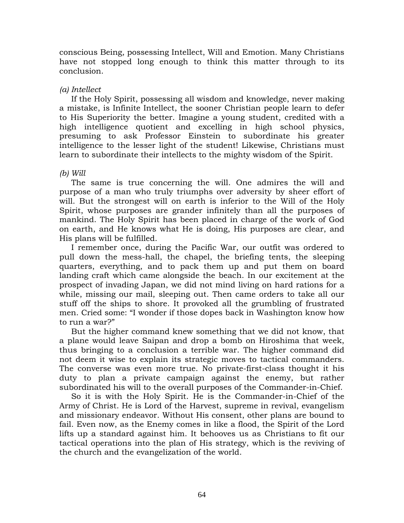conscious Being, possessing Intellect, Will and Emotion. Many Christians have not stopped long enough to think this matter through to its conclusion.

# *(a) Intellect*

If the Holy Spirit, possessing all wisdom and knowledge, never making a mistake, is Infinite Intellect, the sooner Christian people learn to defer to His Superiority the better. Imagine a young student, credited with a high intelligence quotient and excelling in high school physics, presuming to ask Professor Einstein to subordinate his greater intelligence to the lesser light of the student! Likewise, Christians must learn to subordinate their intellects to the mighty wisdom of the Spirit.

# *(b) Will*

The same is true concerning the will. One admires the will and purpose of a man who truly triumphs over adversity by sheer effort of will. But the strongest will on earth is inferior to the Will of the Holy Spirit, whose purposes are grander infinitely than all the purposes of mankind. The Holy Spirit has been placed in charge of the work of God on earth, and He knows what He is doing, His purposes are clear, and His plans will be fulfilled.

I remember once, during the Pacific War, our outfit was ordered to pull down the mess-hall, the chapel, the briefing tents, the sleeping quarters, everything, and to pack them up and put them on board landing craft which came alongside the beach. In our excitement at the prospect of invading Japan, we did not mind living on hard rations for a while, missing our mail, sleeping out. Then came orders to take all our stuff off the ships to shore. It provoked all the grumbling of frustrated men. Cried some: "I wonder if those dopes back in Washington know how to run a war?"

But the higher command knew something that we did not know, that a plane would leave Saipan and drop a bomb on Hiroshima that week, thus bringing to a conclusion a terrible war. The higher command did not deem it wise to explain its strategic moves to tactical commanders. The converse was even more true. No private-first-class thought it his duty to plan a private campaign against the enemy, but rather subordinated his will to the overall purposes of the Commander-in-Chief.

So it is with the Holy Spirit. He is the Commander-in-Chief of the Army of Christ. He is Lord of the Harvest, supreme in revival, evangelism and missionary endeavor. Without His consent, other plans are bound to fail. Even now, as the Enemy comes in like a flood, the Spirit of the Lord lifts up a standard against him. It behooves us as Christians to fit our tactical operations into the plan of His strategy, which is the reviving of the church and the evangelization of the world.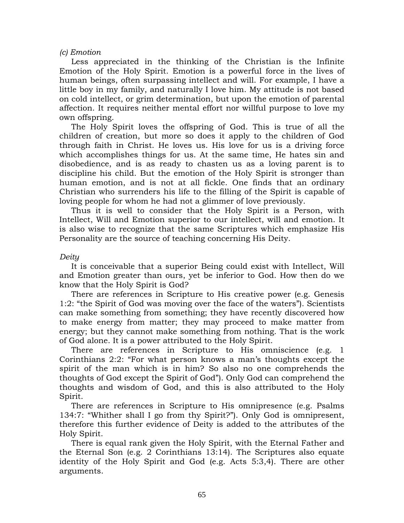## *(c) Emotion*

Less appreciated in the thinking of the Christian is the Infinite Emotion of the Holy Spirit. Emotion is a powerful force in the lives of human beings, often surpassing intellect and will. For example, I have a little boy in my family, and naturally I love him. My attitude is not based on cold intellect, or grim determination, but upon the emotion of parental affection. It requires neither mental effort nor willful purpose to love my own offspring.

The Holy Spirit loves the offspring of God. This is true of all the children of creation, but more so does it apply to the children of God through faith in Christ. He loves us. His love for us is a driving force which accomplishes things for us. At the same time, He hates sin and disobedience, and is as ready to chasten us as a loving parent is to discipline his child. But the emotion of the Holy Spirit is stronger than human emotion, and is not at all fickle. One finds that an ordinary Christian who surrenders his life to the filling of the Spirit is capable of loving people for whom he had not a glimmer of love previously.

Thus it is well to consider that the Holy Spirit is a Person, with Intellect, Will and Emotion superior to our intellect, will and emotion. It is also wise to recognize that the same Scriptures which emphasize His Personality are the source of teaching concerning His Deity.

## *Deity*

It is conceivable that a superior Being could exist with Intellect, Will and Emotion greater than ours, yet be inferior to God. How then do we know that the Holy Spirit is God?

There are references in Scripture to His creative power (e.g. Genesis 1:2: "the Spirit of God was moving over the face of the waters"). Scientists can make something from something; they have recently discovered how to make energy from matter; they may proceed to make matter from energy; but they cannot make something from nothing. That is the work of God alone. It is a power attributed to the Holy Spirit.

There are references in Scripture to His omniscience (e.g. 1) Corinthians 2:2: "For what person knows a man's thoughts except the spirit of the man which is in him? So also no one comprehends the thoughts of God except the Spirit of God"). Only God can comprehend the thoughts and wisdom of God, and this is also attributed to the Holy Spirit.

There are references in Scripture to His omnipresence (e.g. Psalms 134:7: "Whither shall I go from thy Spirit?"). Only God is omnipresent, therefore this further evidence of Deity is added to the attributes of the Holy Spirit.

There is equal rank given the Holy Spirit, with the Eternal Father and the Eternal Son (e.g. 2 Corinthians 13:14). The Scriptures also equate identity of the Holy Spirit and God (e.g. Acts 5:3,4). There are other arguments.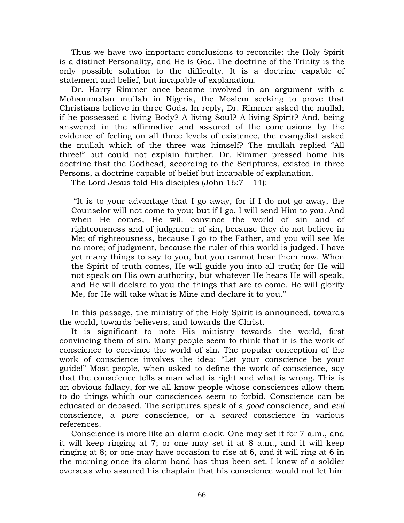Thus we have two important conclusions to reconcile: the Holy Spirit is a distinct Personality, and He is God. The doctrine of the Trinity is the only possible solution to the difficulty. It is a doctrine capable of statement and belief, but incapable of explanation.

Dr. Harry Rimmer once became involved in an argument with a Mohammedan mullah in Nigeria, the Moslem seeking to prove that Christians believe in three Gods. In reply, Dr. Rimmer asked the mullah if he possessed a living Body? A living Soul? A living Spirit? And, being answered in the affirmative and assured of the conclusions by the evidence of feeling on all three levels of existence, the evangelist asked the mullah which of the three was himself? The mullah replied "All three!" but could not explain further. Dr. Rimmer pressed home his doctrine that the Godhead, according to the Scriptures, existed in three Persons, a doctrine capable of belief but incapable of explanation.

The Lord Jesus told His disciples (John 16:7 – 14):

"It is to your advantage that I go away, for if I do not go away, the Counselor will not come to you; but if I go, I will send Him to you. And when He comes, He will convince the world of sin and of righteousness and of judgment: of sin, because they do not believe in Me; of righteousness, because I go to the Father, and you will see Me no more; of judgment, because the ruler of this world is judged. I have yet many things to say to you, but you cannot hear them now. When the Spirit of truth comes, He will guide you into all truth; for He will not speak on His own authority, but whatever He hears He will speak, and He will declare to you the things that are to come. He will glorify Me, for He will take what is Mine and declare it to you."

In this passage, the ministry of the Holy Spirit is announced, towards the world, towards believers, and towards the Christ.

It is significant to note His ministry towards the world, first convincing them of sin. Many people seem to think that it is the work of conscience to convince the world of sin. The popular conception of the work of conscience involves the idea: "Let your conscience be your guide!" Most people, when asked to define the work of conscience, say that the conscience tells a man what is right and what is wrong. This is an obvious fallacy, for we all know people whose consciences allow them to do things which our consciences seem to forbid. Conscience can be educated or debased. The scriptures speak of a *good* conscience, and *evil* conscience, a *pure* conscience, or a *seared* conscience in various references.

Conscience is more like an alarm clock. One may set it for 7 a.m., and it will keep ringing at 7; or one may set it at 8 a.m., and it will keep ringing at 8; or one may have occasion to rise at 6, and it will ring at 6 in the morning once its alarm hand has thus been set. I knew of a soldier overseas who assured his chaplain that his conscience would not let him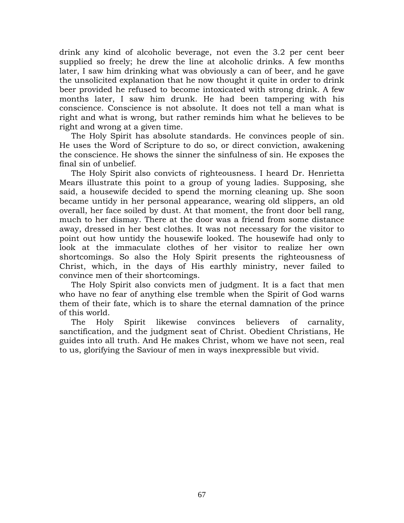drink any kind of alcoholic beverage, not even the 3.2 per cent beer supplied so freely; he drew the line at alcoholic drinks. A few months later, I saw him drinking what was obviously a can of beer, and he gave the unsolicited explanation that he now thought it quite in order to drink beer provided he refused to become intoxicated with strong drink. A few months later, I saw him drunk. He had been tampering with his conscience. Conscience is not absolute. It does not tell a man what is right and what is wrong, but rather reminds him what he believes to be right and wrong at a given time.

The Holy Spirit has absolute standards. He convinces people of sin. He uses the Word of Scripture to do so, or direct conviction, awakening the conscience. He shows the sinner the sinfulness of sin. He exposes the final sin of unbelief.

The Holy Spirit also convicts of righteousness. I heard Dr. Henrietta Mears illustrate this point to a group of young ladies. Supposing, she said, a housewife decided to spend the morning cleaning up. She soon became untidy in her personal appearance, wearing old slippers, an old overall, her face soiled by dust. At that moment, the front door bell rang, much to her dismay. There at the door was a friend from some distance away, dressed in her best clothes. It was not necessary for the visitor to point out how untidy the housewife looked. The housewife had only to look at the immaculate clothes of her visitor to realize her own shortcomings. So also the Holy Spirit presents the righteousness of Christ, which, in the days of His earthly ministry, never failed to convince men of their shortcomings.

The Holy Spirit also convicts men of judgment. It is a fact that men who have no fear of anything else tremble when the Spirit of God warns them of their fate, which is to share the eternal damnation of the prince of this world.

The Holy Spirit likewise convinces believers of carnality, sanctification, and the judgment seat of Christ. Obedient Christians, He guides into all truth. And He makes Christ, whom we have not seen, real to us, glorifying the Saviour of men in ways inexpressible but vivid.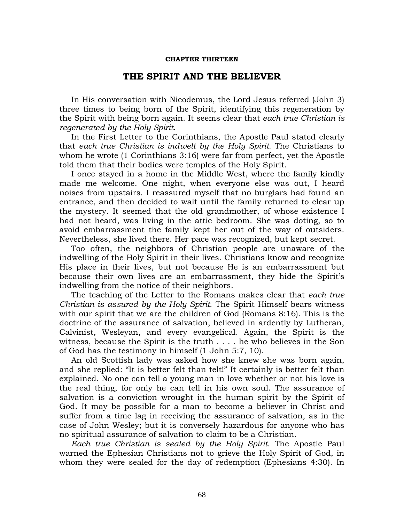#### **CHAPTER THIRTEEN**

# **THE SPIRIT AND THE BELIEVER**

In His conversation with Nicodemus, the Lord Jesus referred (John 3) three times to being born of the Spirit, identifying this regeneration by the Spirit with being born again. It seems clear that *each true Christian is regenerated by the Holy Spirit.*

In the First Letter to the Corinthians, the Apostle Paul stated clearly that *each true Christian is indwelt by the Holy Spirit.* The Christians to whom he wrote (1 Corinthians 3:16) were far from perfect, yet the Apostle told them that their bodies were temples of the Holy Spirit.

I once stayed in a home in the Middle West, where the family kindly made me welcome. One night, when everyone else was out, I heard noises from upstairs. I reassured myself that no burglars had found an entrance, and then decided to wait until the family returned to clear up the mystery. It seemed that the old grandmother, of whose existence I had not heard, was living in the attic bedroom. She was doting, so to avoid embarrassment the family kept her out of the way of outsiders. Nevertheless, she lived there. Her pace was recognized, but kept secret.

Too often, the neighbors of Christian people are unaware of the indwelling of the Holy Spirit in their lives. Christians know and recognize His place in their lives, but not because He is an embarrassment but because their own lives are an embarrassment, they hide the Spirit's indwelling from the notice of their neighbors.

The teaching of the Letter to the Romans makes clear that *each true Christian is assured by the Holy Spirit*. The Spirit Himself bears witness with our spirit that we are the children of God (Romans 8:16). This is the doctrine of the assurance of salvation, believed in ardently by Lutheran, Calvinist, Wesleyan, and every evangelical. Again, the Spirit is the witness, because the Spirit is the truth . . . . he who believes in the Son of God has the testimony in himself (1 John 5:7, 10).

An old Scottish lady was asked how she knew she was born again, and she replied: "It is better felt than telt!" It certainly is better felt than explained. No one can tell a young man in love whether or not his love is the real thing, for only he can tell in his own soul. The assurance of salvation is a conviction wrought in the human spirit by the Spirit of God. It may be possible for a man to become a believer in Christ and suffer from a time lag in receiving the assurance of salvation, as in the case of John Wesley; but it is conversely hazardous for anyone who has no spiritual assurance of salvation to claim to be a Christian.

*Each true Christian is sealed by the Holy Spirit*. The Apostle Paul warned the Ephesian Christians not to grieve the Holy Spirit of God, in whom they were sealed for the day of redemption (Ephesians 4:30). In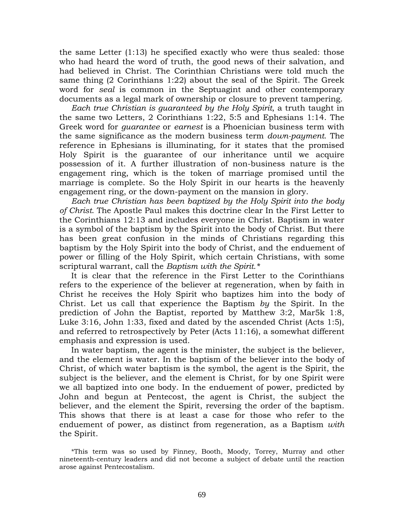the same Letter (1:13) he specified exactly who were thus sealed: those who had heard the word of truth, the good news of their salvation, and had believed in Christ. The Corinthian Christians were told much the same thing (2 Corinthians 1:22) about the seal of the Spirit. The Greek word for *seal* is common in the Septuagint and other contemporary documents as a legal mark of ownership or closure to prevent tampering.

*Each true Christian is guaranteed by the Holy Spirit*, a truth taught in the same two Letters, 2 Corinthians 1:22, 5:5 and Ephesians 1:14. The Greek word for *guarantee* or *earnest* is a Phoenician business term with the same significance as the modern business term *down-payment*. The reference in Ephesians is illuminating, for it states that the promised Holy Spirit is the guarantee of our inheritance until we acquire possession of it. A further illustration of non-business nature is the engagement ring, which is the token of marriage promised until the marriage is complete. So the Holy Spirit in our hearts is the heavenly engagement ring, or the down-payment on the mansion in glory.

*Each true Christian has been baptized by the Holy Spirit into the body of Christ*. The Apostle Paul makes this doctrine clear In the First Letter to the Corinthians 12:13 and includes everyone in Christ. Baptism in water is a symbol of the baptism by the Spirit into the body of Christ. But there has been great confusion in the minds of Christians regarding this baptism by the Holy Spirit into the body of Christ, and the enduement of power or filling of the Holy Spirit, which certain Christians, with some scriptural warrant, call the *Baptism with the Spirit.\**

It is clear that the reference in the First Letter to the Corinthians refers to the experience of the believer at regeneration, when by faith in Christ he receives the Holy Spirit who baptizes him into the body of Christ. Let us call that experience the Baptism *by* the Spirit. In the prediction of John the Baptist, reported by Matthew 3:2, Mar5k 1:8, Luke 3:16, John 1:33, fixed and dated by the ascended Christ (Acts 1:5), and referred to retrospectively by Peter (Acts 11:16), a somewhat different emphasis and expression is used.

In water baptism, the agent is the minister, the subject is the believer, and the element is water. In the baptism of the believer into the body of Christ, of which water baptism is the symbol, the agent is the Spirit, the subject is the believer, and the element is Christ, for by one Spirit were we all baptized into one body. In the enduement of power, predicted by John and begun at Pentecost, the agent is Christ, the subject the believer, and the element the Spirit, reversing the order of the baptism. This shows that there is at least a case for those who refer to the enduement of power, as distinct from regeneration, as a Baptism *with* the Spirit.

<sup>\*</sup>This term was so used by Finney, Booth, Moody, Torrey, Murray and other nineteenth-century leaders and did not become a subject of debate until the reaction arose against Pentecostalism.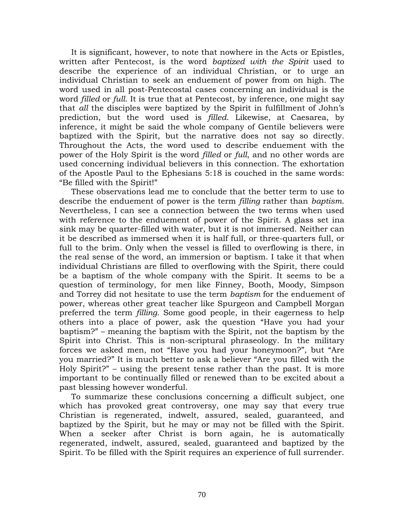It is significant, however, to note that nowhere in the Acts or Epistles, written after Pentecost, is the word *baptized with the Spirit* used to describe the experience of an individual Christian, or to urge an individual Christian to seek an enduement of power from on high. The word used in all post-Pentecostal cases concerning an individual is the word *filled* or *full*. It is true that at Pentecost, by inference, one might say that *all* the disciples were baptized by the Spirit in fulfillment of John's prediction, but the word used is *filled*. Likewise, at Caesarea, by inference, it might be said the whole company of Gentile believers were baptized with the Spirit, but the narrative does not say so directly. Throughout the Acts, the word used to describe enduement with the power of the Holy Spirit is the word *filled* or *full*, and no other words are used concerning individual believers in this connection. The exhortation of the Apostle Paul to the Ephesians 5:18 is couched in the same words: "Be filled with the Spirit!"

These observations lead me to conclude that the better term to use to describe the enduement of power is the term *filling* rather than *baptism*. Nevertheless, I can see a connection between the two terms when used with reference to the enduement of power of the Spirit. A glass set ina sink may be quarter-filled with water, but it is not immersed. Neither can it be described as immersed when it is half full, or three-quarters full, or full to the brim. Only when the vessel is filled to overflowing is there, in the real sense of the word, an immersion or baptism. I take it that when individual Christians are filled to overflowing with the Spirit, there could be a baptism of the whole company with the Spirit. It seems to be a question of terminology, for men like Finney, Booth, Moody, Simpson and Torrey did not hesitate to use the term *baptism* for the enduement of power, whereas other great teacher like Spurgeon and Campbell Morgan preferred the term *filling*. Some good people, in their eagerness to help others into a place of power, ask the question "Have you had your baptism?" – meaning the baptism with the Spirit, not the baptism by the Spirit into Christ. This is non-scriptural phraseology. In the military forces we asked men, not "Have you had your honeymoon?", but "Are you married?" It is much better to ask a believer "Are you filled with the Holy Spirit?" – using the present tense rather than the past. It is more important to be continually filled or renewed than to be excited about a past blessing however wonderful.

To summarize these conclusions concerning a difficult subject, one which has provoked great controversy, one may say that every true Christian is regenerated, indwelt, assured, sealed, guaranteed, and baptized by the Spirit, but he may or may not be filled with the Spirit. When a seeker after Christ is born again, he is automatically regenerated, indwelt, assured, sealed, guaranteed and baptized by the Spirit. To be filled with the Spirit requires an experience of full surrender.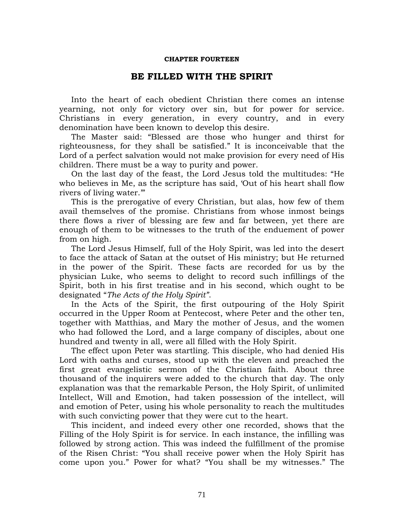#### **CHAPTER FOURTEEN**

# **BE FILLED WITH THE SPIRIT**

Into the heart of each obedient Christian there comes an intense yearning, not only for victory over sin, but for power for service. Christians in every generation, in every country, and in every denomination have been known to develop this desire.

The Master said: "Blessed are those who hunger and thirst for righteousness, for they shall be satisfied." It is inconceivable that the Lord of a perfect salvation would not make provision for every need of His children. There must be a way to purity and power.

On the last day of the feast, the Lord Jesus told the multitudes: "He who believes in Me, as the scripture has said, 'Out of his heart shall flow rivers of living water.'"

This is the prerogative of every Christian, but alas, how few of them avail themselves of the promise. Christians from whose inmost beings there flows a river of blessing are few and far between, yet there are enough of them to be witnesses to the truth of the enduement of power from on high.

The Lord Jesus Himself, full of the Holy Spirit, was led into the desert to face the attack of Satan at the outset of His ministry; but He returned in the power of the Spirit. These facts are recorded for us by the physician Luke, who seems to delight to record such infillings of the Spirit, both in his first treatise and in his second, which ought to be designated "*The Acts of the Holy Spirit"*.

In the Acts of the Spirit, the first outpouring of the Holy Spirit occurred in the Upper Room at Pentecost, where Peter and the other ten, together with Matthias, and Mary the mother of Jesus, and the women who had followed the Lord, and a large company of disciples, about one hundred and twenty in all, were all filled with the Holy Spirit.

The effect upon Peter was startling. This disciple, who had denied His Lord with oaths and curses, stood up with the eleven and preached the first great evangelistic sermon of the Christian faith. About three thousand of the inquirers were added to the church that day. The only explanation was that the remarkable Person, the Holy Spirit, of unlimited Intellect, Will and Emotion, had taken possession of the intellect, will and emotion of Peter, using his whole personality to reach the multitudes with such convicting power that they were cut to the heart.

This incident, and indeed every other one recorded, shows that the Filling of the Holy Spirit is for service. In each instance, the infilling was followed by strong action. This was indeed the fulfillment of the promise of the Risen Christ: "You shall receive power when the Holy Spirit has come upon you." Power for what? "You shall be my witnesses." The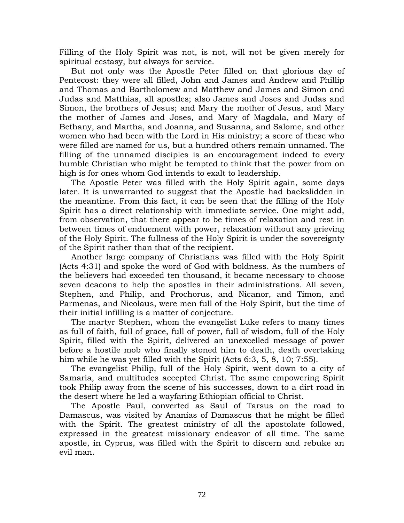Filling of the Holy Spirit was not, is not, will not be given merely for spiritual ecstasy, but always for service.

But not only was the Apostle Peter filled on that glorious day of Pentecost: they were all filled, John and James and Andrew and Phillip and Thomas and Bartholomew and Matthew and James and Simon and Judas and Matthias, all apostles; also James and Joses and Judas and Simon, the brothers of Jesus; and Mary the mother of Jesus, and Mary the mother of James and Joses, and Mary of Magdala, and Mary of Bethany, and Martha, and Joanna, and Susanna, and Salome, and other women who had been with the Lord in His ministry; a score of these who were filled are named for us, but a hundred others remain unnamed. The filling of the unnamed disciples is an encouragement indeed to every humble Christian who might be tempted to think that the power from on high is for ones whom God intends to exalt to leadership.

The Apostle Peter was filled with the Holy Spirit again, some days later. It is unwarranted to suggest that the Apostle had backslidden in the meantime. From this fact, it can be seen that the filling of the Holy Spirit has a direct relationship with immediate service. One might add, from observation, that there appear to be times of relaxation and rest in between times of enduement with power, relaxation without any grieving of the Holy Spirit. The fullness of the Holy Spirit is under the sovereignty of the Spirit rather than that of the recipient.

Another large company of Christians was filled with the Holy Spirit (Acts 4:31) and spoke the word of God with boldness. As the numbers of the believers had exceeded ten thousand, it became necessary to choose seven deacons to help the apostles in their administrations. All seven, Stephen, and Philip, and Prochorus, and Nicanor, and Timon, and Parmenas, and Nicolaus, were men full of the Holy Spirit, but the time of their initial infilling is a matter of conjecture.

The martyr Stephen, whom the evangelist Luke refers to many times as full of faith, full of grace, full of power, full of wisdom, full of the Holy Spirit, filled with the Spirit, delivered an unexcelled message of power before a hostile mob who finally stoned him to death, death overtaking him while he was yet filled with the Spirit (Acts 6:3, 5, 8, 10; 7:55).

The evangelist Philip, full of the Holy Spirit, went down to a city of Samaria, and multitudes accepted Christ. The same empowering Spirit took Philip away from the scene of his successes, down to a dirt road in the desert where he led a wayfaring Ethiopian official to Christ.

The Apostle Paul, converted as Saul of Tarsus on the road to Damascus, was visited by Ananias of Damascus that he might be filled with the Spirit. The greatest ministry of all the apostolate followed, expressed in the greatest missionary endeavor of all time. The same apostle, in Cyprus, was filled with the Spirit to discern and rebuke an evil man.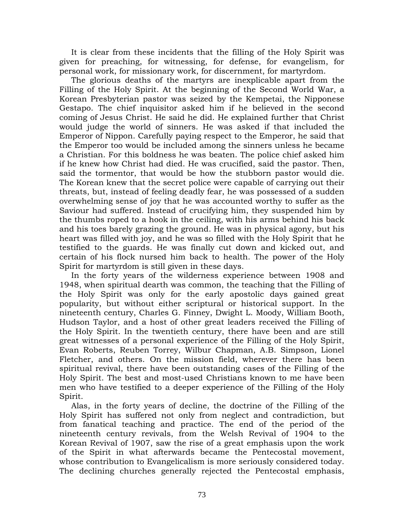It is clear from these incidents that the filling of the Holy Spirit was given for preaching, for witnessing, for defense, for evangelism, for personal work, for missionary work, for discernment, for martyrdom.

The glorious deaths of the martyrs are inexplicable apart from the Filling of the Holy Spirit. At the beginning of the Second World War, a Korean Presbyterian pastor was seized by the Kempetai, the Nipponese Gestapo. The chief inquisitor asked him if he believed in the second coming of Jesus Christ. He said he did. He explained further that Christ would judge the world of sinners. He was asked if that included the Emperor of Nippon. Carefully paying respect to the Emperor, he said that the Emperor too would be included among the sinners unless he became a Christian. For this boldness he was beaten. The police chief asked him if he knew how Christ had died. He was crucified, said the pastor. Then, said the tormentor, that would be how the stubborn pastor would die. The Korean knew that the secret police were capable of carrying out their threats, but, instead of feeling deadly fear, he was possessed of a sudden overwhelming sense of joy that he was accounted worthy to suffer as the Saviour had suffered. Instead of crucifying him, they suspended him by the thumbs roped to a hook in the ceiling, with his arms behind his back and his toes barely grazing the ground. He was in physical agony, but his heart was filled with joy, and he was so filled with the Holy Spirit that he testified to the guards. He was finally cut down and kicked out, and certain of his flock nursed him back to health. The power of the Holy Spirit for martyrdom is still given in these days.

In the forty years of the wilderness experience between 1908 and 1948, when spiritual dearth was common, the teaching that the Filling of the Holy Spirit was only for the early apostolic days gained great popularity, but without either scriptural or historical support. In the nineteenth century, Charles G. Finney, Dwight L. Moody, William Booth, Hudson Taylor, and a host of other great leaders received the Filling of the Holy Spirit. In the twentieth century, there have been and are still great witnesses of a personal experience of the Filling of the Holy Spirit, Evan Roberts, Reuben Torrey, Wilbur Chapman, A.B. Simpson, Lionel Fletcher, and others. On the mission field, wherever there has been spiritual revival, there have been outstanding cases of the Filling of the Holy Spirit. The best and most-used Christians known to me have been men who have testified to a deeper experience of the Filling of the Holy Spirit.

Alas, in the forty years of decline, the doctrine of the Filling of the Holy Spirit has suffered not only from neglect and contradiction, but from fanatical teaching and practice. The end of the period of the nineteenth century revivals, from the Welsh Revival of 1904 to the Korean Revival of 1907, saw the rise of a great emphasis upon the work of the Spirit in what afterwards became the Pentecostal movement, whose contribution to Evangelicalism is more seriously considered today. The declining churches generally rejected the Pentecostal emphasis,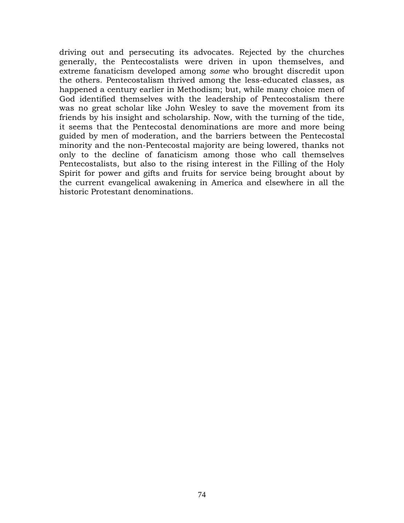driving out and persecuting its advocates. Rejected by the churches generally, the Pentecostalists were driven in upon themselves, and extreme fanaticism developed among *some* who brought discredit upon the others. Pentecostalism thrived among the less-educated classes, as happened a century earlier in Methodism; but, while many choice men of God identified themselves with the leadership of Pentecostalism there was no great scholar like John Wesley to save the movement from its friends by his insight and scholarship. Now, with the turning of the tide, it seems that the Pentecostal denominations are more and more being guided by men of moderation, and the barriers between the Pentecostal minority and the non-Pentecostal majority are being lowered, thanks not only to the decline of fanaticism among those who call themselves Pentecostalists, but also to the rising interest in the Filling of the Holy Spirit for power and gifts and fruits for service being brought about by the current evangelical awakening in America and elsewhere in all the historic Protestant denominations.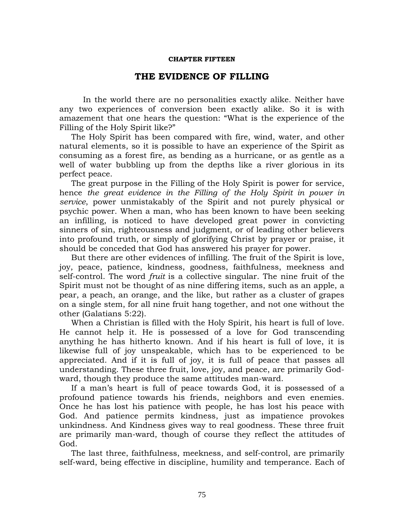## **CHAPTER FIFTEEN**

## **THE EVIDENCE OF FILLING**

In the world there are no personalities exactly alike. Neither have any two experiences of conversion been exactly alike. So it is with amazement that one hears the question: "What is the experience of the Filling of the Holy Spirit like?"

The Holy Spirit has been compared with fire, wind, water, and other natural elements, so it is possible to have an experience of the Spirit as consuming as a forest fire, as bending as a hurricane, or as gentle as a well of water bubbling up from the depths like a river glorious in its perfect peace.

The great purpose in the Filling of the Holy Spirit is power for service, hence *the great evidence in the Filling of the Holy Spirit in power in service*, power unmistakably of the Spirit and not purely physical or psychic power. When a man, who has been known to have been seeking an infilling, is noticed to have developed great power in convicting sinners of sin, righteousness and judgment, or of leading other believers into profound truth, or simply of glorifying Christ by prayer or praise, it should be conceded that God has answered his prayer for power.

But there are other evidences of infilling. The fruit of the Spirit is love, joy, peace, patience, kindness, goodness, faithfulness, meekness and self-control. The word *fruit* is a collective singular. The nine fruit of the Spirit must not be thought of as nine differing items, such as an apple, a pear, a peach, an orange, and the like, but rather as a cluster of grapes on a single stem, for all nine fruit hang together, and not one without the other (Galatians 5:22).

When a Christian is filled with the Holy Spirit, his heart is full of love. He cannot help it. He is possessed of a love for God transcending anything he has hitherto known. And if his heart is full of love, it is likewise full of joy unspeakable, which has to be experienced to be appreciated. And if it is full of joy, it is full of peace that passes all understanding. These three fruit, love, joy, and peace, are primarily Godward, though they produce the same attitudes man-ward.

If a man's heart is full of peace towards God, it is possessed of a profound patience towards his friends, neighbors and even enemies. Once he has lost his patience with people, he has lost his peace with God. And patience permits kindness, just as impatience provokes unkindness. And Kindness gives way to real goodness. These three fruit are primarily man-ward, though of course they reflect the attitudes of God.

The last three, faithfulness, meekness, and self-control, are primarily self-ward, being effective in discipline, humility and temperance. Each of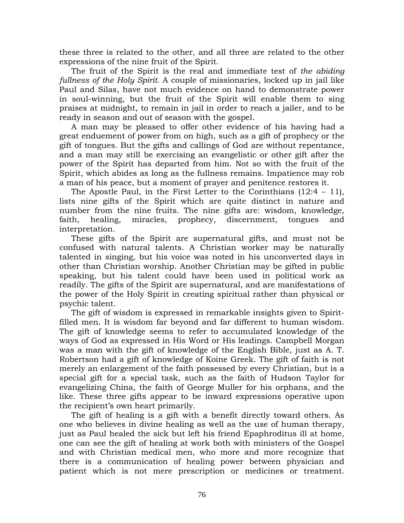these three is related to the other, and all three are related to the other expressions of the nine fruit of the Spirit.

The fruit of the Spirit is the real and immediate test of *the abiding fullness of the Holy Spirit*. A couple of missionaries, locked up in jail like Paul and Silas, have not much evidence on hand to demonstrate power in soul-winning, but the fruit of the Spirit will enable them to sing praises at midnight, to remain in jail in order to reach a jailer, and to be ready in season and out of season with the gospel.

A man may be pleased to offer other evidence of his having had a great enduement of power from on high, such as a gift of prophecy or the gift of tongues. But the gifts and callings of God are without repentance, and a man may still be exercising an evangelistic or other gift after the power of the Spirit has departed from him. Not so with the fruit of the Spirit, which abides as long as the fullness remains. Impatience may rob a man of his peace, but a moment of prayer and penitence restores it.

The Apostle Paul, in the First Letter to the Corinthians  $(12:4 - 11)$ , lists nine gifts of the Spirit which are quite distinct in nature and number from the nine fruits. The nine gifts are: wisdom, knowledge, faith, healing, miracles, prophecy, discernment, tongues and interpretation.

These gifts of the Spirit are supernatural gifts, and must not be confused with natural talents. A Christian worker may be naturally talented in singing, but his voice was noted in his unconverted days in other than Christian worship. Another Christian may be gifted in public speaking, but his talent could have been used in political work as readily. The gifts of the Spirit are supernatural, and are manifestations of the power of the Holy Spirit in creating spiritual rather than physical or psychic talent.

The gift of wisdom is expressed in remarkable insights given to Spiritfilled men. It is wisdom far beyond and far different to human wisdom. The gift of knowledge seems to refer to accumulated knowledge of the ways of God as expressed in His Word or His leadings. Campbell Morgan was a man with the gift of knowledge of the English Bible, just as A. T. Robertson had a gift of knowledge of Koine Greek. The gift of faith is not merely an enlargement of the faith possessed by every Christian, but is a special gift for a special task, such as the faith of Hudson Taylor for evangelizing China, the faith of George Muller for his orphans, and the like. These three gifts appear to be inward expressions operative upon the recipient's own heart primarily.

The gift of healing is a gift with a benefit directly toward others. As one who believes in divine healing as well as the use of human therapy, just as Paul healed the sick but left his friend Epaphroditus ill at home, one can see the gift of healing at work both with ministers of the Gospel and with Christian medical men, who more and more recognize that there is a communication of healing power between physician and patient which is not mere prescription or medicines or treatment.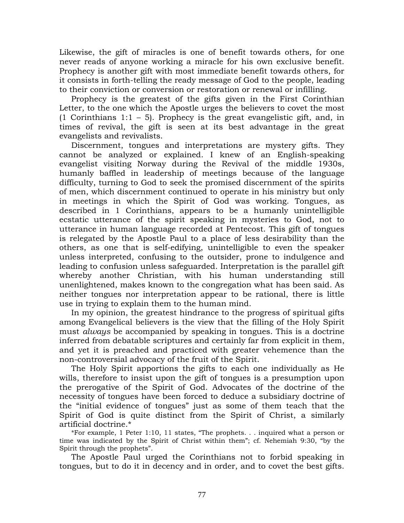Likewise, the gift of miracles is one of benefit towards others, for one never reads of anyone working a miracle for his own exclusive benefit. Prophecy is another gift with most immediate benefit towards others, for it consists in forth-telling the ready message of God to the people, leading to their conviction or conversion or restoration or renewal or infilling.

Prophecy is the greatest of the gifts given in the First Corinthian Letter, to the one which the Apostle urges the believers to covet the most (1 Corinthians 1:1 – 5). Prophecy is the great evangelistic gift, and, in times of revival, the gift is seen at its best advantage in the great evangelists and revivalists.

Discernment, tongues and interpretations are mystery gifts. They cannot be analyzed or explained. I knew of an English-speaking evangelist visiting Norway during the Revival of the middle 1930s, humanly baffled in leadership of meetings because of the language difficulty, turning to God to seek the promised discernment of the spirits of men, which discernment continued to operate in his ministry but only in meetings in which the Spirit of God was working. Tongues, as described in 1 Corinthians, appears to be a humanly unintelligible ecstatic utterance of the spirit speaking in mysteries to God, not to utterance in human language recorded at Pentecost. This gift of tongues is relegated by the Apostle Paul to a place of less desirability than the others, as one that is self-edifying, unintelligible to even the speaker unless interpreted, confusing to the outsider, prone to indulgence and leading to confusion unless safeguarded. Interpretation is the parallel gift whereby another Christian, with his human understanding still unenlightened, makes known to the congregation what has been said. As neither tongues nor interpretation appear to be rational, there is little use in trying to explain them to the human mind.

In my opinion, the greatest hindrance to the progress of spiritual gifts among Evangelical believers is the view that the filling of the Holy Spirit must *always* be accompanied by speaking in tongues. This is a doctrine inferred from debatable scriptures and certainly far from explicit in them, and yet it is preached and practiced with greater vehemence than the non-controversial advocacy of the fruit of the Spirit.

The Holy Spirit apportions the gifts to each one individually as He wills, therefore to insist upon the gift of tongues is a presumption upon the prerogative of the Spirit of God. Advocates of the doctrine of the necessity of tongues have been forced to deduce a subsidiary doctrine of the "initial evidence of tongues" just as some of them teach that the Spirit of God is quite distinct from the Spirit of Christ, a similarly artificial doctrine.\*

\*For example, 1 Peter 1:10, 11 states, "The prophets. . . inquired what a person or time was indicated by the Spirit of Christ within them"; cf. Nehemiah 9:30, "by the Spirit through the prophets".

The Apostle Paul urged the Corinthians not to forbid speaking in tongues, but to do it in decency and in order, and to covet the best gifts.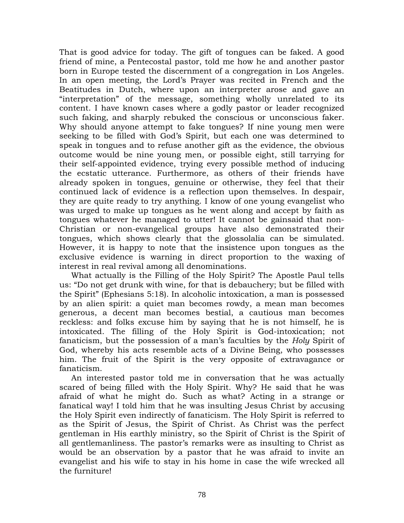That is good advice for today. The gift of tongues can be faked. A good friend of mine, a Pentecostal pastor, told me how he and another pastor born in Europe tested the discernment of a congregation in Los Angeles. In an open meeting, the Lord's Prayer was recited in French and the Beatitudes in Dutch, where upon an interpreter arose and gave an "interpretation" of the message, something wholly unrelated to its content. I have known cases where a godly pastor or leader recognized such faking, and sharply rebuked the conscious or unconscious faker. Why should anyone attempt to fake tongues? If nine young men were seeking to be filled with God's Spirit, but each one was determined to speak in tongues and to refuse another gift as the evidence, the obvious outcome would be nine young men, or possible eight, still tarrying for their self-appointed evidence, trying every possible method of inducing the ecstatic utterance. Furthermore, as others of their friends have already spoken in tongues, genuine or otherwise, they feel that their continued lack of evidence is a reflection upon themselves. In despair, they are quite ready to try anything. I know of one young evangelist who was urged to make up tongues as he went along and accept by faith as tongues whatever he managed to utter! It cannot be gainsaid that non-Christian or non-evangelical groups have also demonstrated their tongues, which shows clearly that the glossolalia can be simulated. However, it is happy to note that the insistence upon tongues as the exclusive evidence is warning in direct proportion to the waxing of interest in real revival among all denominations.

What actually is the Filling of the Holy Spirit? The Apostle Paul tells us: "Do not get drunk with wine, for that is debauchery; but be filled with the Spirit" (Ephesians 5:18). In alcoholic intoxication, a man is possessed by an alien spirit: a quiet man becomes rowdy, a mean man becomes generous, a decent man becomes bestial, a cautious man becomes reckless: and folks excuse him by saying that he is not himself, he is intoxicated. The filling of the Holy Spirit is God-intoxication; not fanaticism, but the possession of a man's faculties by the *Holy* Spirit of God, whereby his acts resemble acts of a Divine Being, who possesses him. The fruit of the Spirit is the very opposite of extravagance or fanaticism.

An interested pastor told me in conversation that he was actually scared of being filled with the Holy Spirit. Why? He said that he was afraid of what he might do. Such as what? Acting in a strange or fanatical way! I told him that he was insulting Jesus Christ by accusing the Holy Spirit even indirectly of fanaticism. The Holy Spirit is referred to as the Spirit of Jesus, the Spirit of Christ. As Christ was the perfect gentleman in His earthly ministry, so the Spirit of Christ is the Spirit of all gentlemanliness. The pastor's remarks were as insulting to Christ as would be an observation by a pastor that he was afraid to invite an evangelist and his wife to stay in his home in case the wife wrecked all the furniture!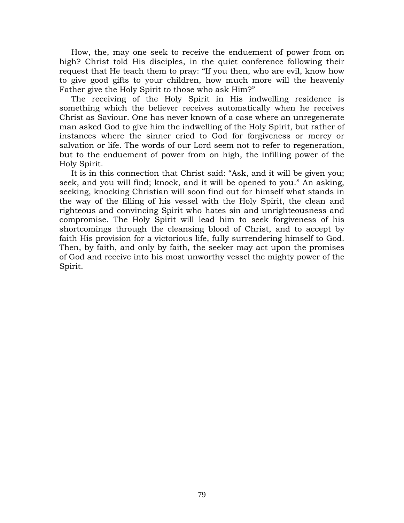How, the, may one seek to receive the enduement of power from on high? Christ told His disciples, in the quiet conference following their request that He teach them to pray: "If you then, who are evil, know how to give good gifts to your children, how much more will the heavenly Father give the Holy Spirit to those who ask Him?"

The receiving of the Holy Spirit in His indwelling residence is something which the believer receives automatically when he receives Christ as Saviour. One has never known of a case where an unregenerate man asked God to give him the indwelling of the Holy Spirit, but rather of instances where the sinner cried to God for forgiveness or mercy or salvation or life. The words of our Lord seem not to refer to regeneration, but to the enduement of power from on high, the infilling power of the Holy Spirit.

It is in this connection that Christ said: "Ask, and it will be given you; seek, and you will find; knock, and it will be opened to you." An asking, seeking, knocking Christian will soon find out for himself what stands in the way of the filling of his vessel with the Holy Spirit, the clean and righteous and convincing Spirit who hates sin and unrighteousness and compromise. The Holy Spirit will lead him to seek forgiveness of his shortcomings through the cleansing blood of Christ, and to accept by faith His provision for a victorious life, fully surrendering himself to God. Then, by faith, and only by faith, the seeker may act upon the promises of God and receive into his most unworthy vessel the mighty power of the Spirit.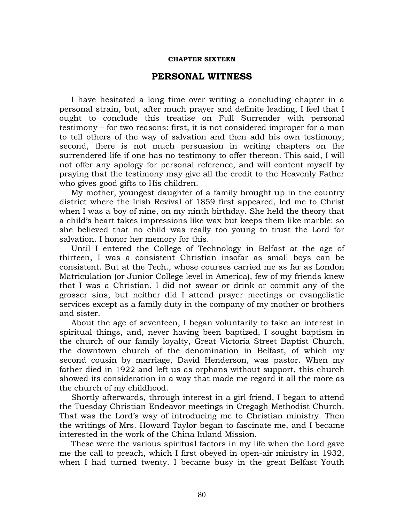## **CHAPTER SIXTEEN**

## **PERSONAL WITNESS**

I have hesitated a long time over writing a concluding chapter in a personal strain, but, after much prayer and definite leading, I feel that I ought to conclude this treatise on Full Surrender with personal testimony – for two reasons: first, it is not considered improper for a man to tell others of the way of salvation and then add his own testimony; second, there is not much persuasion in writing chapters on the surrendered life if one has no testimony to offer thereon. This said, I will not offer any apology for personal reference, and will content myself by praying that the testimony may give all the credit to the Heavenly Father who gives good gifts to His children.

My mother, youngest daughter of a family brought up in the country district where the Irish Revival of 1859 first appeared, led me to Christ when I was a boy of nine, on my ninth birthday. She held the theory that a child's heart takes impressions like wax but keeps them like marble: so she believed that no child was really too young to trust the Lord for salvation. I honor her memory for this.

Until I entered the College of Technology in Belfast at the age of thirteen, I was a consistent Christian insofar as small boys can be consistent. But at the Tech., whose courses carried me as far as London Matriculation (or Junior College level in America), few of my friends knew that I was a Christian. I did not swear or drink or commit any of the grosser sins, but neither did I attend prayer meetings or evangelistic services except as a family duty in the company of my mother or brothers and sister.

About the age of seventeen, I began voluntarily to take an interest in spiritual things, and, never having been baptized, I sought baptism in the church of our family loyalty, Great Victoria Street Baptist Church, the downtown church of the denomination in Belfast, of which my second cousin by marriage, David Henderson, was pastor. When my father died in 1922 and left us as orphans without support, this church showed its consideration in a way that made me regard it all the more as the church of my childhood.

Shortly afterwards, through interest in a girl friend, I began to attend the Tuesday Christian Endeavor meetings in Cregagh Methodist Church. That was the Lord's way of introducing me to Christian ministry. Then the writings of Mrs. Howard Taylor began to fascinate me, and I became interested in the work of the China Inland Mission.

These were the various spiritual factors in my life when the Lord gave me the call to preach, which I first obeyed in open-air ministry in 1932, when I had turned twenty. I became busy in the great Belfast Youth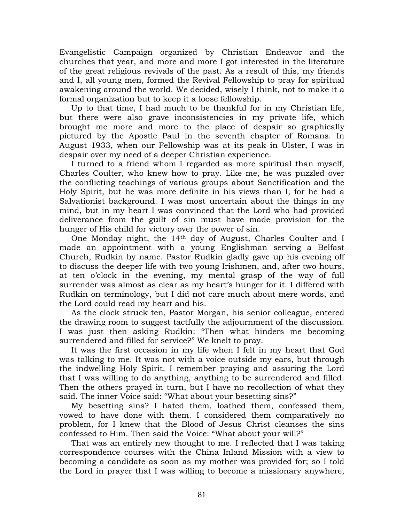Evangelistic Campaign organized by Christian Endeavor and the churches that year, and more and more I got interested in the literature of the great religious revivals of the past. As a result of this, my friends and I, all young men, formed the Revival Fellowship to pray for spiritual awakening around the world. We decided, wisely I think, not to make it a formal organization but to keep it a loose fellowship.

Up to that time, I had much to be thankful for in my Christian life, but there were also grave inconsistencies in my private life, which brought me more and more to the place of despair so graphically pictured by the Apostle Paul in the seventh chapter of Romans. In August 1933, when our Fellowship was at its peak in Ulster, I was in despair over my need of a deeper Christian experience.

I turned to a friend whom I regarded as more spiritual than myself, Charles Coulter, who knew how to pray. Like me, he was puzzled over the conflicting teachings of various groups about Sanctification and the Holy Spirit, but he was more definite in his views than I, for he had a Salvationist background. I was most uncertain about the things in my mind, but in my heart I was convinced that the Lord who had provided deliverance from the guilt of sin must have made provision for the hunger of His child for victory over the power of sin.

One Monday night, the 14th day of August, Charles Coulter and I made an appointment with a young Englishman serving a Belfast Church, Rudkin by name. Pastor Rudkin gladly gave up his evening off to discuss the deeper life with two young Irishmen, and, after two hours, at ten o'clock in the evening, my mental grasp of the way of full surrender was almost as clear as my heart's hunger for it. I differed with Rudkin on terminology, but I did not care much about mere words, and the Lord could read my heart and his.

As the clock struck ten, Pastor Morgan, his senior colleague, entered the drawing room to suggest tactfully the adjournment of the discussion. I was just then asking Rudkin: "Then what hinders me becoming surrendered and filled for service?" We knelt to pray.

It was the first occasion in my life when I felt in my heart that God was talking to me. It was not with a voice outside my ears, but through the indwelling Holy Spirit. I remember praying and assuring the Lord that I was willing to do anything, anything to be surrendered and filled. Then the others prayed in turn, but I have no recollection of what they said. The inner Voice said: "What about your besetting sins?"

My besetting sins? I hated them, loathed them, confessed them, vowed to have done with them. I considered them comparatively no problem, for I knew that the Blood of Jesus Christ cleanses the sins confessed to Him. Then said the Voice: "What about your will?"

That was an entirely new thought to me. I reflected that I was taking correspondence courses with the China Inland Mission with a view to becoming a candidate as soon as my mother was provided for; so I told the Lord in prayer that I was willing to become a missionary anywhere,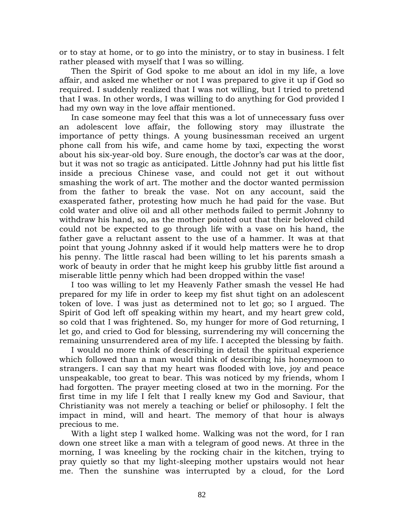or to stay at home, or to go into the ministry, or to stay in business. I felt rather pleased with myself that I was so willing.

Then the Spirit of God spoke to me about an idol in my life, a love affair, and asked me whether or not I was prepared to give it up if God so required. I suddenly realized that I was not willing, but I tried to pretend that I was. In other words, I was willing to do anything for God provided I had my own way in the love affair mentioned.

In case someone may feel that this was a lot of unnecessary fuss over an adolescent love affair, the following story may illustrate the importance of petty things. A young businessman received an urgent phone call from his wife, and came home by taxi, expecting the worst about his six-year-old boy. Sure enough, the doctor's car was at the door, but it was not so tragic as anticipated. Little Johnny had put his little fist inside a precious Chinese vase, and could not get it out without smashing the work of art. The mother and the doctor wanted permission from the father to break the vase. Not on any account, said the exasperated father, protesting how much he had paid for the vase. But cold water and olive oil and all other methods failed to permit Johnny to withdraw his hand, so, as the mother pointed out that their beloved child could not be expected to go through life with a vase on his hand, the father gave a reluctant assent to the use of a hammer. It was at that point that young Johnny asked if it would help matters were he to drop his penny. The little rascal had been willing to let his parents smash a work of beauty in order that he might keep his grubby little fist around a miserable little penny which had been dropped within the vase!

I too was willing to let my Heavenly Father smash the vessel He had prepared for my life in order to keep my fist shut tight on an adolescent token of love. I was just as determined not to let go; so I argued. The Spirit of God left off speaking within my heart, and my heart grew cold, so cold that I was frightened. So, my hunger for more of God returning, I let go, and cried to God for blessing, surrendering my will concerning the remaining unsurrendered area of my life. I accepted the blessing by faith.

I would no more think of describing in detail the spiritual experience which followed than a man would think of describing his honeymoon to strangers. I can say that my heart was flooded with love, joy and peace unspeakable, too great to bear. This was noticed by my friends, whom I had forgotten. The prayer meeting closed at two in the morning. For the first time in my life I felt that I really knew my God and Saviour, that Christianity was not merely a teaching or belief or philosophy. I felt the impact in mind, will and heart. The memory of that hour is always precious to me.

With a light step I walked home. Walking was not the word, for I ran down one street like a man with a telegram of good news. At three in the morning, I was kneeling by the rocking chair in the kitchen, trying to pray quietly so that my light-sleeping mother upstairs would not hear me. Then the sunshine was interrupted by a cloud, for the Lord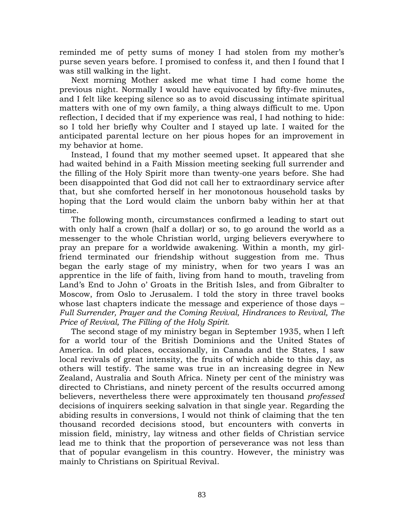reminded me of petty sums of money I had stolen from my mother's purse seven years before. I promised to confess it, and then I found that I was still walking in the light.

Next morning Mother asked me what time I had come home the previous night. Normally I would have equivocated by fifty-five minutes, and I felt like keeping silence so as to avoid discussing intimate spiritual matters with one of my own family, a thing always difficult to me. Upon reflection, I decided that if my experience was real, I had nothing to hide: so I told her briefly why Coulter and I stayed up late. I waited for the anticipated parental lecture on her pious hopes for an improvement in my behavior at home.

Instead, I found that my mother seemed upset. It appeared that she had waited behind in a Faith Mission meeting seeking full surrender and the filling of the Holy Spirit more than twenty-one years before. She had been disappointed that God did not call her to extraordinary service after that, but she comforted herself in her monotonous household tasks by hoping that the Lord would claim the unborn baby within her at that time.

The following month, circumstances confirmed a leading to start out with only half a crown (half a dollar) or so, to go around the world as a messenger to the whole Christian world, urging believers everywhere to pray an prepare for a worldwide awakening. Within a month, my girlfriend terminated our friendship without suggestion from me. Thus began the early stage of my ministry, when for two years I was an apprentice in the life of faith, living from hand to mouth, traveling from Land's End to John o' Groats in the British Isles, and from Gibralter to Moscow, from Oslo to Jerusalem. I told the story in three travel books whose last chapters indicate the message and experience of those days – *Full Surrender, Prayer and the Coming Revival, Hindrances to Revival, The Price of Revival, The Filling of the Holy Spirit.*

The second stage of my ministry began in September 1935, when I left for a world tour of the British Dominions and the United States of America. In odd places, occasionally, in Canada and the States, I saw local revivals of great intensity, the fruits of which abide to this day, as others will testify. The same was true in an increasing degree in New Zealand, Australia and South Africa. Ninety per cent of the ministry was directed to Christians, and ninety percent of the results occurred among believers, nevertheless there were approximately ten thousand *professed* decisions of inquirers seeking salvation in that single year. Regarding the abiding results in conversions, I would not think of claiming that the ten thousand recorded decisions stood, but encounters with converts in mission field, ministry, lay witness and other fields of Christian service lead me to think that the proportion of perseverance was not less than that of popular evangelism in this country. However, the ministry was mainly to Christians on Spiritual Revival.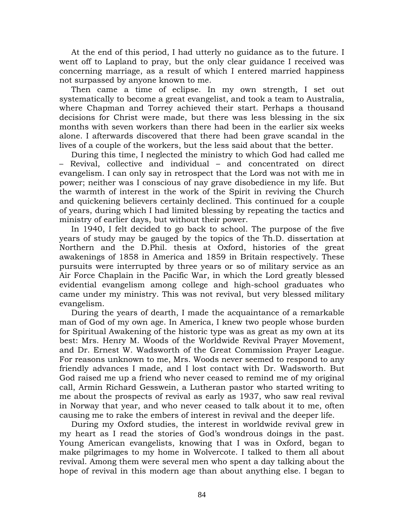At the end of this period, I had utterly no guidance as to the future. I went off to Lapland to pray, but the only clear guidance I received was concerning marriage, as a result of which I entered married happiness not surpassed by anyone known to me.

Then came a time of eclipse. In my own strength, I set out systematically to become a great evangelist, and took a team to Australia, where Chapman and Torrey achieved their start. Perhaps a thousand decisions for Christ were made, but there was less blessing in the six months with seven workers than there had been in the earlier six weeks alone. I afterwards discovered that there had been grave scandal in the lives of a couple of the workers, but the less said about that the better.

During this time, I neglected the ministry to which God had called me – Revival, collective and individual – and concentrated on direct evangelism. I can only say in retrospect that the Lord was not with me in power; neither was I conscious of nay grave disobedience in my life. But the warmth of interest in the work of the Spirit in reviving the Church and quickening believers certainly declined. This continued for a couple of years, during which I had limited blessing by repeating the tactics and ministry of earlier days, but without their power.

In 1940, I felt decided to go back to school. The purpose of the five years of study may be gauged by the topics of the Th.D. dissertation at Northern and the D.Phil. thesis at Oxford, histories of the great awakenings of 1858 in America and 1859 in Britain respectively. These pursuits were interrupted by three years or so of military service as an Air Force Chaplain in the Pacific War, in which the Lord greatly blessed evidential evangelism among college and high-school graduates who came under my ministry. This was not revival, but very blessed military evangelism.

During the years of dearth, I made the acquaintance of a remarkable man of God of my own age. In America, I knew two people whose burden for Spiritual Awakening of the historic type was as great as my own at its best: Mrs. Henry M. Woods of the Worldwide Revival Prayer Movement, and Dr. Ernest W. Wadsworth of the Great Commission Prayer League. For reasons unknown to me, Mrs. Woods never seemed to respond to any friendly advances I made, and I lost contact with Dr. Wadsworth. But God raised me up a friend who never ceased to remind me of my original call, Armin Richard Gesswein, a Lutheran pastor who started writing to me about the prospects of revival as early as 1937, who saw real revival in Norway that year, and who never ceased to talk about it to me, often causing me to rake the embers of interest in revival and the deeper life.

During my Oxford studies, the interest in worldwide revival grew in my heart as I read the stories of God's wondrous doings in the past. Young American evangelists, knowing that I was in Oxford, began to make pilgrimages to my home in Wolvercote. I talked to them all about revival. Among them were several men who spent a day talking about the hope of revival in this modern age than about anything else. I began to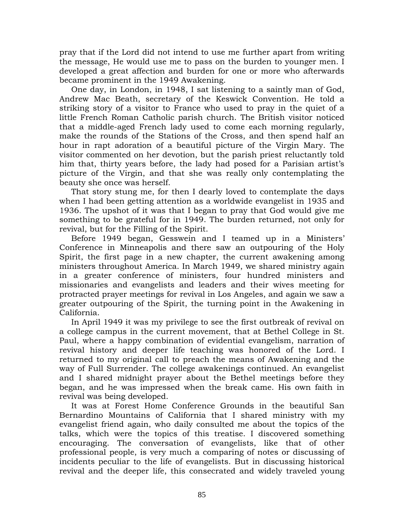pray that if the Lord did not intend to use me further apart from writing the message, He would use me to pass on the burden to younger men. I developed a great affection and burden for one or more who afterwards became prominent in the 1949 Awakening.

One day, in London, in 1948, I sat listening to a saintly man of God, Andrew Mac Beath, secretary of the Keswick Convention. He told a striking story of a visitor to France who used to pray in the quiet of a little French Roman Catholic parish church. The British visitor noticed that a middle-aged French lady used to come each morning regularly, make the rounds of the Stations of the Cross, and then spend half an hour in rapt adoration of a beautiful picture of the Virgin Mary. The visitor commented on her devotion, but the parish priest reluctantly told him that, thirty years before, the lady had posed for a Parisian artist's picture of the Virgin, and that she was really only contemplating the beauty she once was herself.

That story stung me, for then I dearly loved to contemplate the days when I had been getting attention as a worldwide evangelist in 1935 and 1936. The upshot of it was that I began to pray that God would give me something to be grateful for in 1949. The burden returned, not only for revival, but for the Filling of the Spirit.

Before 1949 began, Gesswein and I teamed up in a Ministers' Conference in Minneapolis and there saw an outpouring of the Holy Spirit, the first page in a new chapter, the current awakening among ministers throughout America. In March 1949, we shared ministry again in a greater conference of ministers, four hundred ministers and missionaries and evangelists and leaders and their wives meeting for protracted prayer meetings for revival in Los Angeles, and again we saw a greater outpouring of the Spirit, the turning point in the Awakening in California.

In April 1949 it was my privilege to see the first outbreak of revival on a college campus in the current movement, that at Bethel College in St. Paul, where a happy combination of evidential evangelism, narration of revival history and deeper life teaching was honored of the Lord. I returned to my original call to preach the means of Awakening and the way of Full Surrender. The college awakenings continued. An evangelist and I shared midnight prayer about the Bethel meetings before they began, and he was impressed when the break came. His own faith in revival was being developed.

It was at Forest Home Conference Grounds in the beautiful San Bernardino Mountains of California that I shared ministry with my evangelist friend again, who daily consulted me about the topics of the talks, which were the topics of this treatise. I discovered something encouraging. The conversation of evangelists, like that of other professional people, is very much a comparing of notes or discussing of incidents peculiar to the life of evangelists. But in discussing historical revival and the deeper life, this consecrated and widely traveled young